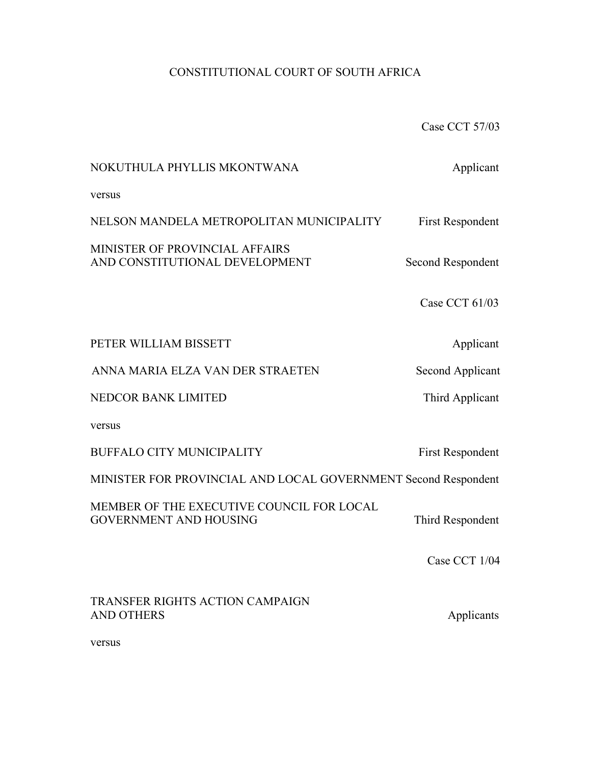# CONSTITUTIONAL COURT OF SOUTH AFRICA

Case CCT 57/03

| NOKUTHULA PHYLLIS MKONTWANA                                                | Applicant               |
|----------------------------------------------------------------------------|-------------------------|
| versus                                                                     |                         |
| NELSON MANDELA METROPOLITAN MUNICIPALITY                                   | <b>First Respondent</b> |
| MINISTER OF PROVINCIAL AFFAIRS<br>AND CONSTITUTIONAL DEVELOPMENT           | Second Respondent       |
|                                                                            | Case CCT 61/03          |
| PETER WILLIAM BISSETT                                                      | Applicant               |
| ANNA MARIA ELZA VAN DER STRAETEN                                           | Second Applicant        |
| <b>NEDCOR BANK LIMITED</b>                                                 | Third Applicant         |
| versus                                                                     |                         |
| <b>BUFFALO CITY MUNICIPALITY</b>                                           | <b>First Respondent</b> |
| MINISTER FOR PROVINCIAL AND LOCAL GOVERNMENT Second Respondent             |                         |
| MEMBER OF THE EXECUTIVE COUNCIL FOR LOCAL<br><b>GOVERNMENT AND HOUSING</b> | Third Respondent        |
|                                                                            | Case CCT 1/04           |
| <b>TRANSFER RIGHTS ACTION CAMPAIGN</b><br><b>AND OTHERS</b>                | Applicants              |

versus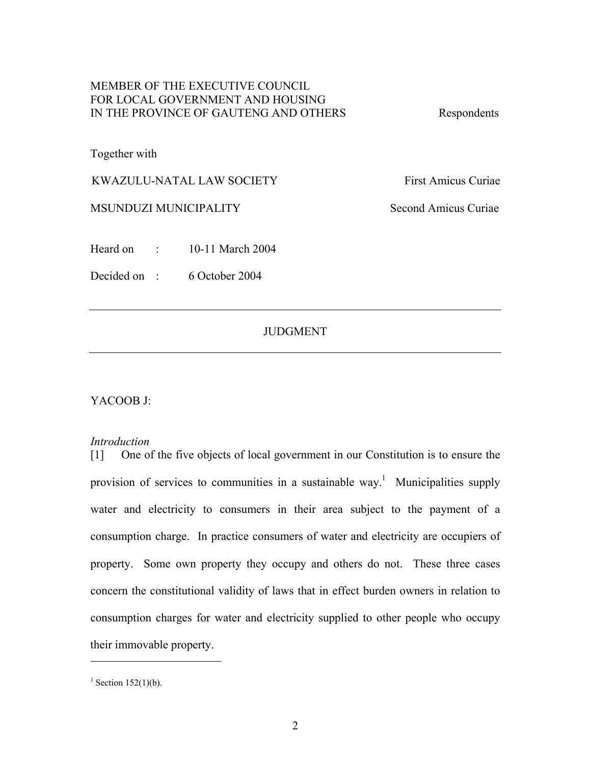## MEMBER OF THE EXECUTIVE COUNCIL FOR LOCAL GOVERNMENT AND HOUSING IN THE PROVINCE OF GAUTENG AND OTHERS Respondents

Together with

KWAZULU-NATAL LAW SOCIETY First Amicus Curiae

MSUNDUZI MUNICIPALITY Second Amicus Curiae

Heard on : 10-11 March 2004

Decided on : 6 October 2004

## JUDGMENT

YACOOB J:

## *Introduction*

[1] One of the five objects of local government in our Constitution is to ensure the provision of services to communities in a sustainable way.<sup>1</sup> Municipalities supply water and electricity to consumers in their area subject to the payment of a consumption charge. In practice consumers of water and electricity are occupiers of property. Some own property they occupy and others do not. These three cases concern the constitutional validity of laws that in effect burden owners in relation to consumption charges for water and electricity supplied to other people who occupy their immovable property.

<sup>&</sup>lt;sup>1</sup> Section 152(1)(b).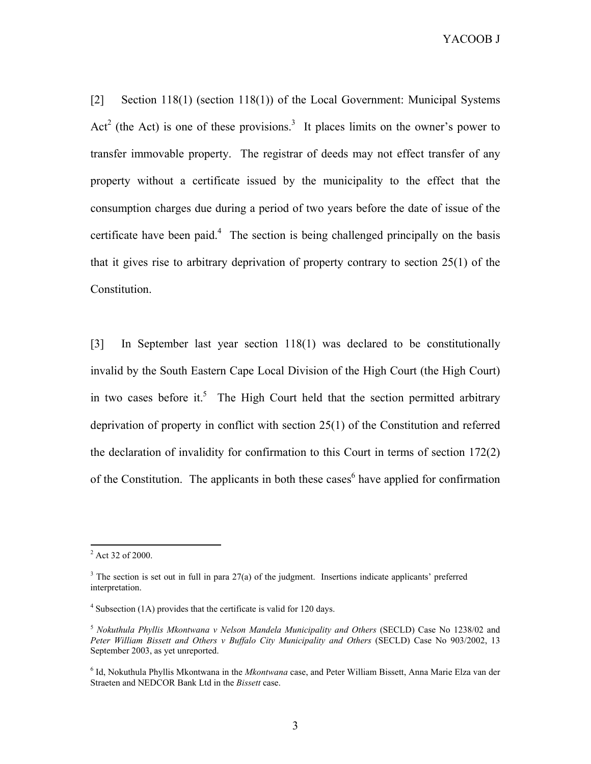YACOOB J

[2] Section 118(1) (section 118(1)) of the Local Government: Municipal Systems Act<sup>2</sup> (the Act) is one of these provisions.<sup>3</sup> It places limits on the owner's power to transfer immovable property. The registrar of deeds may not effect transfer of any property without a certificate issued by the municipality to the effect that the consumption charges due during a period of two years before the date of issue of the certificate have been paid.<sup>4</sup> The section is being challenged principally on the basis that it gives rise to arbitrary deprivation of property contrary to section 25(1) of the Constitution.

[3] In September last year section 118(1) was declared to be constitutionally invalid by the South Eastern Cape Local Division of the High Court (the High Court) in two cases before it.<sup>5</sup> The High Court held that the section permitted arbitrary deprivation of property in conflict with section 25(1) of the Constitution and referred the declaration of invalidity for confirmation to this Court in terms of section 172(2) of the Constitution. The applicants in both these cases<sup>6</sup> have applied for confirmation

 $2$  Act 32 of 2000.

 $3$  The section is set out in full in para 27(a) of the judgment. Insertions indicate applicants' preferred interpretation.

<sup>&</sup>lt;sup>4</sup> Subsection (1A) provides that the certificate is valid for 120 days.

<sup>5</sup> *Nokuthula Phyllis Mkontwana v Nelson Mandela Municipality and Others* (SECLD) Case No 1238/02 and *Peter William Bissett and Others v Buffalo City Municipality and Others* (SECLD) Case No 903/2002, 13 September 2003, as yet unreported.

<sup>6</sup> Id, Nokuthula Phyllis Mkontwana in the *Mkontwana* case, and Peter William Bissett, Anna Marie Elza van der Straeten and NEDCOR Bank Ltd in the *Bissett* case.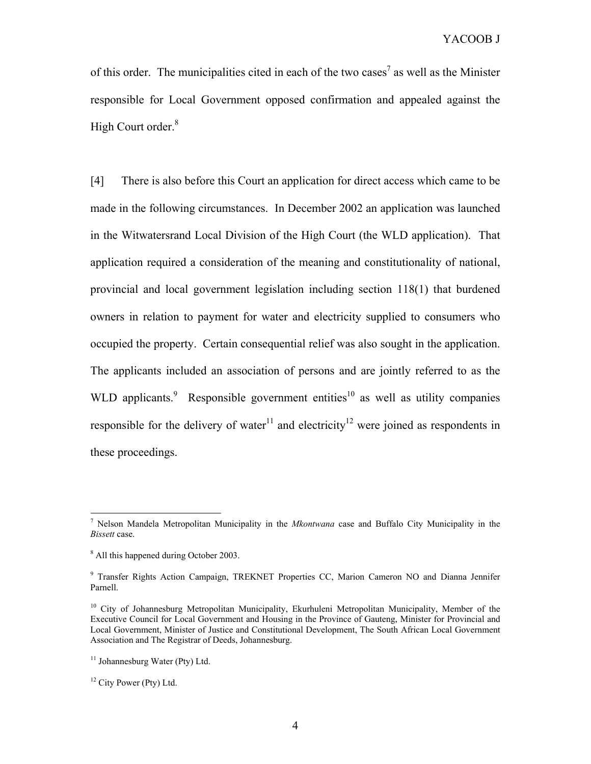of this order. The municipalities cited in each of the two cases<sup>7</sup> as well as the Minister responsible for Local Government opposed confirmation and appealed against the High Court order.<sup>8</sup>

[4] There is also before this Court an application for direct access which came to be made in the following circumstances. In December 2002 an application was launched in the Witwatersrand Local Division of the High Court (the WLD application). That application required a consideration of the meaning and constitutionality of national, provincial and local government legislation including section 118(1) that burdened owners in relation to payment for water and electricity supplied to consumers who occupied the property. Certain consequential relief was also sought in the application. The applicants included an association of persons and are jointly referred to as the WLD applicants. $9$  Responsible government entities<sup>10</sup> as well as utility companies responsible for the delivery of water<sup>11</sup> and electricity<sup>12</sup> were joined as respondents in these proceedings.

<sup>7</sup> Nelson Mandela Metropolitan Municipality in the *Mkontwana* case and Buffalo City Municipality in the *Bissett* case.

<sup>8</sup> All this happened during October 2003.

<sup>&</sup>lt;sup>9</sup> Transfer Rights Action Campaign, TREKNET Properties CC, Marion Cameron NO and Dianna Jennifer Parnell.

<sup>&</sup>lt;sup>10</sup> City of Johannesburg Metropolitan Municipality, Ekurhuleni Metropolitan Municipality, Member of the Executive Council for Local Government and Housing in the Province of Gauteng, Minister for Provincial and Local Government, Minister of Justice and Constitutional Development, The South African Local Government Association and The Registrar of Deeds, Johannesburg.

<sup>&</sup>lt;sup>11</sup> Johannesburg Water (Pty) Ltd.

 $12$  City Power (Pty) Ltd.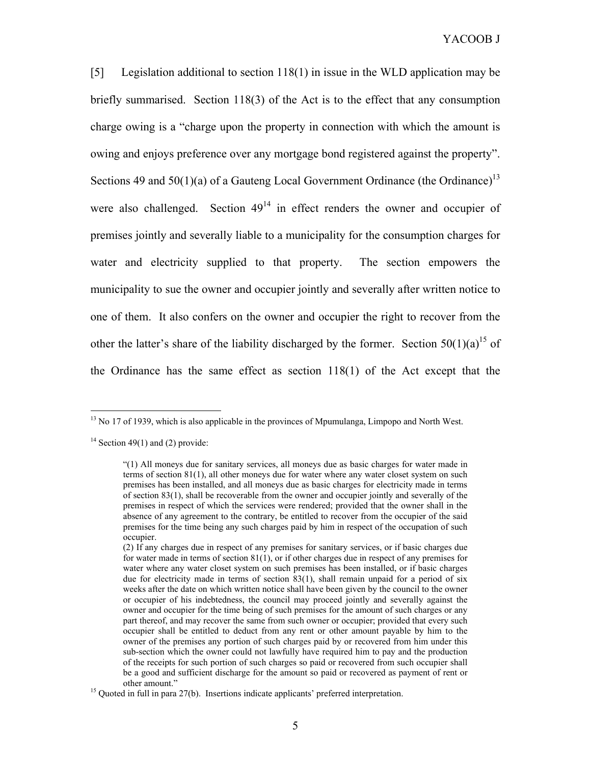[5] Legislation additional to section 118(1) in issue in the WLD application may be briefly summarised. Section 118(3) of the Act is to the effect that any consumption charge owing is a "charge upon the property in connection with which the amount is owing and enjoys preference over any mortgage bond registered against the property". Sections 49 and  $50(1)(a)$  of a Gauteng Local Government Ordinance (the Ordinance)<sup>13</sup> were also challenged. Section  $49<sup>14</sup>$  in effect renders the owner and occupier of premises jointly and severally liable to a municipality for the consumption charges for water and electricity supplied to that property. The section empowers the municipality to sue the owner and occupier jointly and severally after written notice to one of them. It also confers on the owner and occupier the right to recover from the other the latter's share of the liability discharged by the former. Section  $50(1)(a)^{15}$  of the Ordinance has the same effect as section 118(1) of the Act except that the

<sup>&</sup>lt;sup>13</sup> No 17 of 1939, which is also applicable in the provinces of Mpumulanga, Limpopo and North West.

<sup>&</sup>lt;sup>14</sup> Section 49(1) and (2) provide:

<sup>&</sup>quot;(1) All moneys due for sanitary services, all moneys due as basic charges for water made in terms of section 81(1), all other moneys due for water where any water closet system on such premises has been installed, and all moneys due as basic charges for electricity made in terms of section 83(1), shall be recoverable from the owner and occupier jointly and severally of the premises in respect of which the services were rendered; provided that the owner shall in the absence of any agreement to the contrary, be entitled to recover from the occupier of the said premises for the time being any such charges paid by him in respect of the occupation of such occupier.

<sup>(2)</sup> If any charges due in respect of any premises for sanitary services, or if basic charges due for water made in terms of section 81(1), or if other charges due in respect of any premises for water where any water closet system on such premises has been installed, or if basic charges due for electricity made in terms of section 83(1), shall remain unpaid for a period of six weeks after the date on which written notice shall have been given by the council to the owner or occupier of his indebtedness, the council may proceed jointly and severally against the owner and occupier for the time being of such premises for the amount of such charges or any part thereof, and may recover the same from such owner or occupier; provided that every such occupier shall be entitled to deduct from any rent or other amount payable by him to the owner of the premises any portion of such charges paid by or recovered from him under this sub-section which the owner could not lawfully have required him to pay and the production of the receipts for such portion of such charges so paid or recovered from such occupier shall be a good and sufficient discharge for the amount so paid or recovered as payment of rent or

other amount." 15 Quoted in full in para 27(b). Insertions indicate applicants' preferred interpretation.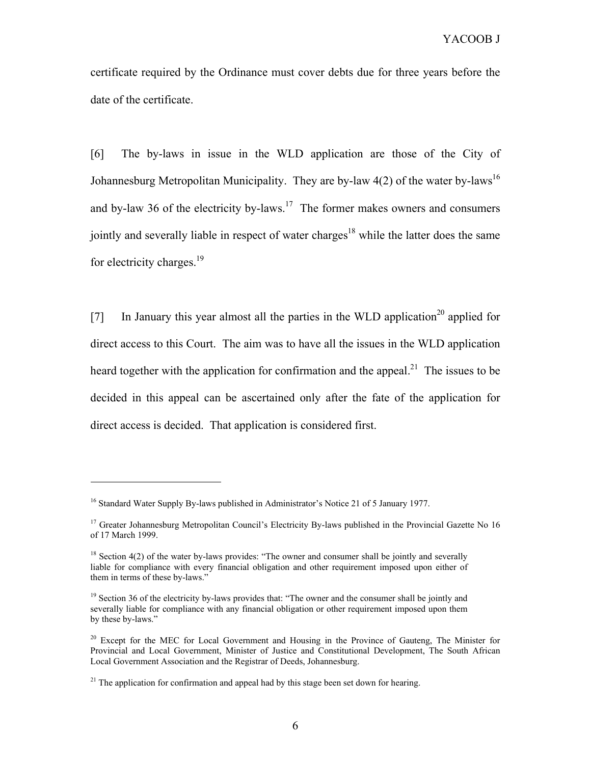certificate required by the Ordinance must cover debts due for three years before the date of the certificate.

[6] The by-laws in issue in the WLD application are those of the City of Johannesburg Metropolitan Municipality. They are by-law  $4(2)$  of the water by-laws<sup>16</sup> and by-law 36 of the electricity by-laws.<sup>17</sup> The former makes owners and consumers jointly and severally liable in respect of water charges<sup>18</sup> while the latter does the same for electricity charges.<sup>19</sup>

[7] In January this year almost all the parties in the WLD application<sup>20</sup> applied for direct access to this Court. The aim was to have all the issues in the WLD application heard together with the application for confirmation and the appeal.<sup>21</sup> The issues to be decided in this appeal can be ascertained only after the fate of the application for direct access is decided. That application is considered first.

<sup>&</sup>lt;sup>16</sup> Standard Water Supply By-laws published in Administrator's Notice 21 of 5 January 1977.

<sup>&</sup>lt;sup>17</sup> Greater Johannesburg Metropolitan Council's Electricity By-laws published in the Provincial Gazette No 16 of 17 March 1999.

<sup>&</sup>lt;sup>18</sup> Section 4(2) of the water by-laws provides: "The owner and consumer shall be jointly and severally liable for compliance with every financial obligation and other requirement imposed upon either of them in terms of these by-laws."

 $<sup>19</sup>$  Section 36 of the electricity by-laws provides that: "The owner and the consumer shall be jointly and</sup> severally liable for compliance with any financial obligation or other requirement imposed upon them by these by-laws."

<sup>&</sup>lt;sup>20</sup> Except for the MEC for Local Government and Housing in the Province of Gauteng, The Minister for Provincial and Local Government, Minister of Justice and Constitutional Development, The South African Local Government Association and the Registrar of Deeds, Johannesburg.

 $21$  The application for confirmation and appeal had by this stage been set down for hearing.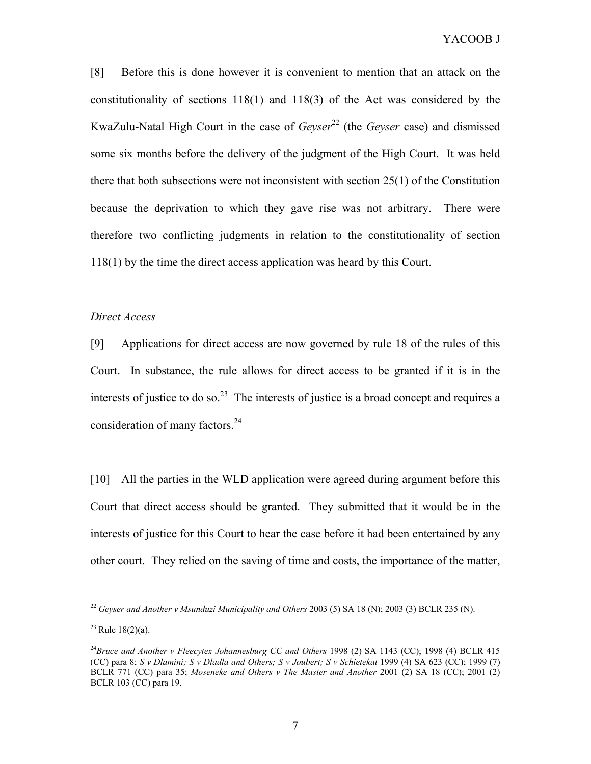[8] Before this is done however it is convenient to mention that an attack on the constitutionality of sections 118(1) and 118(3) of the Act was considered by the KwaZulu-Natal High Court in the case of *Geyser*<sup>22</sup> (the *Geyser* case) and dismissed some six months before the delivery of the judgment of the High Court. It was held there that both subsections were not inconsistent with section 25(1) of the Constitution because the deprivation to which they gave rise was not arbitrary. There were therefore two conflicting judgments in relation to the constitutionality of section 118(1) by the time the direct access application was heard by this Court.

## *Direct Access*

[9] Applications for direct access are now governed by rule 18 of the rules of this Court. In substance, the rule allows for direct access to be granted if it is in the interests of justice to do so.<sup>23</sup> The interests of justice is a broad concept and requires a consideration of many factors.<sup>24</sup>

[10] All the parties in the WLD application were agreed during argument before this Court that direct access should be granted. They submitted that it would be in the interests of justice for this Court to hear the case before it had been entertained by any other court. They relied on the saving of time and costs, the importance of the matter,

<sup>22</sup> *Geyser and Another v Msunduzi Municipality and Others* 2003 (5) SA 18 (N); 2003 (3) BCLR 235 (N).

 $23$  Rule 18(2)(a).

<sup>24</sup>*Bruce and Another v Fleecytex Johannesburg CC and Others* 1998 (2) SA 1143 (CC); 1998 (4) BCLR 415 (CC) para 8; *S v Dlamini; S v Dladla and Others; S v Joubert; S v Schietekat* 1999 (4) SA 623 (CC); 1999 (7) BCLR 771 (CC) para 35; *Moseneke and Others v The Master and Another* 2001 (2) SA 18 (CC); 2001 (2) BCLR 103 (CC) para 19.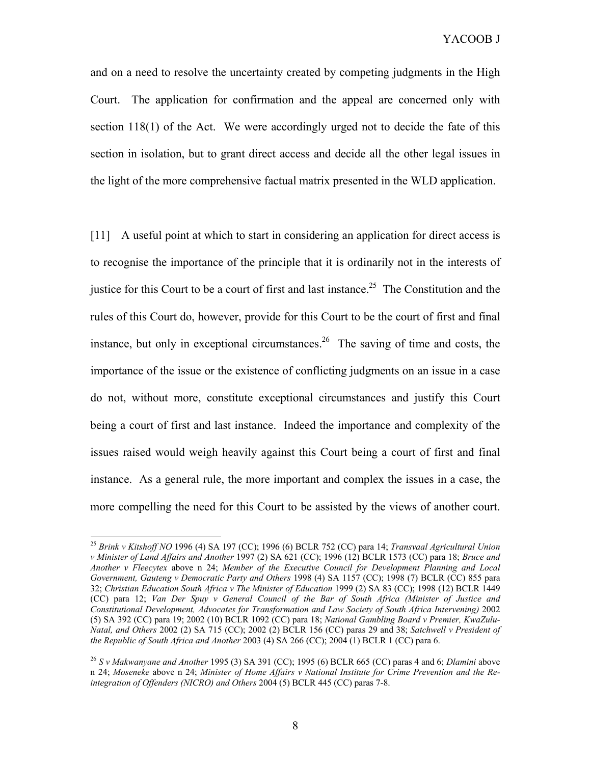and on a need to resolve the uncertainty created by competing judgments in the High Court. The application for confirmation and the appeal are concerned only with section 118(1) of the Act. We were accordingly urged not to decide the fate of this section in isolation, but to grant direct access and decide all the other legal issues in the light of the more comprehensive factual matrix presented in the WLD application.

[11] A useful point at which to start in considering an application for direct access is to recognise the importance of the principle that it is ordinarily not in the interests of justice for this Court to be a court of first and last instance.<sup>25</sup> The Constitution and the rules of this Court do, however, provide for this Court to be the court of first and final instance, but only in exceptional circumstances.<sup>26</sup> The saving of time and costs, the importance of the issue or the existence of conflicting judgments on an issue in a case do not, without more, constitute exceptional circumstances and justify this Court being a court of first and last instance. Indeed the importance and complexity of the issues raised would weigh heavily against this Court being a court of first and final instance. As a general rule, the more important and complex the issues in a case, the more compelling the need for this Court to be assisted by the views of another court.

<sup>25</sup> *Brink v Kitshoff NO* 1996 (4) SA 197 (CC); 1996 (6) BCLR 752 (CC) para 14; *Transvaal Agricultural Union v Minister of Land Affairs and Another* 1997 (2) SA 621 (CC); 1996 (12) BCLR 1573 (CC) para 18; *Bruce and Another v Fleecytex* above n 24; *Member of the Executive Council for Development Planning and Local Government, Gauteng v Democratic Party and Others* 1998 (4) SA 1157 (CC); 1998 (7) BCLR (CC) 855 para 32; *Christian Education South Africa v The Minister of Education* 1999 (2) SA 83 (CC); 1998 (12) BCLR 1449 (CC) para 12; *Van Der Spuy v General Council of the Bar of South Africa (Minister of Justice and Constitutional Development, Advocates for Transformation and Law Society of South Africa Intervening)* 2002 (5) SA 392 (CC) para 19; 2002 (10) BCLR 1092 (CC) para 18; *National Gambling Board v Premier, KwaZulu-Natal, and Others* 2002 (2) SA 715 (CC); 2002 (2) BCLR 156 (CC) paras 29 and 38; *Satchwell v President of the Republic of South Africa and Another* 2003 (4) SA 266 (CC); 2004 (1) BCLR 1 (CC) para 6.

<sup>26</sup> *S v Makwanyane and Another* 1995 (3) SA 391 (CC); 1995 (6) BCLR 665 (CC) paras 4 and 6; *Dlamini* above n 24; *Moseneke* above n 24; *Minister of Home Affairs v National Institute for Crime Prevention and the Reintegration of Offenders (NICRO) and Others* 2004 (5) BCLR 445 (CC) paras 7-8.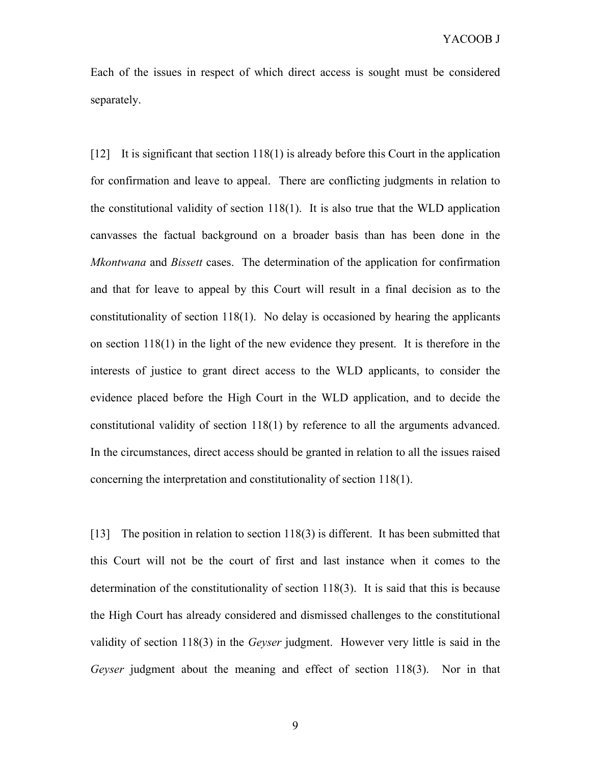Each of the issues in respect of which direct access is sought must be considered separately.

[12] It is significant that section 118(1) is already before this Court in the application for confirmation and leave to appeal. There are conflicting judgments in relation to the constitutional validity of section 118(1). It is also true that the WLD application canvasses the factual background on a broader basis than has been done in the *Mkontwana* and *Bissett* cases. The determination of the application for confirmation and that for leave to appeal by this Court will result in a final decision as to the constitutionality of section 118(1). No delay is occasioned by hearing the applicants on section 118(1) in the light of the new evidence they present. It is therefore in the interests of justice to grant direct access to the WLD applicants, to consider the evidence placed before the High Court in the WLD application, and to decide the constitutional validity of section 118(1) by reference to all the arguments advanced. In the circumstances, direct access should be granted in relation to all the issues raised concerning the interpretation and constitutionality of section 118(1).

[13] The position in relation to section 118(3) is different. It has been submitted that this Court will not be the court of first and last instance when it comes to the determination of the constitutionality of section 118(3). It is said that this is because the High Court has already considered and dismissed challenges to the constitutional validity of section 118(3) in the *Geyser* judgment. However very little is said in the *Geyser* judgment about the meaning and effect of section 118(3). Nor in that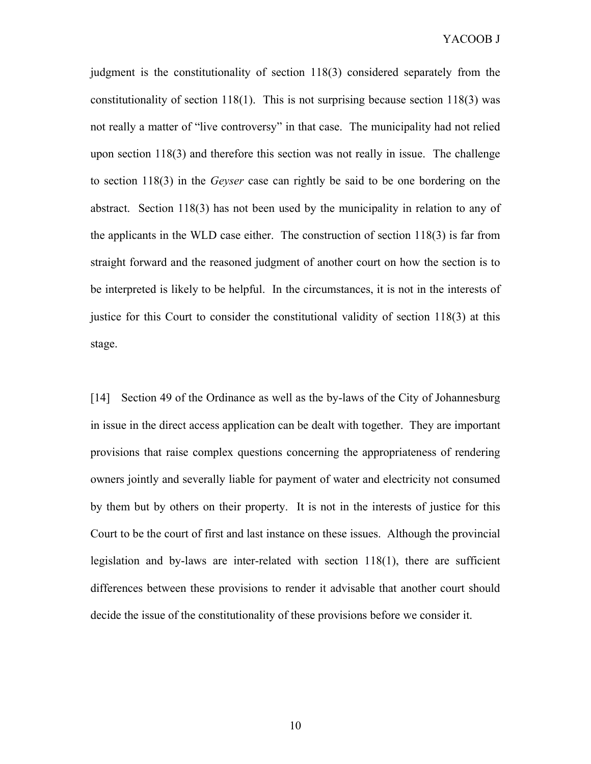judgment is the constitutionality of section 118(3) considered separately from the constitutionality of section 118(1). This is not surprising because section 118(3) was not really a matter of "live controversy" in that case. The municipality had not relied upon section 118(3) and therefore this section was not really in issue. The challenge to section 118(3) in the *Geyser* case can rightly be said to be one bordering on the abstract. Section 118(3) has not been used by the municipality in relation to any of the applicants in the WLD case either. The construction of section 118(3) is far from straight forward and the reasoned judgment of another court on how the section is to be interpreted is likely to be helpful. In the circumstances, it is not in the interests of justice for this Court to consider the constitutional validity of section 118(3) at this stage.

[14] Section 49 of the Ordinance as well as the by-laws of the City of Johannesburg in issue in the direct access application can be dealt with together. They are important provisions that raise complex questions concerning the appropriateness of rendering owners jointly and severally liable for payment of water and electricity not consumed by them but by others on their property. It is not in the interests of justice for this Court to be the court of first and last instance on these issues. Although the provincial legislation and by-laws are inter-related with section 118(1), there are sufficient differences between these provisions to render it advisable that another court should decide the issue of the constitutionality of these provisions before we consider it.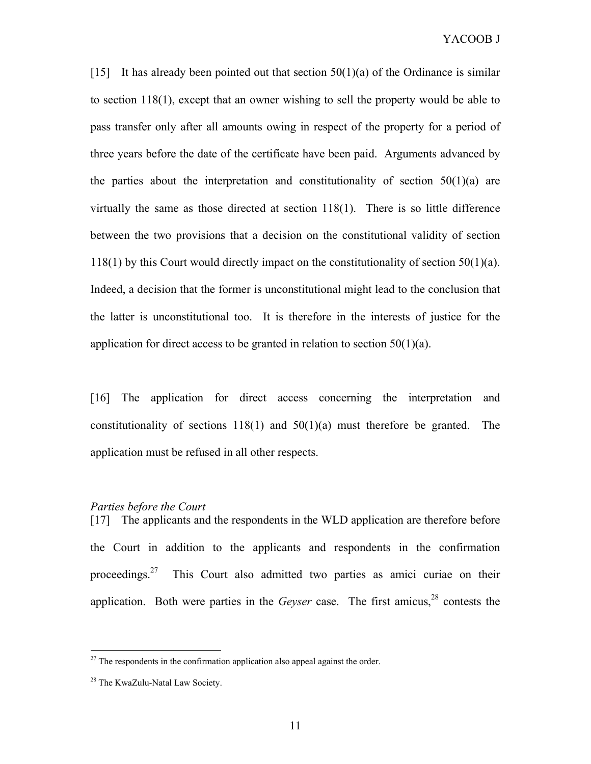[15] It has already been pointed out that section  $50(1)(a)$  of the Ordinance is similar to section 118(1), except that an owner wishing to sell the property would be able to pass transfer only after all amounts owing in respect of the property for a period of three years before the date of the certificate have been paid. Arguments advanced by the parties about the interpretation and constitutionality of section  $50(1)(a)$  are virtually the same as those directed at section 118(1). There is so little difference between the two provisions that a decision on the constitutional validity of section 118(1) by this Court would directly impact on the constitutionality of section  $50(1)(a)$ . Indeed, a decision that the former is unconstitutional might lead to the conclusion that the latter is unconstitutional too. It is therefore in the interests of justice for the application for direct access to be granted in relation to section  $50(1)(a)$ .

[16] The application for direct access concerning the interpretation and constitutionality of sections  $118(1)$  and  $50(1)(a)$  must therefore be granted. The application must be refused in all other respects.

#### *Parties before the Court*

[17] The applicants and the respondents in the WLD application are therefore before the Court in addition to the applicants and respondents in the confirmation proceedings.<sup>27</sup> This Court also admitted two parties as amici curiae on their application. Both were parties in the *Geyser* case. The first amicus,  $28$  contests the

 $27$  The respondents in the confirmation application also appeal against the order.

<sup>&</sup>lt;sup>28</sup> The KwaZulu-Natal Law Society.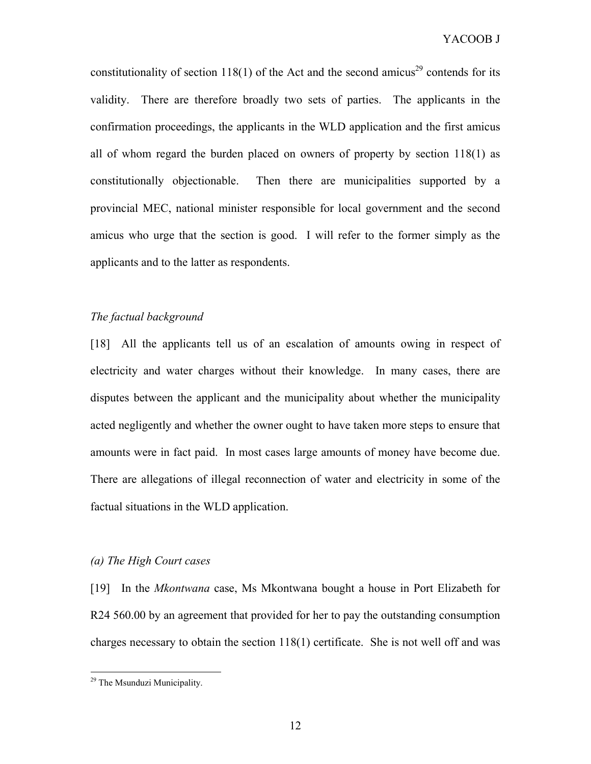constitutionality of section 118(1) of the Act and the second amicus<sup>29</sup> contends for its validity. There are therefore broadly two sets of parties. The applicants in the confirmation proceedings, the applicants in the WLD application and the first amicus all of whom regard the burden placed on owners of property by section 118(1) as constitutionally objectionable. Then there are municipalities supported by a provincial MEC, national minister responsible for local government and the second amicus who urge that the section is good. I will refer to the former simply as the applicants and to the latter as respondents.

## *The factual background*

[18] All the applicants tell us of an escalation of amounts owing in respect of electricity and water charges without their knowledge. In many cases, there are disputes between the applicant and the municipality about whether the municipality acted negligently and whether the owner ought to have taken more steps to ensure that amounts were in fact paid. In most cases large amounts of money have become due. There are allegations of illegal reconnection of water and electricity in some of the factual situations in the WLD application.

## *(a) The High Court cases*

[19] In the *Mkontwana* case, Ms Mkontwana bought a house in Port Elizabeth for R<sub>24</sub> 560.00 by an agreement that provided for her to pay the outstanding consumption charges necessary to obtain the section 118(1) certificate. She is not well off and was

<sup>&</sup>lt;sup>29</sup> The Msunduzi Municipality.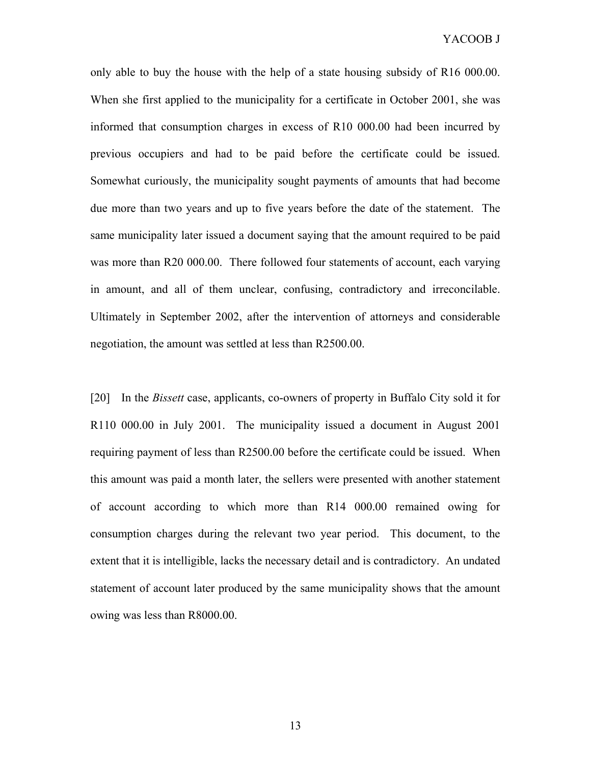only able to buy the house with the help of a state housing subsidy of R16 000.00. When she first applied to the municipality for a certificate in October 2001, she was informed that consumption charges in excess of R10 000.00 had been incurred by previous occupiers and had to be paid before the certificate could be issued. Somewhat curiously, the municipality sought payments of amounts that had become due more than two years and up to five years before the date of the statement. The same municipality later issued a document saying that the amount required to be paid was more than R20 000.00. There followed four statements of account, each varying in amount, and all of them unclear, confusing, contradictory and irreconcilable. Ultimately in September 2002, after the intervention of attorneys and considerable negotiation, the amount was settled at less than R2500.00.

[20] In the *Bissett* case, applicants, co-owners of property in Buffalo City sold it for R110 000.00 in July 2001. The municipality issued a document in August 2001 requiring payment of less than R2500.00 before the certificate could be issued. When this amount was paid a month later, the sellers were presented with another statement of account according to which more than R14 000.00 remained owing for consumption charges during the relevant two year period. This document, to the extent that it is intelligible, lacks the necessary detail and is contradictory. An undated statement of account later produced by the same municipality shows that the amount owing was less than R8000.00.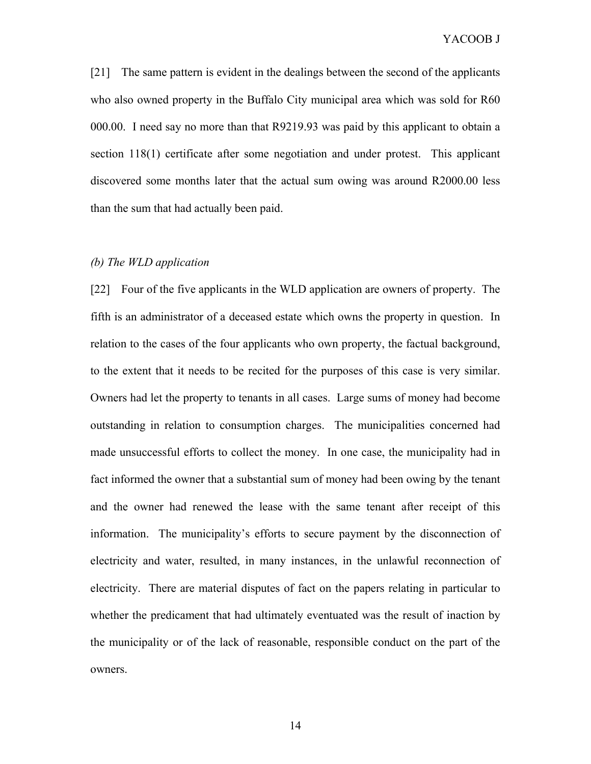[21] The same pattern is evident in the dealings between the second of the applicants who also owned property in the Buffalo City municipal area which was sold for R60 000.00. I need say no more than that R9219.93 was paid by this applicant to obtain a section 118(1) certificate after some negotiation and under protest. This applicant discovered some months later that the actual sum owing was around R2000.00 less than the sum that had actually been paid.

## *(b) The WLD application*

[22] Four of the five applicants in the WLD application are owners of property. The fifth is an administrator of a deceased estate which owns the property in question. In relation to the cases of the four applicants who own property, the factual background, to the extent that it needs to be recited for the purposes of this case is very similar. Owners had let the property to tenants in all cases. Large sums of money had become outstanding in relation to consumption charges. The municipalities concerned had made unsuccessful efforts to collect the money. In one case, the municipality had in fact informed the owner that a substantial sum of money had been owing by the tenant and the owner had renewed the lease with the same tenant after receipt of this information. The municipality's efforts to secure payment by the disconnection of electricity and water, resulted, in many instances, in the unlawful reconnection of electricity. There are material disputes of fact on the papers relating in particular to whether the predicament that had ultimately eventuated was the result of inaction by the municipality or of the lack of reasonable, responsible conduct on the part of the owners.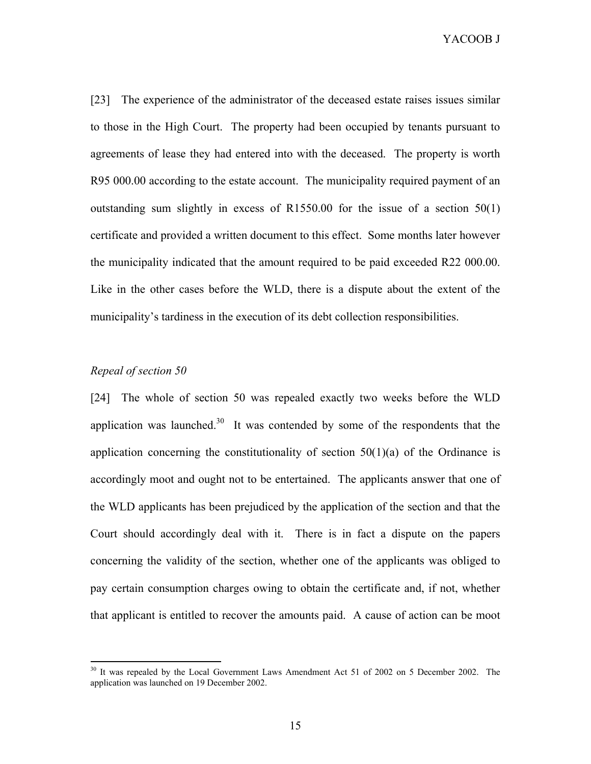YACOOB J

[23] The experience of the administrator of the deceased estate raises issues similar to those in the High Court. The property had been occupied by tenants pursuant to agreements of lease they had entered into with the deceased. The property is worth R95 000.00 according to the estate account. The municipality required payment of an outstanding sum slightly in excess of R1550.00 for the issue of a section 50(1) certificate and provided a written document to this effect. Some months later however the municipality indicated that the amount required to be paid exceeded R22 000.00. Like in the other cases before the WLD, there is a dispute about the extent of the municipality's tardiness in the execution of its debt collection responsibilities.

## *Repeal of section 50*

1

[24] The whole of section 50 was repealed exactly two weeks before the WLD application was launched.<sup>30</sup> It was contended by some of the respondents that the application concerning the constitutionality of section  $50(1)(a)$  of the Ordinance is accordingly moot and ought not to be entertained. The applicants answer that one of the WLD applicants has been prejudiced by the application of the section and that the Court should accordingly deal with it. There is in fact a dispute on the papers concerning the validity of the section, whether one of the applicants was obliged to pay certain consumption charges owing to obtain the certificate and, if not, whether that applicant is entitled to recover the amounts paid. A cause of action can be moot

<sup>&</sup>lt;sup>30</sup> It was repealed by the Local Government Laws Amendment Act 51 of 2002 on 5 December 2002. The application was launched on 19 December 2002.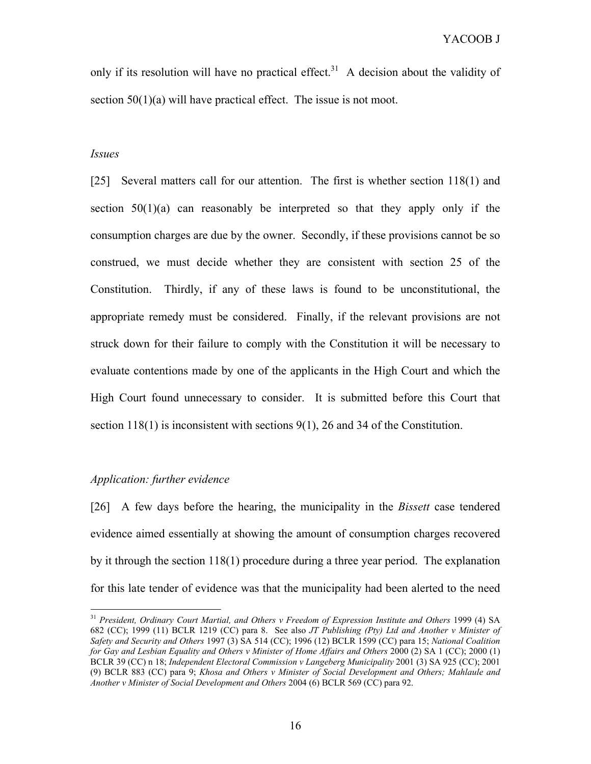only if its resolution will have no practical effect.<sup>31</sup> A decision about the validity of section 50(1)(a) will have practical effect. The issue is not moot.

#### *Issues*

[25] Several matters call for our attention. The first is whether section 118(1) and section 50(1)(a) can reasonably be interpreted so that they apply only if the consumption charges are due by the owner. Secondly, if these provisions cannot be so construed, we must decide whether they are consistent with section 25 of the Constitution. Thirdly, if any of these laws is found to be unconstitutional, the appropriate remedy must be considered. Finally, if the relevant provisions are not struck down for their failure to comply with the Constitution it will be necessary to evaluate contentions made by one of the applicants in the High Court and which the High Court found unnecessary to consider. It is submitted before this Court that section 118(1) is inconsistent with sections 9(1), 26 and 34 of the Constitution.

## *Application: further evidence*

1

[26] A few days before the hearing, the municipality in the *Bissett* case tendered evidence aimed essentially at showing the amount of consumption charges recovered by it through the section 118(1) procedure during a three year period. The explanation for this late tender of evidence was that the municipality had been alerted to the need

<sup>&</sup>lt;sup>31</sup> President, Ordinary Court Martial, and Others v Freedom of Expression Institute and Others 1999 (4) SA 682 (CC); 1999 (11) BCLR 1219 (CC) para 8. See also *JT Publishing (Pty) Ltd and Another v Minister of Safety and Security and Others* 1997 (3) SA 514 (CC); 1996 (12) BCLR 1599 (CC) para 15; *National Coalition for Gay and Lesbian Equality and Others v Minister of Home Affairs and Others* 2000 (2) SA 1 (CC); 2000 (1) BCLR 39 (CC) n 18; *Independent Electoral Commission v Langeberg Municipality* 2001 (3) SA 925 (CC); 2001 (9) BCLR 883 (CC) para 9; *Khosa and Others v Minister of Social Development and Others; Mahlaule and Another v Minister of Social Development and Others* 2004 (6) BCLR 569 (CC) para 92.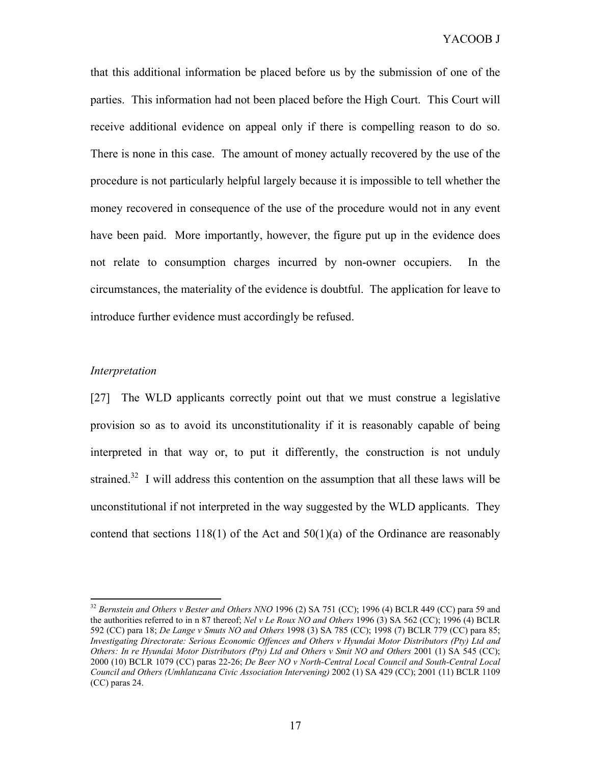that this additional information be placed before us by the submission of one of the parties. This information had not been placed before the High Court. This Court will receive additional evidence on appeal only if there is compelling reason to do so. There is none in this case. The amount of money actually recovered by the use of the procedure is not particularly helpful largely because it is impossible to tell whether the money recovered in consequence of the use of the procedure would not in any event have been paid. More importantly, however, the figure put up in the evidence does not relate to consumption charges incurred by non-owner occupiers. In the circumstances, the materiality of the evidence is doubtful. The application for leave to introduce further evidence must accordingly be refused.

#### *Interpretation*

1

[27] The WLD applicants correctly point out that we must construe a legislative provision so as to avoid its unconstitutionality if it is reasonably capable of being interpreted in that way or, to put it differently, the construction is not unduly strained.<sup>32</sup> I will address this contention on the assumption that all these laws will be unconstitutional if not interpreted in the way suggested by the WLD applicants. They contend that sections  $118(1)$  of the Act and  $50(1)(a)$  of the Ordinance are reasonably

<sup>32</sup> *Bernstein and Others v Bester and Others NNO* 1996 (2) SA 751 (CC); 1996 (4) BCLR 449 (CC) para 59 and the authorities referred to in n 87 thereof; *Nel v Le Roux NO and Others* 1996 (3) SA 562 (CC); 1996 (4) BCLR 592 (CC) para 18; *De Lange v Smuts NO and Others* 1998 (3) SA 785 (CC); 1998 (7) BCLR 779 (CC) para 85; *Investigating Directorate: Serious Economic Offences and Others v Hyundai Motor Distributors (Pty) Ltd and Others: In re Hyundai Motor Distributors (Pty) Ltd and Others v Smit NO and Others* 2001 (1) SA 545 (CC); 2000 (10) BCLR 1079 (CC) paras 22-26; *De Beer NO v North-Central Local Council and South-Central Local Council and Others (Umhlatuzana Civic Association Intervening)* 2002 (1) SA 429 (CC); 2001 (11) BCLR 1109 (CC) paras 24.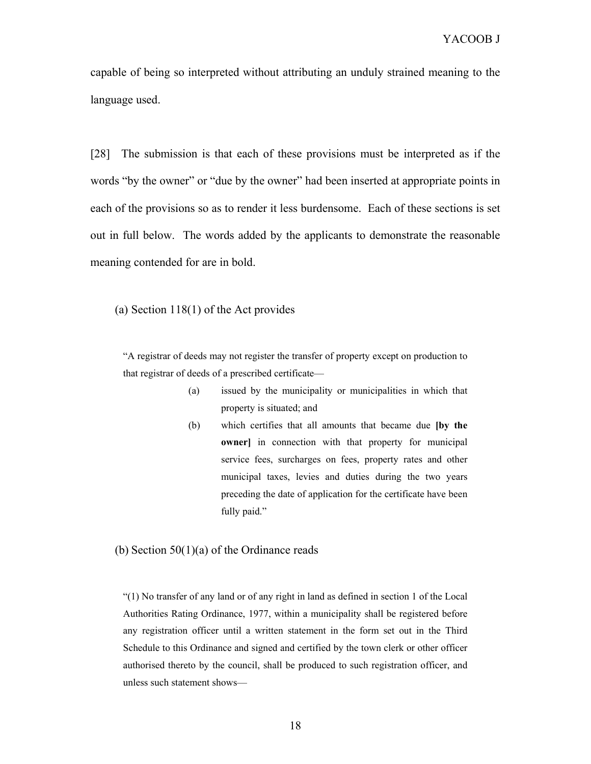capable of being so interpreted without attributing an unduly strained meaning to the language used.

[28] The submission is that each of these provisions must be interpreted as if the words "by the owner" or "due by the owner" had been inserted at appropriate points in each of the provisions so as to render it less burdensome. Each of these sections is set out in full below. The words added by the applicants to demonstrate the reasonable meaning contended for are in bold.

(a) Section 118(1) of the Act provides

"A registrar of deeds may not register the transfer of property except on production to that registrar of deeds of a prescribed certificate—

- (a) issued by the municipality or municipalities in which that property is situated; and
- (b) which certifies that all amounts that became due **[by the owner]** in connection with that property for municipal service fees, surcharges on fees, property rates and other municipal taxes, levies and duties during the two years preceding the date of application for the certificate have been fully paid."

(b) Section  $50(1)(a)$  of the Ordinance reads

"(1) No transfer of any land or of any right in land as defined in section 1 of the Local Authorities Rating Ordinance, 1977, within a municipality shall be registered before any registration officer until a written statement in the form set out in the Third Schedule to this Ordinance and signed and certified by the town clerk or other officer authorised thereto by the council, shall be produced to such registration officer, and unless such statement shows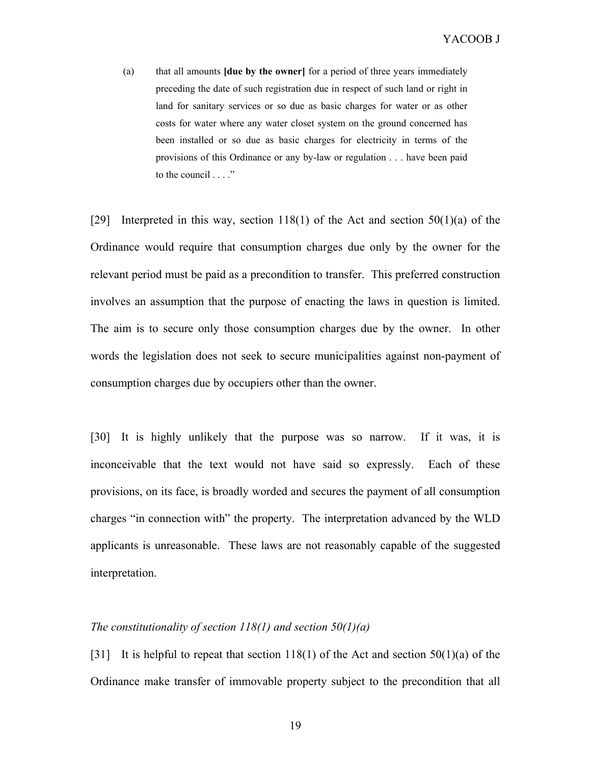(a) that all amounts **[due by the owner]** for a period of three years immediately preceding the date of such registration due in respect of such land or right in land for sanitary services or so due as basic charges for water or as other costs for water where any water closet system on the ground concerned has been installed or so due as basic charges for electricity in terms of the provisions of this Ordinance or any by-law or regulation . . . have been paid to the council  $\ldots$ ."

[29] Interpreted in this way, section 118(1) of the Act and section  $50(1)(a)$  of the Ordinance would require that consumption charges due only by the owner for the relevant period must be paid as a precondition to transfer. This preferred construction involves an assumption that the purpose of enacting the laws in question is limited. The aim is to secure only those consumption charges due by the owner. In other words the legislation does not seek to secure municipalities against non-payment of consumption charges due by occupiers other than the owner.

[30] It is highly unlikely that the purpose was so narrow. If it was, it is inconceivable that the text would not have said so expressly. Each of these provisions, on its face, is broadly worded and secures the payment of all consumption charges "in connection with" the property. The interpretation advanced by the WLD applicants is unreasonable. These laws are not reasonably capable of the suggested interpretation.

#### *The constitutionality of section 118(1) and section 50(1)(a)*

[31] It is helpful to repeat that section 118(1) of the Act and section  $50(1)(a)$  of the Ordinance make transfer of immovable property subject to the precondition that all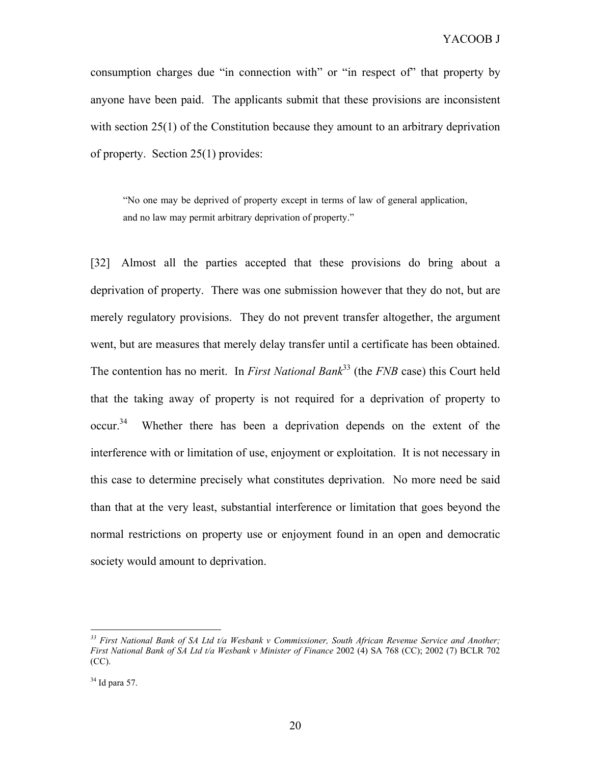consumption charges due "in connection with" or "in respect of" that property by anyone have been paid. The applicants submit that these provisions are inconsistent with section 25(1) of the Constitution because they amount to an arbitrary deprivation of property. Section 25(1) provides:

"No one may be deprived of property except in terms of law of general application, and no law may permit arbitrary deprivation of property."

[32] Almost all the parties accepted that these provisions do bring about a deprivation of property. There was one submission however that they do not, but are merely regulatory provisions. They do not prevent transfer altogether, the argument went, but are measures that merely delay transfer until a certificate has been obtained. The contention has no merit. In *First National Bank*<sup>33</sup> (the *FNB* case) this Court held that the taking away of property is not required for a deprivation of property to  $\mathrm{occur.}^{34}$  Whether there has been a deprivation depends on the extent of the interference with or limitation of use, enjoyment or exploitation. It is not necessary in this case to determine precisely what constitutes deprivation. No more need be said than that at the very least, substantial interference or limitation that goes beyond the normal restrictions on property use or enjoyment found in an open and democratic society would amount to deprivation.

*<sup>33</sup> First National Bank of SA Ltd t/a Wesbank v Commissioner, South African Revenue Service and Another; First National Bank of SA Ltd t/a Wesbank v Minister of Finance* 2002 (4) SA 768 (CC); 2002 (7) BCLR 702 (CC).

 $34$  Id para 57.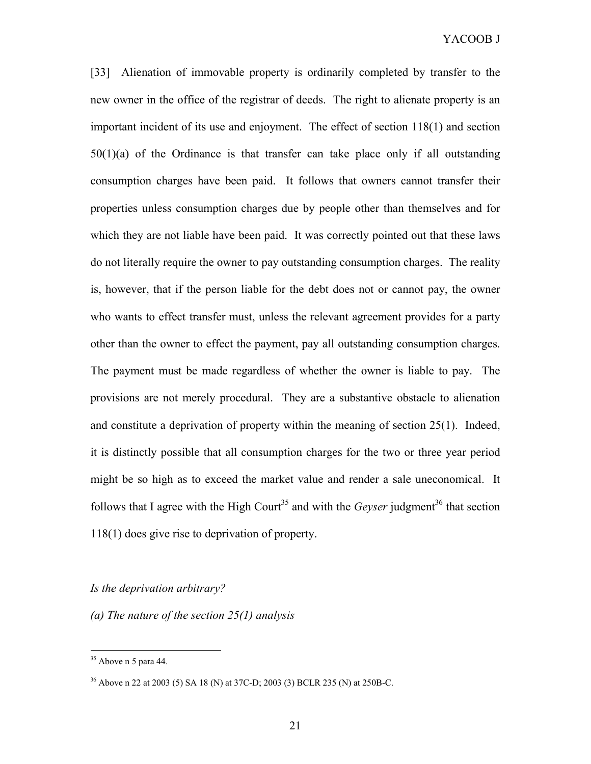[33] Alienation of immovable property is ordinarily completed by transfer to the new owner in the office of the registrar of deeds. The right to alienate property is an important incident of its use and enjoyment. The effect of section 118(1) and section  $50(1)(a)$  of the Ordinance is that transfer can take place only if all outstanding consumption charges have been paid. It follows that owners cannot transfer their properties unless consumption charges due by people other than themselves and for which they are not liable have been paid. It was correctly pointed out that these laws do not literally require the owner to pay outstanding consumption charges. The reality is, however, that if the person liable for the debt does not or cannot pay, the owner who wants to effect transfer must, unless the relevant agreement provides for a party other than the owner to effect the payment, pay all outstanding consumption charges. The payment must be made regardless of whether the owner is liable to pay. The provisions are not merely procedural. They are a substantive obstacle to alienation and constitute a deprivation of property within the meaning of section 25(1). Indeed, it is distinctly possible that all consumption charges for the two or three year period might be so high as to exceed the market value and render a sale uneconomical. It follows that I agree with the High Court<sup>35</sup> and with the *Geyser* judgment<sup>36</sup> that section 118(1) does give rise to deprivation of property.

## *Is the deprivation arbitrary?*

*(a) The nature of the section 25(1) analysis* 

 $35$  Above n 5 para 44.

<sup>36</sup> Above n 22 at 2003 (5) SA 18 (N) at 37C-D; 2003 (3) BCLR 235 (N) at 250B-C.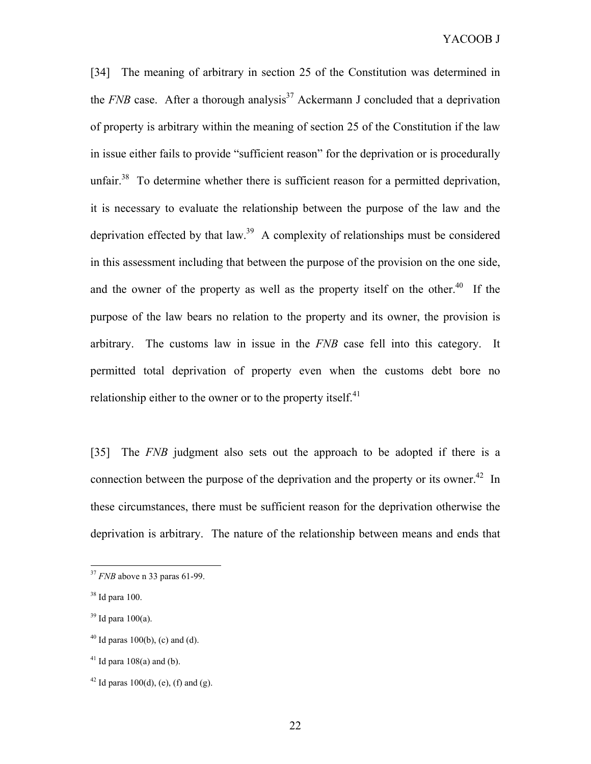[34] The meaning of arbitrary in section 25 of the Constitution was determined in the *FNB* case. After a thorough analysis<sup>37</sup> Ackermann J concluded that a deprivation of property is arbitrary within the meaning of section 25 of the Constitution if the law in issue either fails to provide "sufficient reason" for the deprivation or is procedurally unfair.<sup>38</sup> To determine whether there is sufficient reason for a permitted deprivation, it is necessary to evaluate the relationship between the purpose of the law and the deprivation effected by that  $law<sup>39</sup>$ . A complexity of relationships must be considered in this assessment including that between the purpose of the provision on the one side, and the owner of the property as well as the property itself on the other.<sup>40</sup> If the purpose of the law bears no relation to the property and its owner, the provision is arbitrary. The customs law in issue in the *FNB* case fell into this category. It permitted total deprivation of property even when the customs debt bore no relationship either to the owner or to the property itself. $41$ 

[35] The *FNB* judgment also sets out the approach to be adopted if there is a connection between the purpose of the deprivation and the property or its owner.<sup>42</sup> In these circumstances, there must be sufficient reason for the deprivation otherwise the deprivation is arbitrary. The nature of the relationship between means and ends that

<sup>37</sup> *FNB* above n 33 paras 61-99.

 $38$  Id para 100.

 $39$  Id para 100(a).

 $40$  Id paras 100(b), (c) and (d).

 $41$  Id para 108(a) and (b).

<sup>&</sup>lt;sup>42</sup> Id paras 100(d), (e), (f) and (g).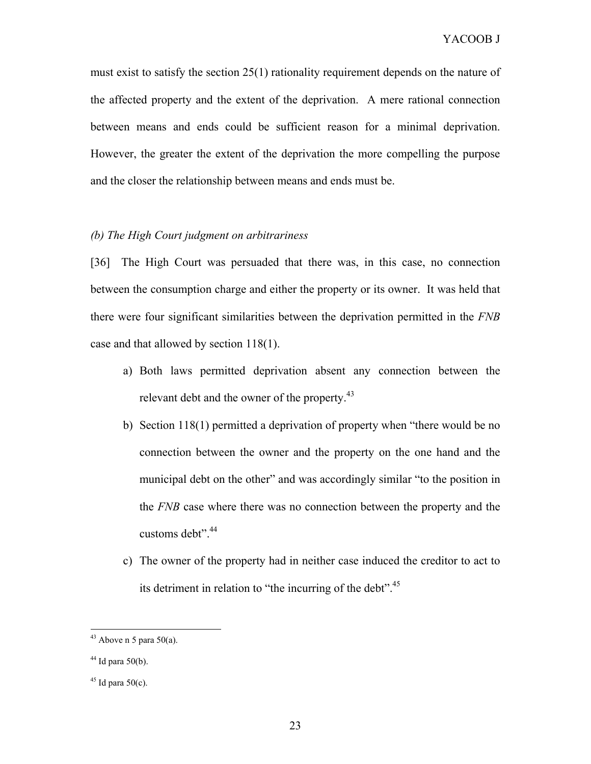must exist to satisfy the section 25(1) rationality requirement depends on the nature of the affected property and the extent of the deprivation. A mere rational connection between means and ends could be sufficient reason for a minimal deprivation. However, the greater the extent of the deprivation the more compelling the purpose and the closer the relationship between means and ends must be.

## *(b) The High Court judgment on arbitrariness*

[36] The High Court was persuaded that there was, in this case, no connection between the consumption charge and either the property or its owner. It was held that there were four significant similarities between the deprivation permitted in the *FNB* case and that allowed by section 118(1).

- a) Both laws permitted deprivation absent any connection between the relevant debt and the owner of the property.<sup>43</sup>
- b) Section 118(1) permitted a deprivation of property when "there would be no connection between the owner and the property on the one hand and the municipal debt on the other" and was accordingly similar "to the position in the *FNB* case where there was no connection between the property and the customs debt".<sup>44</sup>
- c) The owner of the property had in neither case induced the creditor to act to its detriment in relation to "the incurring of the debt". $45$

 $43$  Above n 5 para 50(a).

 $44$  Id para 50(b).

 $45$  Id para 50(c).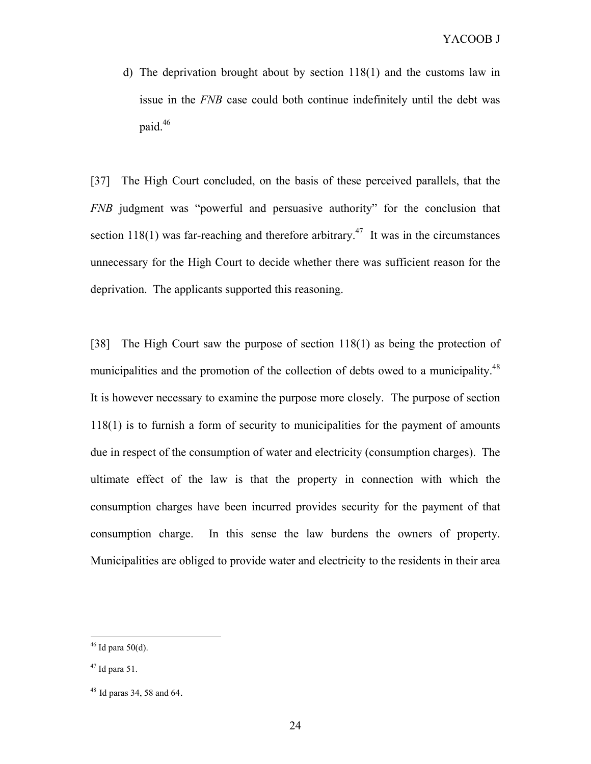d) The deprivation brought about by section 118(1) and the customs law in issue in the *FNB* case could both continue indefinitely until the debt was paid.<sup>46</sup>

[37] The High Court concluded, on the basis of these perceived parallels, that the *FNB* judgment was "powerful and persuasive authority" for the conclusion that section 118(1) was far-reaching and therefore arbitrary.<sup>47</sup> It was in the circumstances unnecessary for the High Court to decide whether there was sufficient reason for the deprivation. The applicants supported this reasoning.

[38] The High Court saw the purpose of section 118(1) as being the protection of municipalities and the promotion of the collection of debts owed to a municipality.<sup>48</sup> It is however necessary to examine the purpose more closely. The purpose of section 118(1) is to furnish a form of security to municipalities for the payment of amounts due in respect of the consumption of water and electricity (consumption charges). The ultimate effect of the law is that the property in connection with which the consumption charges have been incurred provides security for the payment of that consumption charge. In this sense the law burdens the owners of property. Municipalities are obliged to provide water and electricity to the residents in their area

 $46$  Id para 50(d).

<sup>47</sup> Id para 51.

<sup>48</sup> Id paras 34, 58 and 64.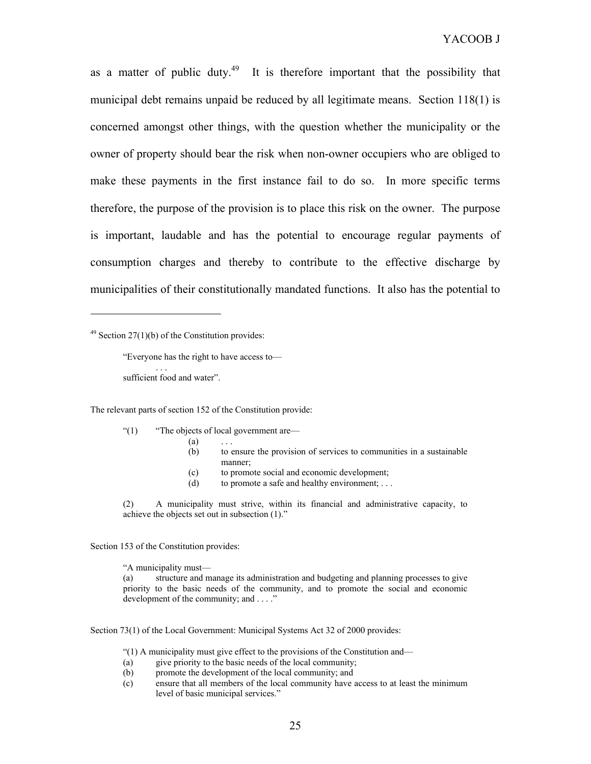as a matter of public duty.<sup>49</sup> It is therefore important that the possibility that municipal debt remains unpaid be reduced by all legitimate means. Section 118(1) is concerned amongst other things, with the question whether the municipality or the owner of property should bear the risk when non-owner occupiers who are obliged to make these payments in the first instance fail to do so. In more specific terms therefore, the purpose of the provision is to place this risk on the owner. The purpose is important, laudable and has the potential to encourage regular payments of consumption charges and thereby to contribute to the effective discharge by municipalities of their constitutionally mandated functions. It also has the potential to

 $49$  Section 27(1)(b) of the Constitution provides:

 $\overline{a}$ 

"Everyone has the right to have access to— . . . sufficient food and water".

The relevant parts of section 152 of the Constitution provide:

- "(1) "The objects of local government are—
	- $(a)$  ...
	- (b) to ensure the provision of services to communities in a sustainable manner;
	- (c) to promote social and economic development;
	- (d) to promote a safe and healthy environment; . . .

(2) A municipality must strive, within its financial and administrative capacity, to achieve the objects set out in subsection (1)."

Section 153 of the Constitution provides:

"A municipality must—

structure and manage its administration and budgeting and planning processes to give priority to the basic needs of the community, and to promote the social and economic development of the community; and . . . ."

Section 73(1) of the Local Government: Municipal Systems Act 32 of 2000 provides:

- "(1) A municipality must give effect to the provisions of the Constitution and—
- (a) give priority to the basic needs of the local community;
- (b) promote the development of the local community; and
- (c) ensure that all members of the local community have access to at least the minimum level of basic municipal services."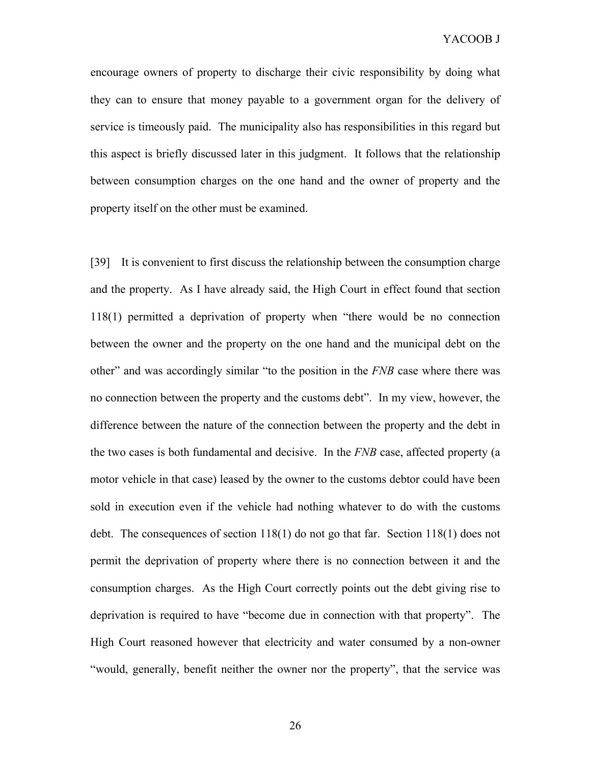encourage owners of property to discharge their civic responsibility by doing what they can to ensure that money payable to a government organ for the delivery of service is timeously paid. The municipality also has responsibilities in this regard but this aspect is briefly discussed later in this judgment. It follows that the relationship between consumption charges on the one hand and the owner of property and the property itself on the other must be examined.

[39] It is convenient to first discuss the relationship between the consumption charge and the property. As I have already said, the High Court in effect found that section 118(1) permitted a deprivation of property when "there would be no connection between the owner and the property on the one hand and the municipal debt on the other" and was accordingly similar "to the position in the *FNB* case where there was no connection between the property and the customs debt". In my view, however, the difference between the nature of the connection between the property and the debt in the two cases is both fundamental and decisive. In the *FNB* case, affected property (a motor vehicle in that case) leased by the owner to the customs debtor could have been sold in execution even if the vehicle had nothing whatever to do with the customs debt. The consequences of section 118(1) do not go that far. Section 118(1) does not permit the deprivation of property where there is no connection between it and the consumption charges. As the High Court correctly points out the debt giving rise to deprivation is required to have "become due in connection with that property". The High Court reasoned however that electricity and water consumed by a non-owner "would, generally, benefit neither the owner nor the property", that the service was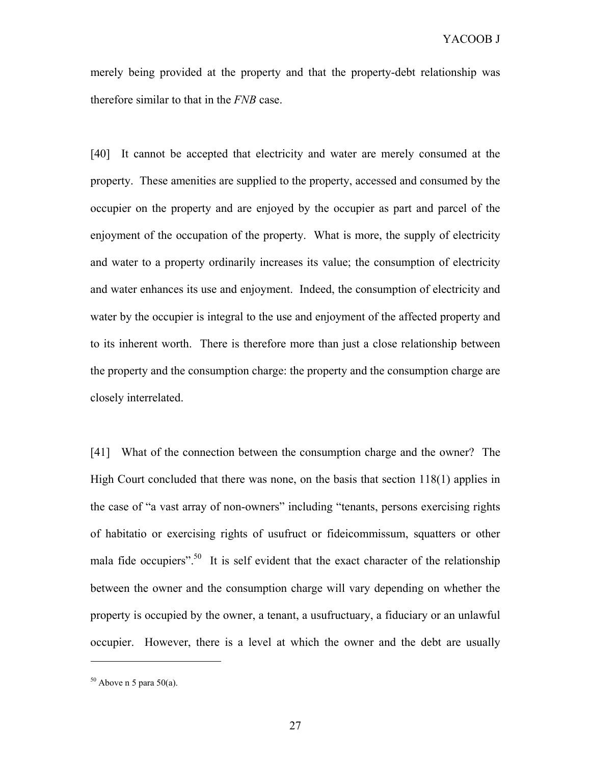merely being provided at the property and that the property-debt relationship was therefore similar to that in the *FNB* case.

[40] It cannot be accepted that electricity and water are merely consumed at the property. These amenities are supplied to the property, accessed and consumed by the occupier on the property and are enjoyed by the occupier as part and parcel of the enjoyment of the occupation of the property. What is more, the supply of electricity and water to a property ordinarily increases its value; the consumption of electricity and water enhances its use and enjoyment. Indeed, the consumption of electricity and water by the occupier is integral to the use and enjoyment of the affected property and to its inherent worth. There is therefore more than just a close relationship between the property and the consumption charge: the property and the consumption charge are closely interrelated.

[41] What of the connection between the consumption charge and the owner? The High Court concluded that there was none, on the basis that section 118(1) applies in the case of "a vast array of non-owners" including "tenants, persons exercising rights of habitatio or exercising rights of usufruct or fideicommissum, squatters or other mala fide occupiers".<sup>50</sup> It is self evident that the exact character of the relationship between the owner and the consumption charge will vary depending on whether the property is occupied by the owner, a tenant, a usufructuary, a fiduciary or an unlawful occupier. However, there is a level at which the owner and the debt are usually

 $50$  Above n 5 para 50(a).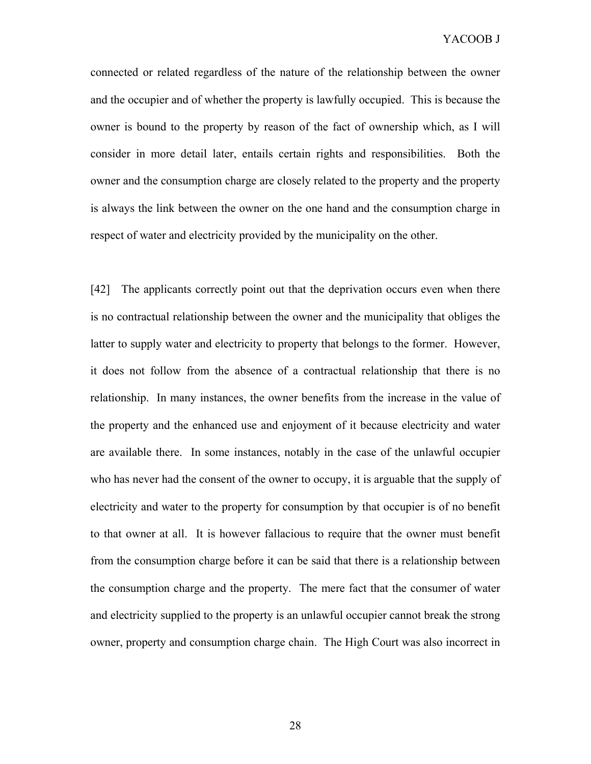connected or related regardless of the nature of the relationship between the owner and the occupier and of whether the property is lawfully occupied. This is because the owner is bound to the property by reason of the fact of ownership which, as I will consider in more detail later, entails certain rights and responsibilities. Both the owner and the consumption charge are closely related to the property and the property is always the link between the owner on the one hand and the consumption charge in respect of water and electricity provided by the municipality on the other.

[42] The applicants correctly point out that the deprivation occurs even when there is no contractual relationship between the owner and the municipality that obliges the latter to supply water and electricity to property that belongs to the former. However, it does not follow from the absence of a contractual relationship that there is no relationship. In many instances, the owner benefits from the increase in the value of the property and the enhanced use and enjoyment of it because electricity and water are available there. In some instances, notably in the case of the unlawful occupier who has never had the consent of the owner to occupy, it is arguable that the supply of electricity and water to the property for consumption by that occupier is of no benefit to that owner at all. It is however fallacious to require that the owner must benefit from the consumption charge before it can be said that there is a relationship between the consumption charge and the property. The mere fact that the consumer of water and electricity supplied to the property is an unlawful occupier cannot break the strong owner, property and consumption charge chain. The High Court was also incorrect in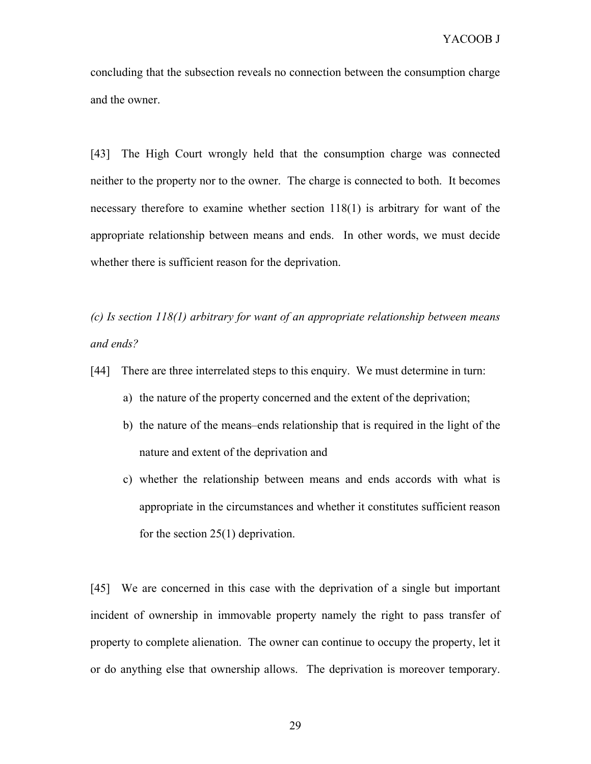concluding that the subsection reveals no connection between the consumption charge and the owner.

[43] The High Court wrongly held that the consumption charge was connected neither to the property nor to the owner. The charge is connected to both. It becomes necessary therefore to examine whether section 118(1) is arbitrary for want of the appropriate relationship between means and ends. In other words, we must decide whether there is sufficient reason for the deprivation.

*(c) Is section 118(1) arbitrary for want of an appropriate relationship between means and ends?* 

- [44] There are three interrelated steps to this enquiry. We must determine in turn:
	- a) the nature of the property concerned and the extent of the deprivation;
	- b) the nature of the means–ends relationship that is required in the light of the nature and extent of the deprivation and
	- c) whether the relationship between means and ends accords with what is appropriate in the circumstances and whether it constitutes sufficient reason for the section 25(1) deprivation.

[45] We are concerned in this case with the deprivation of a single but important incident of ownership in immovable property namely the right to pass transfer of property to complete alienation. The owner can continue to occupy the property, let it or do anything else that ownership allows. The deprivation is moreover temporary.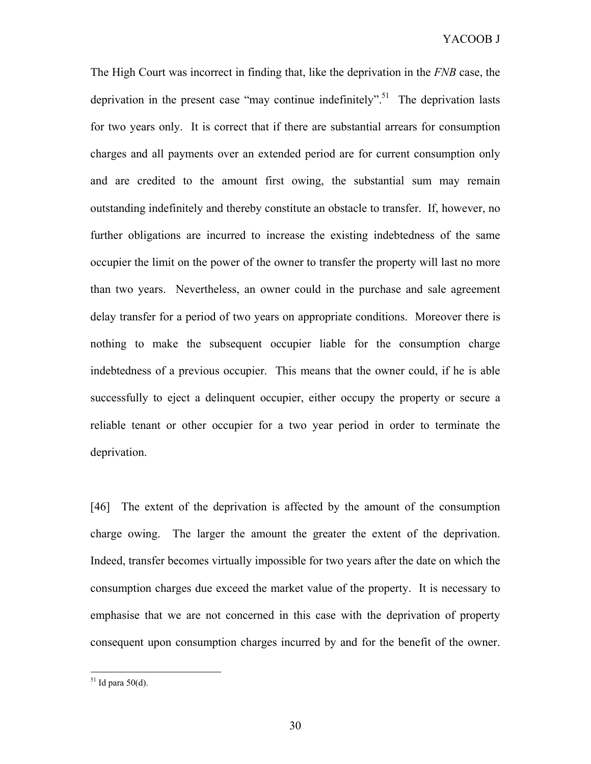The High Court was incorrect in finding that, like the deprivation in the *FNB* case, the deprivation in the present case "may continue indefinitely".<sup>51</sup> The deprivation lasts for two years only. It is correct that if there are substantial arrears for consumption charges and all payments over an extended period are for current consumption only and are credited to the amount first owing, the substantial sum may remain outstanding indefinitely and thereby constitute an obstacle to transfer. If, however, no further obligations are incurred to increase the existing indebtedness of the same occupier the limit on the power of the owner to transfer the property will last no more than two years. Nevertheless, an owner could in the purchase and sale agreement delay transfer for a period of two years on appropriate conditions. Moreover there is nothing to make the subsequent occupier liable for the consumption charge indebtedness of a previous occupier. This means that the owner could, if he is able successfully to eject a delinquent occupier, either occupy the property or secure a reliable tenant or other occupier for a two year period in order to terminate the deprivation.

[46] The extent of the deprivation is affected by the amount of the consumption charge owing. The larger the amount the greater the extent of the deprivation. Indeed, transfer becomes virtually impossible for two years after the date on which the consumption charges due exceed the market value of the property. It is necessary to emphasise that we are not concerned in this case with the deprivation of property consequent upon consumption charges incurred by and for the benefit of the owner.

 $51$  Id para 50(d).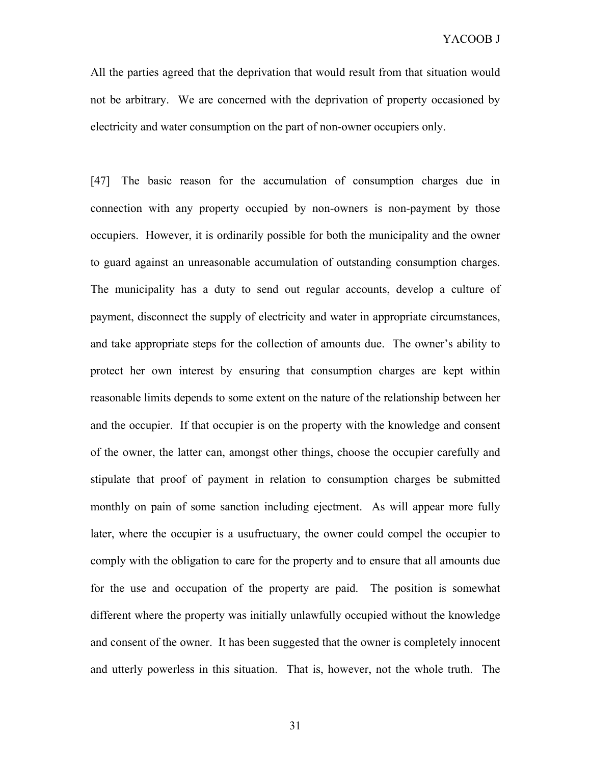All the parties agreed that the deprivation that would result from that situation would not be arbitrary. We are concerned with the deprivation of property occasioned by electricity and water consumption on the part of non-owner occupiers only.

[47] The basic reason for the accumulation of consumption charges due in connection with any property occupied by non-owners is non-payment by those occupiers. However, it is ordinarily possible for both the municipality and the owner to guard against an unreasonable accumulation of outstanding consumption charges. The municipality has a duty to send out regular accounts, develop a culture of payment, disconnect the supply of electricity and water in appropriate circumstances, and take appropriate steps for the collection of amounts due. The owner's ability to protect her own interest by ensuring that consumption charges are kept within reasonable limits depends to some extent on the nature of the relationship between her and the occupier. If that occupier is on the property with the knowledge and consent of the owner, the latter can, amongst other things, choose the occupier carefully and stipulate that proof of payment in relation to consumption charges be submitted monthly on pain of some sanction including ejectment. As will appear more fully later, where the occupier is a usufructuary, the owner could compel the occupier to comply with the obligation to care for the property and to ensure that all amounts due for the use and occupation of the property are paid. The position is somewhat different where the property was initially unlawfully occupied without the knowledge and consent of the owner. It has been suggested that the owner is completely innocent and utterly powerless in this situation. That is, however, not the whole truth. The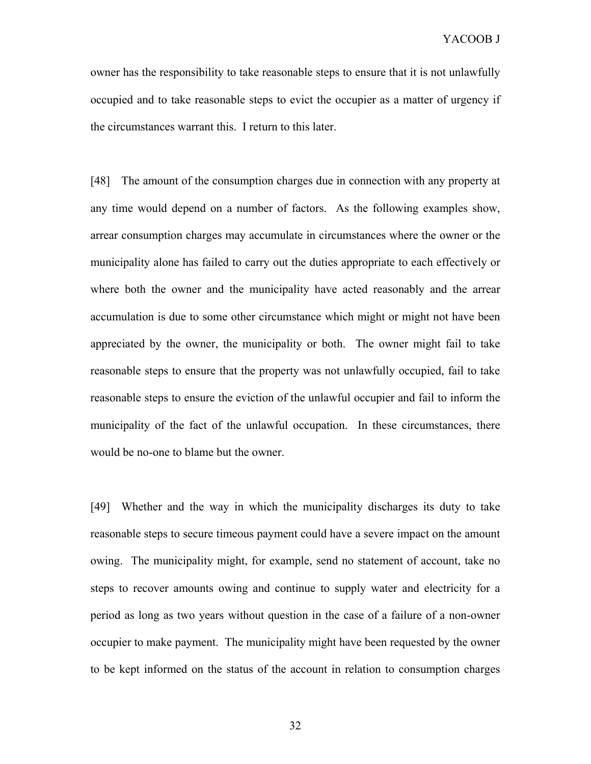owner has the responsibility to take reasonable steps to ensure that it is not unlawfully occupied and to take reasonable steps to evict the occupier as a matter of urgency if the circumstances warrant this. I return to this later.

[48] The amount of the consumption charges due in connection with any property at any time would depend on a number of factors. As the following examples show, arrear consumption charges may accumulate in circumstances where the owner or the municipality alone has failed to carry out the duties appropriate to each effectively or where both the owner and the municipality have acted reasonably and the arrear accumulation is due to some other circumstance which might or might not have been appreciated by the owner, the municipality or both. The owner might fail to take reasonable steps to ensure that the property was not unlawfully occupied, fail to take reasonable steps to ensure the eviction of the unlawful occupier and fail to inform the municipality of the fact of the unlawful occupation. In these circumstances, there would be no-one to blame but the owner.

[49] Whether and the way in which the municipality discharges its duty to take reasonable steps to secure timeous payment could have a severe impact on the amount owing. The municipality might, for example, send no statement of account, take no steps to recover amounts owing and continue to supply water and electricity for a period as long as two years without question in the case of a failure of a non-owner occupier to make payment. The municipality might have been requested by the owner to be kept informed on the status of the account in relation to consumption charges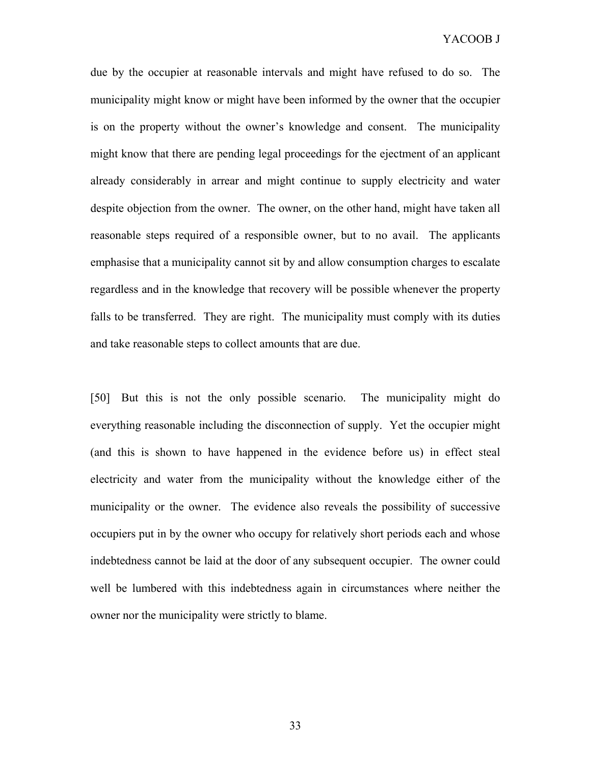due by the occupier at reasonable intervals and might have refused to do so. The municipality might know or might have been informed by the owner that the occupier is on the property without the owner's knowledge and consent. The municipality might know that there are pending legal proceedings for the ejectment of an applicant already considerably in arrear and might continue to supply electricity and water despite objection from the owner. The owner, on the other hand, might have taken all reasonable steps required of a responsible owner, but to no avail. The applicants emphasise that a municipality cannot sit by and allow consumption charges to escalate regardless and in the knowledge that recovery will be possible whenever the property falls to be transferred. They are right. The municipality must comply with its duties and take reasonable steps to collect amounts that are due.

[50] But this is not the only possible scenario. The municipality might do everything reasonable including the disconnection of supply. Yet the occupier might (and this is shown to have happened in the evidence before us) in effect steal electricity and water from the municipality without the knowledge either of the municipality or the owner. The evidence also reveals the possibility of successive occupiers put in by the owner who occupy for relatively short periods each and whose indebtedness cannot be laid at the door of any subsequent occupier. The owner could well be lumbered with this indebtedness again in circumstances where neither the owner nor the municipality were strictly to blame.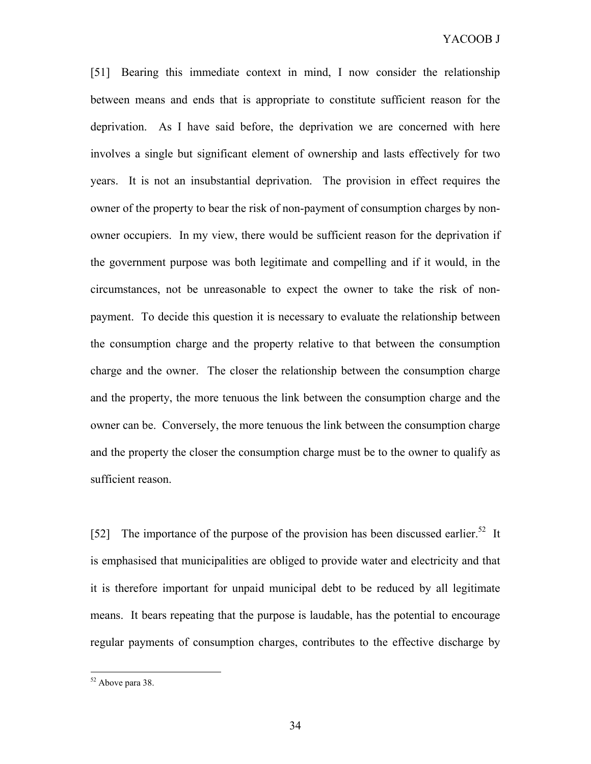[51] Bearing this immediate context in mind, I now consider the relationship between means and ends that is appropriate to constitute sufficient reason for the deprivation. As I have said before, the deprivation we are concerned with here involves a single but significant element of ownership and lasts effectively for two years. It is not an insubstantial deprivation. The provision in effect requires the owner of the property to bear the risk of non-payment of consumption charges by nonowner occupiers. In my view, there would be sufficient reason for the deprivation if the government purpose was both legitimate and compelling and if it would, in the circumstances, not be unreasonable to expect the owner to take the risk of nonpayment. To decide this question it is necessary to evaluate the relationship between the consumption charge and the property relative to that between the consumption charge and the owner. The closer the relationship between the consumption charge and the property, the more tenuous the link between the consumption charge and the owner can be. Conversely, the more tenuous the link between the consumption charge and the property the closer the consumption charge must be to the owner to qualify as sufficient reason.

[52] The importance of the purpose of the provision has been discussed earlier.<sup>52</sup> It is emphasised that municipalities are obliged to provide water and electricity and that it is therefore important for unpaid municipal debt to be reduced by all legitimate means. It bears repeating that the purpose is laudable, has the potential to encourage regular payments of consumption charges, contributes to the effective discharge by

<sup>&</sup>lt;sup>52</sup> Above para 38.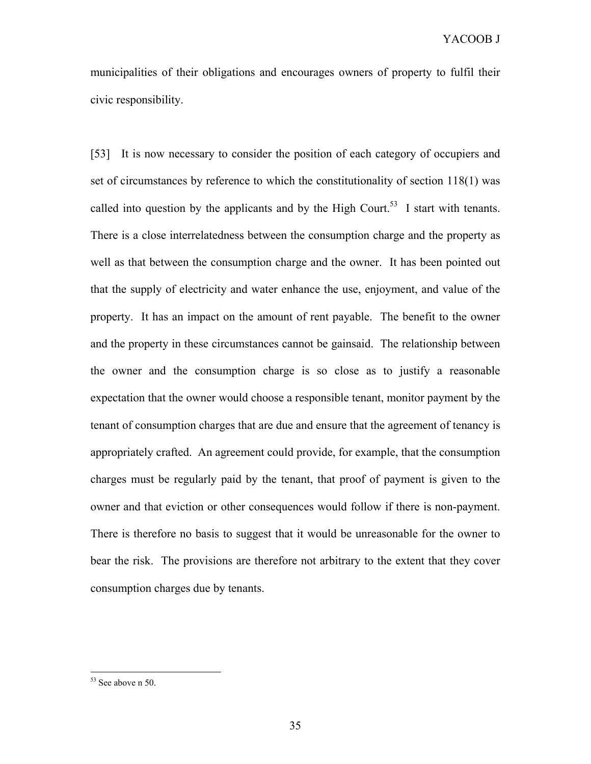municipalities of their obligations and encourages owners of property to fulfil their civic responsibility.

[53] It is now necessary to consider the position of each category of occupiers and set of circumstances by reference to which the constitutionality of section 118(1) was called into question by the applicants and by the High Court.<sup>53</sup> I start with tenants. There is a close interrelatedness between the consumption charge and the property as well as that between the consumption charge and the owner. It has been pointed out that the supply of electricity and water enhance the use, enjoyment, and value of the property. It has an impact on the amount of rent payable. The benefit to the owner and the property in these circumstances cannot be gainsaid. The relationship between the owner and the consumption charge is so close as to justify a reasonable expectation that the owner would choose a responsible tenant, monitor payment by the tenant of consumption charges that are due and ensure that the agreement of tenancy is appropriately crafted. An agreement could provide, for example, that the consumption charges must be regularly paid by the tenant, that proof of payment is given to the owner and that eviction or other consequences would follow if there is non-payment. There is therefore no basis to suggest that it would be unreasonable for the owner to bear the risk. The provisions are therefore not arbitrary to the extent that they cover consumption charges due by tenants.

<sup>&</sup>lt;sup>53</sup> See above n 50.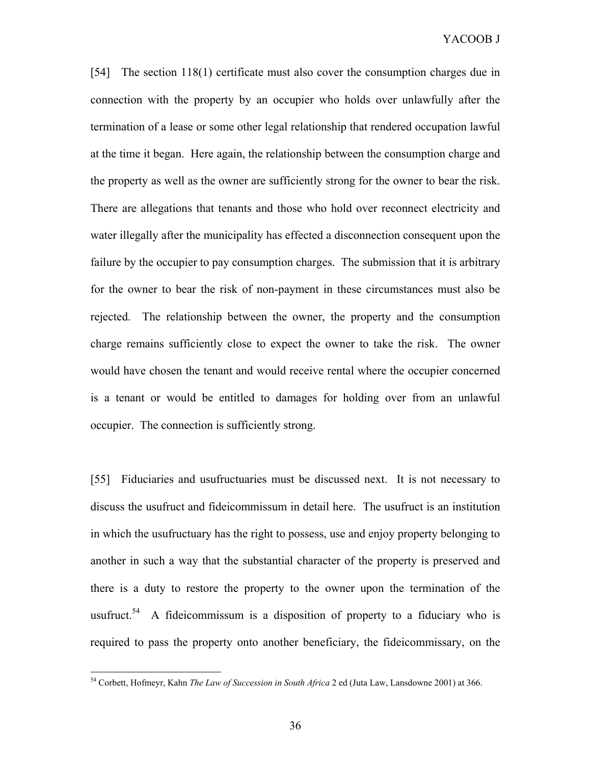[54] The section 118(1) certificate must also cover the consumption charges due in connection with the property by an occupier who holds over unlawfully after the termination of a lease or some other legal relationship that rendered occupation lawful at the time it began. Here again, the relationship between the consumption charge and the property as well as the owner are sufficiently strong for the owner to bear the risk. There are allegations that tenants and those who hold over reconnect electricity and water illegally after the municipality has effected a disconnection consequent upon the failure by the occupier to pay consumption charges. The submission that it is arbitrary for the owner to bear the risk of non-payment in these circumstances must also be rejected. The relationship between the owner, the property and the consumption charge remains sufficiently close to expect the owner to take the risk. The owner would have chosen the tenant and would receive rental where the occupier concerned is a tenant or would be entitled to damages for holding over from an unlawful occupier. The connection is sufficiently strong.

[55] Fiduciaries and usufructuaries must be discussed next. It is not necessary to discuss the usufruct and fideicommissum in detail here. The usufruct is an institution in which the usufructuary has the right to possess, use and enjoy property belonging to another in such a way that the substantial character of the property is preserved and there is a duty to restore the property to the owner upon the termination of the usufruct.<sup>54</sup> A fideicommissum is a disposition of property to a fiduciary who is required to pass the property onto another beneficiary, the fideicommissary, on the

<sup>54</sup> Corbett, Hofmeyr, Kahn *The Law of Succession in South Africa* 2 ed (Juta Law, Lansdowne 2001) at 366.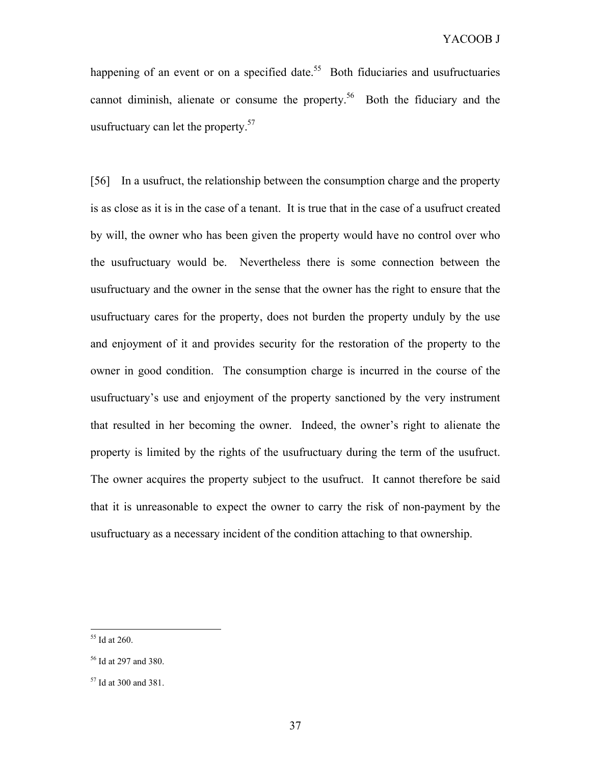happening of an event or on a specified date.<sup>55</sup> Both fiduciaries and usufructuaries cannot diminish, alienate or consume the property.<sup>56</sup> Both the fiduciary and the usufructuary can let the property. $57$ 

[56] In a usufruct, the relationship between the consumption charge and the property is as close as it is in the case of a tenant. It is true that in the case of a usufruct created by will, the owner who has been given the property would have no control over who the usufructuary would be. Nevertheless there is some connection between the usufructuary and the owner in the sense that the owner has the right to ensure that the usufructuary cares for the property, does not burden the property unduly by the use and enjoyment of it and provides security for the restoration of the property to the owner in good condition. The consumption charge is incurred in the course of the usufructuary's use and enjoyment of the property sanctioned by the very instrument that resulted in her becoming the owner. Indeed, the owner's right to alienate the property is limited by the rights of the usufructuary during the term of the usufruct. The owner acquires the property subject to the usufruct. It cannot therefore be said that it is unreasonable to expect the owner to carry the risk of non-payment by the usufructuary as a necessary incident of the condition attaching to that ownership.

<sup>55</sup> Id at 260.

<sup>56</sup> Id at 297 and 380.

<sup>57</sup> Id at 300 and 381.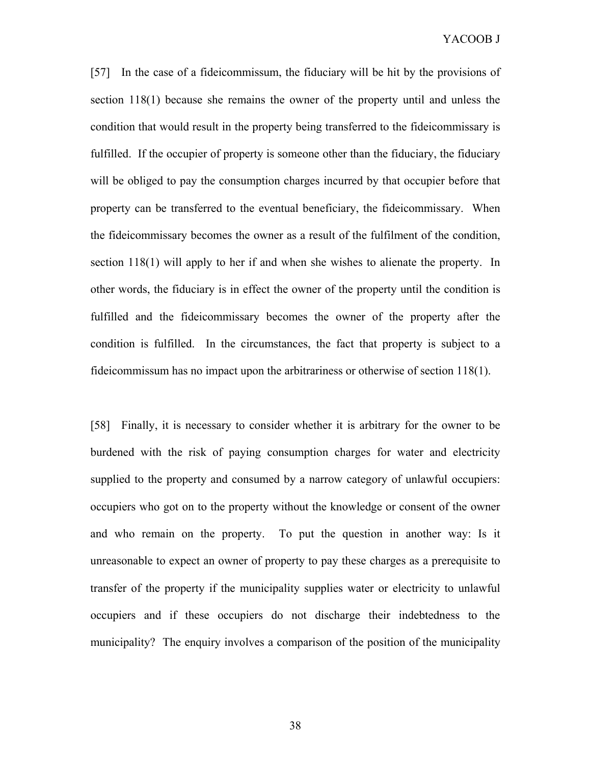[57] In the case of a fideicommissum, the fiduciary will be hit by the provisions of section 118(1) because she remains the owner of the property until and unless the condition that would result in the property being transferred to the fideicommissary is fulfilled. If the occupier of property is someone other than the fiduciary, the fiduciary will be obliged to pay the consumption charges incurred by that occupier before that property can be transferred to the eventual beneficiary, the fideicommissary. When the fideicommissary becomes the owner as a result of the fulfilment of the condition, section 118(1) will apply to her if and when she wishes to alienate the property. In other words, the fiduciary is in effect the owner of the property until the condition is fulfilled and the fideicommissary becomes the owner of the property after the condition is fulfilled. In the circumstances, the fact that property is subject to a fideicommissum has no impact upon the arbitrariness or otherwise of section 118(1).

[58] Finally, it is necessary to consider whether it is arbitrary for the owner to be burdened with the risk of paying consumption charges for water and electricity supplied to the property and consumed by a narrow category of unlawful occupiers: occupiers who got on to the property without the knowledge or consent of the owner and who remain on the property. To put the question in another way: Is it unreasonable to expect an owner of property to pay these charges as a prerequisite to transfer of the property if the municipality supplies water or electricity to unlawful occupiers and if these occupiers do not discharge their indebtedness to the municipality? The enquiry involves a comparison of the position of the municipality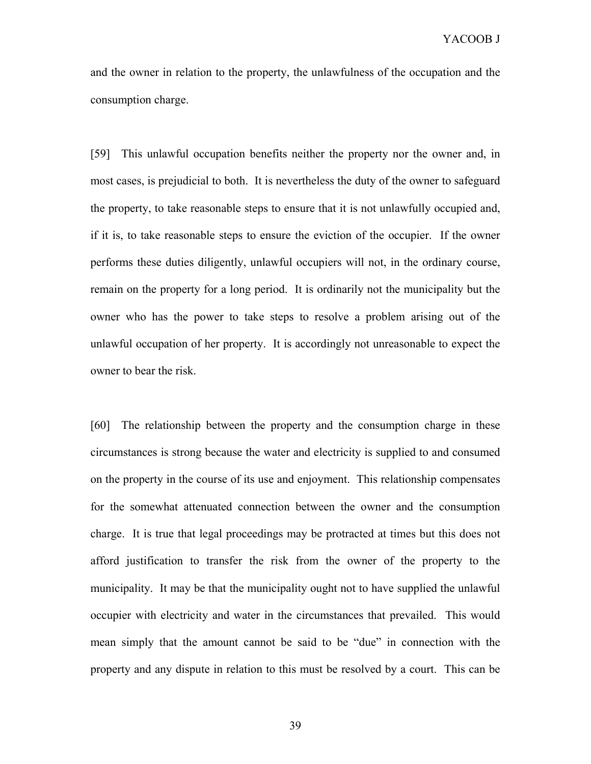and the owner in relation to the property, the unlawfulness of the occupation and the consumption charge.

[59] This unlawful occupation benefits neither the property nor the owner and, in most cases, is prejudicial to both. It is nevertheless the duty of the owner to safeguard the property, to take reasonable steps to ensure that it is not unlawfully occupied and, if it is, to take reasonable steps to ensure the eviction of the occupier. If the owner performs these duties diligently, unlawful occupiers will not, in the ordinary course, remain on the property for a long period. It is ordinarily not the municipality but the owner who has the power to take steps to resolve a problem arising out of the unlawful occupation of her property. It is accordingly not unreasonable to expect the owner to bear the risk.

[60] The relationship between the property and the consumption charge in these circumstances is strong because the water and electricity is supplied to and consumed on the property in the course of its use and enjoyment. This relationship compensates for the somewhat attenuated connection between the owner and the consumption charge. It is true that legal proceedings may be protracted at times but this does not afford justification to transfer the risk from the owner of the property to the municipality. It may be that the municipality ought not to have supplied the unlawful occupier with electricity and water in the circumstances that prevailed. This would mean simply that the amount cannot be said to be "due" in connection with the property and any dispute in relation to this must be resolved by a court. This can be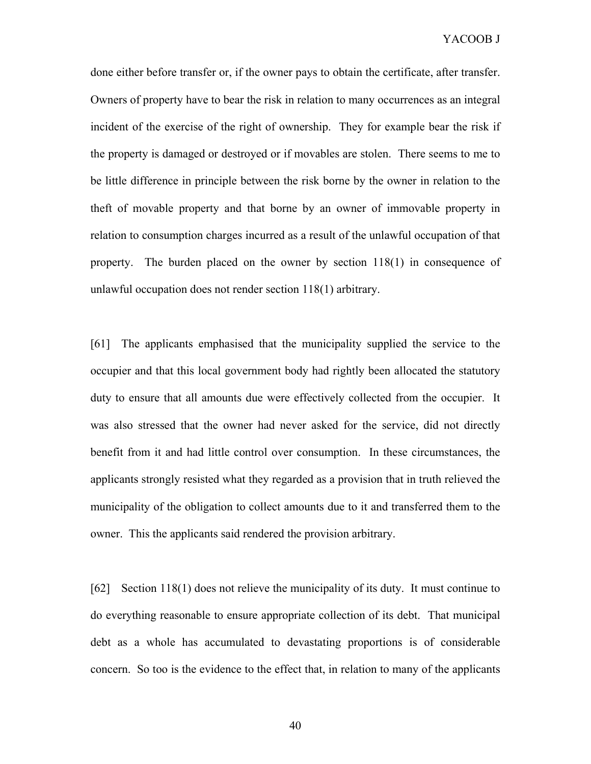done either before transfer or, if the owner pays to obtain the certificate, after transfer. Owners of property have to bear the risk in relation to many occurrences as an integral incident of the exercise of the right of ownership. They for example bear the risk if the property is damaged or destroyed or if movables are stolen. There seems to me to be little difference in principle between the risk borne by the owner in relation to the theft of movable property and that borne by an owner of immovable property in relation to consumption charges incurred as a result of the unlawful occupation of that property. The burden placed on the owner by section 118(1) in consequence of unlawful occupation does not render section 118(1) arbitrary.

[61] The applicants emphasised that the municipality supplied the service to the occupier and that this local government body had rightly been allocated the statutory duty to ensure that all amounts due were effectively collected from the occupier. It was also stressed that the owner had never asked for the service, did not directly benefit from it and had little control over consumption. In these circumstances, the applicants strongly resisted what they regarded as a provision that in truth relieved the municipality of the obligation to collect amounts due to it and transferred them to the owner. This the applicants said rendered the provision arbitrary.

[62] Section 118(1) does not relieve the municipality of its duty. It must continue to do everything reasonable to ensure appropriate collection of its debt. That municipal debt as a whole has accumulated to devastating proportions is of considerable concern. So too is the evidence to the effect that, in relation to many of the applicants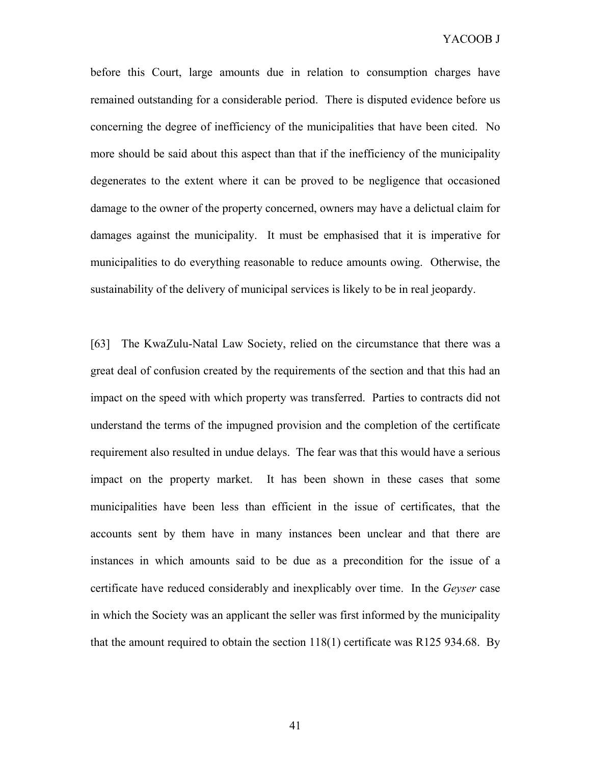before this Court, large amounts due in relation to consumption charges have remained outstanding for a considerable period. There is disputed evidence before us concerning the degree of inefficiency of the municipalities that have been cited. No more should be said about this aspect than that if the inefficiency of the municipality degenerates to the extent where it can be proved to be negligence that occasioned damage to the owner of the property concerned, owners may have a delictual claim for damages against the municipality. It must be emphasised that it is imperative for municipalities to do everything reasonable to reduce amounts owing. Otherwise, the sustainability of the delivery of municipal services is likely to be in real jeopardy.

[63] The KwaZulu-Natal Law Society, relied on the circumstance that there was a great deal of confusion created by the requirements of the section and that this had an impact on the speed with which property was transferred. Parties to contracts did not understand the terms of the impugned provision and the completion of the certificate requirement also resulted in undue delays. The fear was that this would have a serious impact on the property market. It has been shown in these cases that some municipalities have been less than efficient in the issue of certificates, that the accounts sent by them have in many instances been unclear and that there are instances in which amounts said to be due as a precondition for the issue of a certificate have reduced considerably and inexplicably over time. In the *Geyser* case in which the Society was an applicant the seller was first informed by the municipality that the amount required to obtain the section 118(1) certificate was R125 934.68. By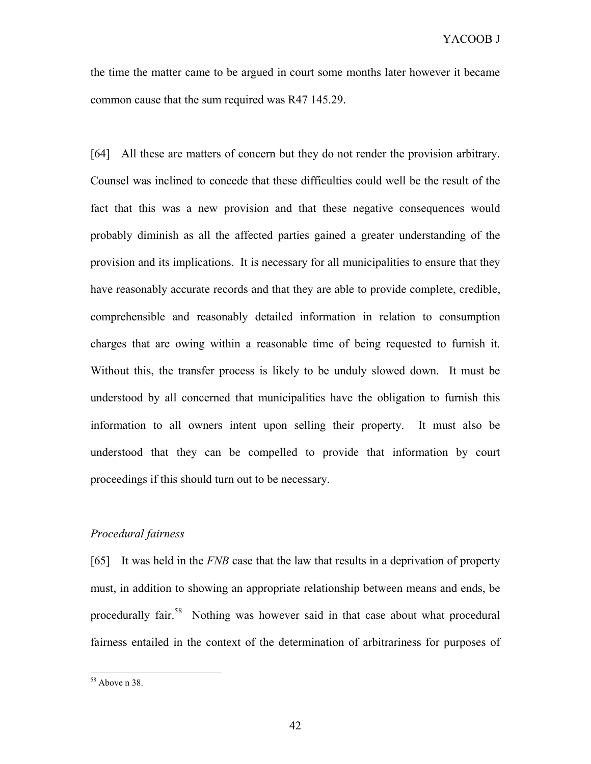the time the matter came to be argued in court some months later however it became common cause that the sum required was R47 145.29.

[64] All these are matters of concern but they do not render the provision arbitrary. Counsel was inclined to concede that these difficulties could well be the result of the fact that this was a new provision and that these negative consequences would probably diminish as all the affected parties gained a greater understanding of the provision and its implications. It is necessary for all municipalities to ensure that they have reasonably accurate records and that they are able to provide complete, credible, comprehensible and reasonably detailed information in relation to consumption charges that are owing within a reasonable time of being requested to furnish it. Without this, the transfer process is likely to be unduly slowed down. It must be understood by all concerned that municipalities have the obligation to furnish this information to all owners intent upon selling their property. It must also be understood that they can be compelled to provide that information by court proceedings if this should turn out to be necessary.

## *Procedural fairness*

[65] It was held in the *FNB* case that the law that results in a deprivation of property must, in addition to showing an appropriate relationship between means and ends, be procedurally fair.<sup>58</sup> Nothing was however said in that case about what procedural fairness entailed in the context of the determination of arbitrariness for purposes of

<sup>58</sup> Above n 38.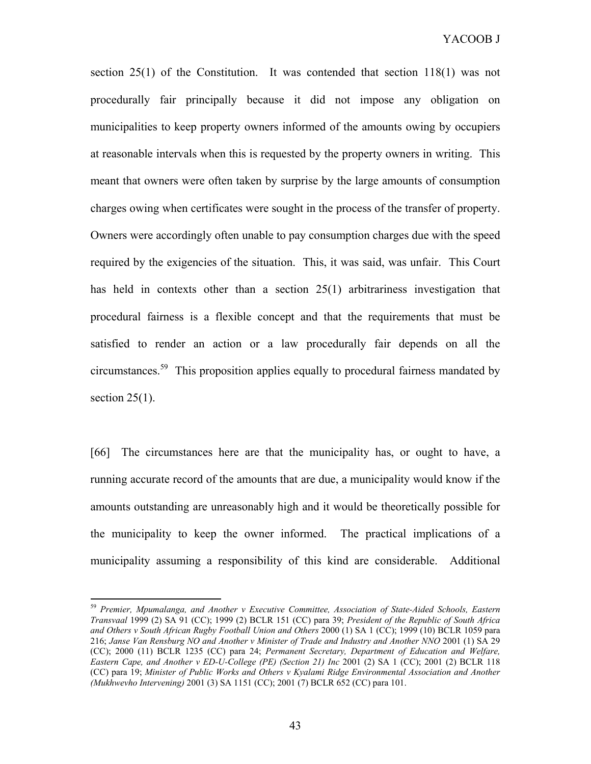section 25(1) of the Constitution. It was contended that section 118(1) was not procedurally fair principally because it did not impose any obligation on municipalities to keep property owners informed of the amounts owing by occupiers at reasonable intervals when this is requested by the property owners in writing. This meant that owners were often taken by surprise by the large amounts of consumption charges owing when certificates were sought in the process of the transfer of property. Owners were accordingly often unable to pay consumption charges due with the speed required by the exigencies of the situation. This, it was said, was unfair. This Court has held in contexts other than a section 25(1) arbitrariness investigation that procedural fairness is a flexible concept and that the requirements that must be satisfied to render an action or a law procedurally fair depends on all the circumstances.59 This proposition applies equally to procedural fairness mandated by section  $25(1)$ .

[66] The circumstances here are that the municipality has, or ought to have, a running accurate record of the amounts that are due, a municipality would know if the amounts outstanding are unreasonably high and it would be theoretically possible for the municipality to keep the owner informed. The practical implications of a municipality assuming a responsibility of this kind are considerable. Additional

<sup>59</sup> *Premier, Mpumalanga, and Another v Executive Committee, Association of State-Aided Schools, Eastern Transvaal* 1999 (2) SA 91 (CC); 1999 (2) BCLR 151 (CC) para 39; *President of the Republic of South Africa and Others v South African Rugby Football Union and Others* 2000 (1) SA 1 (CC); 1999 (10) BCLR 1059 para 216; *Janse Van Rensburg NO and Another v Minister of Trade and Industry and Another NNO* 2001 (1) SA 29 (CC); 2000 (11) BCLR 1235 (CC) para 24; *Permanent Secretary, Department of Education and Welfare, Eastern Cape, and Another v ED-U-College (PE) (Section 21) Inc* 2001 (2) SA 1 (CC); 2001 (2) BCLR 118 (CC) para 19; *Minister of Public Works and Others v Kyalami Ridge Environmental Association and Another (Mukhwevho Intervening)* 2001 (3) SA 1151 (CC); 2001 (7) BCLR 652 (CC) para 101.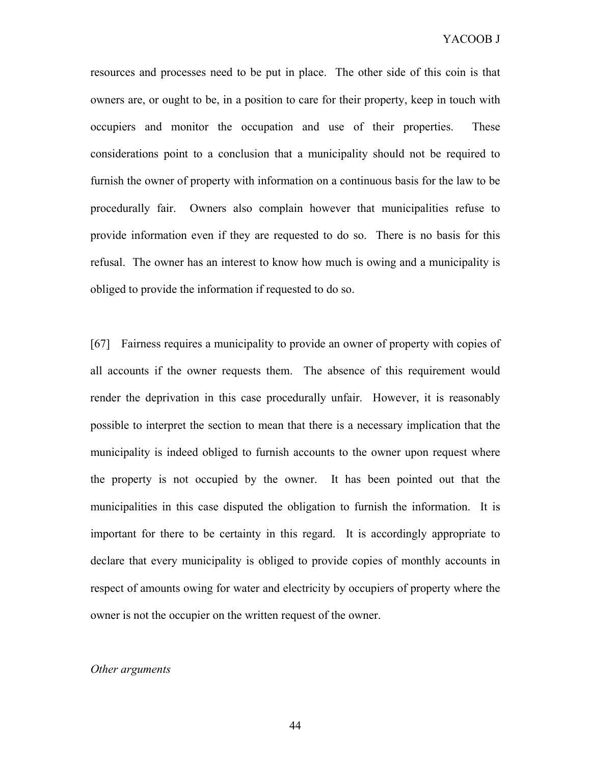resources and processes need to be put in place. The other side of this coin is that owners are, or ought to be, in a position to care for their property, keep in touch with occupiers and monitor the occupation and use of their properties. These considerations point to a conclusion that a municipality should not be required to furnish the owner of property with information on a continuous basis for the law to be procedurally fair. Owners also complain however that municipalities refuse to provide information even if they are requested to do so. There is no basis for this refusal. The owner has an interest to know how much is owing and a municipality is obliged to provide the information if requested to do so.

[67] Fairness requires a municipality to provide an owner of property with copies of all accounts if the owner requests them. The absence of this requirement would render the deprivation in this case procedurally unfair. However, it is reasonably possible to interpret the section to mean that there is a necessary implication that the municipality is indeed obliged to furnish accounts to the owner upon request where the property is not occupied by the owner. It has been pointed out that the municipalities in this case disputed the obligation to furnish the information. It is important for there to be certainty in this regard. It is accordingly appropriate to declare that every municipality is obliged to provide copies of monthly accounts in respect of amounts owing for water and electricity by occupiers of property where the owner is not the occupier on the written request of the owner.

#### *Other arguments*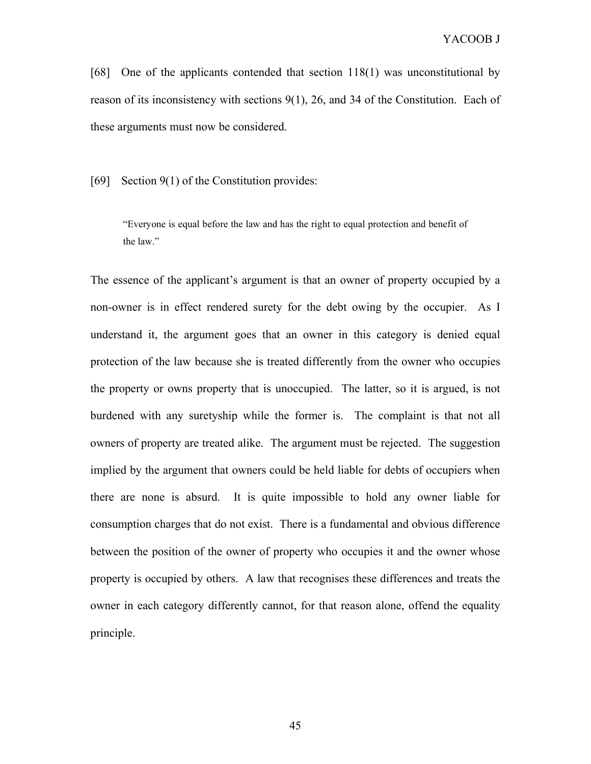[68] One of the applicants contended that section 118(1) was unconstitutional by reason of its inconsistency with sections 9(1), 26, and 34 of the Constitution. Each of these arguments must now be considered.

[69] Section 9(1) of the Constitution provides:

"Everyone is equal before the law and has the right to equal protection and benefit of the law."

The essence of the applicant's argument is that an owner of property occupied by a non-owner is in effect rendered surety for the debt owing by the occupier. As I understand it, the argument goes that an owner in this category is denied equal protection of the law because she is treated differently from the owner who occupies the property or owns property that is unoccupied. The latter, so it is argued, is not burdened with any suretyship while the former is. The complaint is that not all owners of property are treated alike. The argument must be rejected. The suggestion implied by the argument that owners could be held liable for debts of occupiers when there are none is absurd. It is quite impossible to hold any owner liable for consumption charges that do not exist. There is a fundamental and obvious difference between the position of the owner of property who occupies it and the owner whose property is occupied by others. A law that recognises these differences and treats the owner in each category differently cannot, for that reason alone, offend the equality principle.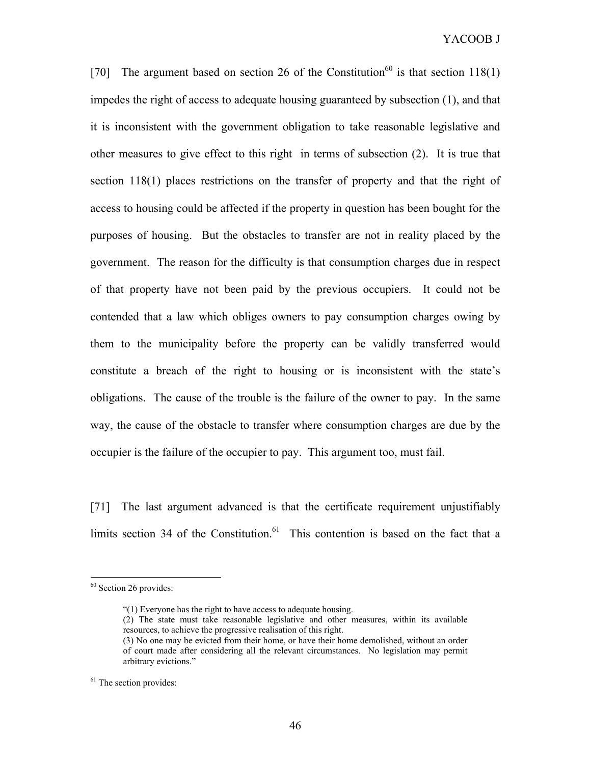[70] The argument based on section 26 of the Constitution<sup>60</sup> is that section 118(1) impedes the right of access to adequate housing guaranteed by subsection (1), and that it is inconsistent with the government obligation to take reasonable legislative and other measures to give effect to this right in terms of subsection (2). It is true that section 118(1) places restrictions on the transfer of property and that the right of access to housing could be affected if the property in question has been bought for the purposes of housing. But the obstacles to transfer are not in reality placed by the government. The reason for the difficulty is that consumption charges due in respect of that property have not been paid by the previous occupiers. It could not be contended that a law which obliges owners to pay consumption charges owing by them to the municipality before the property can be validly transferred would constitute a breach of the right to housing or is inconsistent with the state's obligations. The cause of the trouble is the failure of the owner to pay. In the same way, the cause of the obstacle to transfer where consumption charges are due by the occupier is the failure of the occupier to pay. This argument too, must fail.

[71] The last argument advanced is that the certificate requirement unjustifiably limits section 34 of the Constitution.<sup>61</sup> This contention is based on the fact that a

 $\overline{a}$ 

 $60$  Section 26 provides:

<sup>&</sup>quot;(1) Everyone has the right to have access to adequate housing.

<sup>(2)</sup> The state must take reasonable legislative and other measures, within its available resources, to achieve the progressive realisation of this right.

<sup>(3)</sup> No one may be evicted from their home, or have their home demolished, without an order of court made after considering all the relevant circumstances. No legislation may permit arbitrary evictions."

 $61$  The section provides: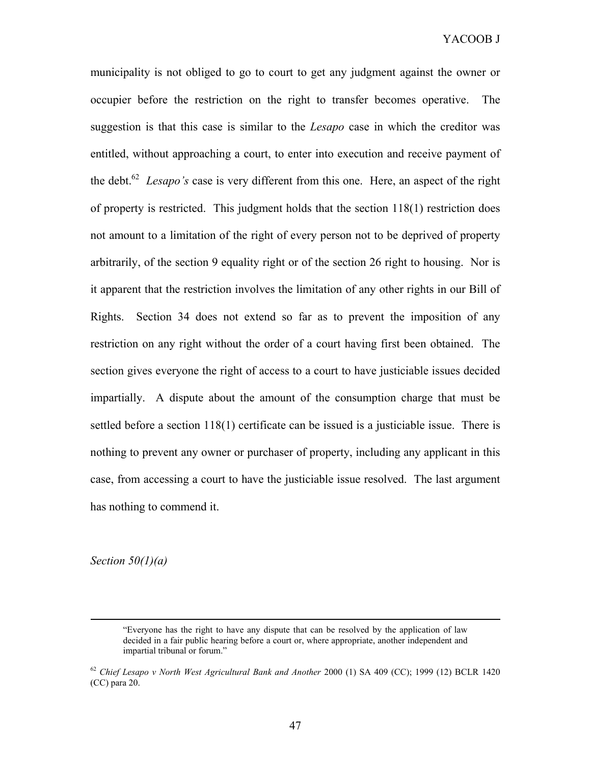municipality is not obliged to go to court to get any judgment against the owner or occupier before the restriction on the right to transfer becomes operative. The suggestion is that this case is similar to the *Lesapo* case in which the creditor was entitled, without approaching a court, to enter into execution and receive payment of the debt.<sup>62</sup> *Lesapo's* case is very different from this one. Here, an aspect of the right of property is restricted. This judgment holds that the section 118(1) restriction does not amount to a limitation of the right of every person not to be deprived of property arbitrarily, of the section 9 equality right or of the section 26 right to housing. Nor is it apparent that the restriction involves the limitation of any other rights in our Bill of Rights. Section 34 does not extend so far as to prevent the imposition of any restriction on any right without the order of a court having first been obtained. The section gives everyone the right of access to a court to have justiciable issues decided impartially. A dispute about the amount of the consumption charge that must be settled before a section 118(1) certificate can be issued is a justiciable issue. There is nothing to prevent any owner or purchaser of property, including any applicant in this case, from accessing a court to have the justiciable issue resolved. The last argument has nothing to commend it.

*Section 50(1)(a)*

 <sup>&</sup>quot;Everyone has the right to have any dispute that can be resolved by the application of law decided in a fair public hearing before a court or, where appropriate, another independent and impartial tribunal or forum."

<sup>62</sup> *Chief Lesapo v North West Agricultural Bank and Another* 2000 (1) SA 409 (CC); 1999 (12) BCLR 1420 (CC) para 20.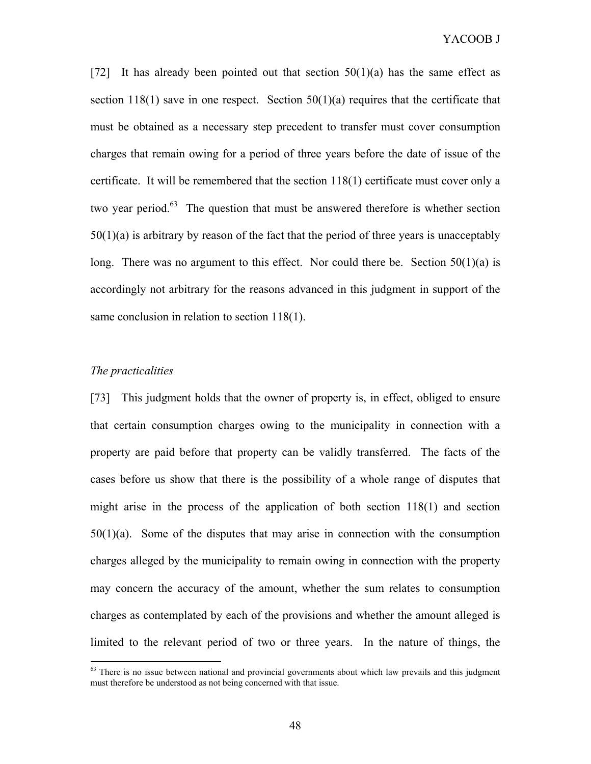[72] It has already been pointed out that section  $50(1)(a)$  has the same effect as section 118(1) save in one respect. Section  $50(1)(a)$  requires that the certificate that must be obtained as a necessary step precedent to transfer must cover consumption charges that remain owing for a period of three years before the date of issue of the certificate. It will be remembered that the section 118(1) certificate must cover only a two year period.<sup>63</sup> The question that must be answered therefore is whether section 50(1)(a) is arbitrary by reason of the fact that the period of three years is unacceptably long. There was no argument to this effect. Nor could there be. Section  $50(1)(a)$  is accordingly not arbitrary for the reasons advanced in this judgment in support of the same conclusion in relation to section 118(1).

### *The practicalities*

1

[73] This judgment holds that the owner of property is, in effect, obliged to ensure that certain consumption charges owing to the municipality in connection with a property are paid before that property can be validly transferred. The facts of the cases before us show that there is the possibility of a whole range of disputes that might arise in the process of the application of both section  $118(1)$  and section  $50(1)(a)$ . Some of the disputes that may arise in connection with the consumption charges alleged by the municipality to remain owing in connection with the property may concern the accuracy of the amount, whether the sum relates to consumption charges as contemplated by each of the provisions and whether the amount alleged is limited to the relevant period of two or three years. In the nature of things, the

 $63$  There is no issue between national and provincial governments about which law prevails and this judgment must therefore be understood as not being concerned with that issue.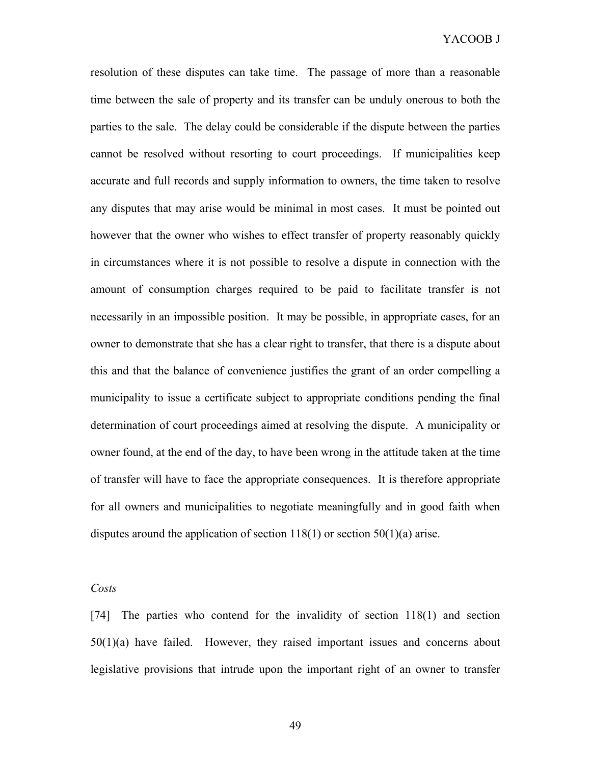resolution of these disputes can take time. The passage of more than a reasonable time between the sale of property and its transfer can be unduly onerous to both the parties to the sale. The delay could be considerable if the dispute between the parties cannot be resolved without resorting to court proceedings. If municipalities keep accurate and full records and supply information to owners, the time taken to resolve any disputes that may arise would be minimal in most cases. It must be pointed out however that the owner who wishes to effect transfer of property reasonably quickly in circumstances where it is not possible to resolve a dispute in connection with the amount of consumption charges required to be paid to facilitate transfer is not necessarily in an impossible position. It may be possible, in appropriate cases, for an owner to demonstrate that she has a clear right to transfer, that there is a dispute about this and that the balance of convenience justifies the grant of an order compelling a municipality to issue a certificate subject to appropriate conditions pending the final determination of court proceedings aimed at resolving the dispute. A municipality or owner found, at the end of the day, to have been wrong in the attitude taken at the time of transfer will have to face the appropriate consequences. It is therefore appropriate for all owners and municipalities to negotiate meaningfully and in good faith when disputes around the application of section  $118(1)$  or section  $50(1)(a)$  arise.

*Costs* 

[74] The parties who contend for the invalidity of section 118(1) and section 50(1)(a) have failed. However, they raised important issues and concerns about legislative provisions that intrude upon the important right of an owner to transfer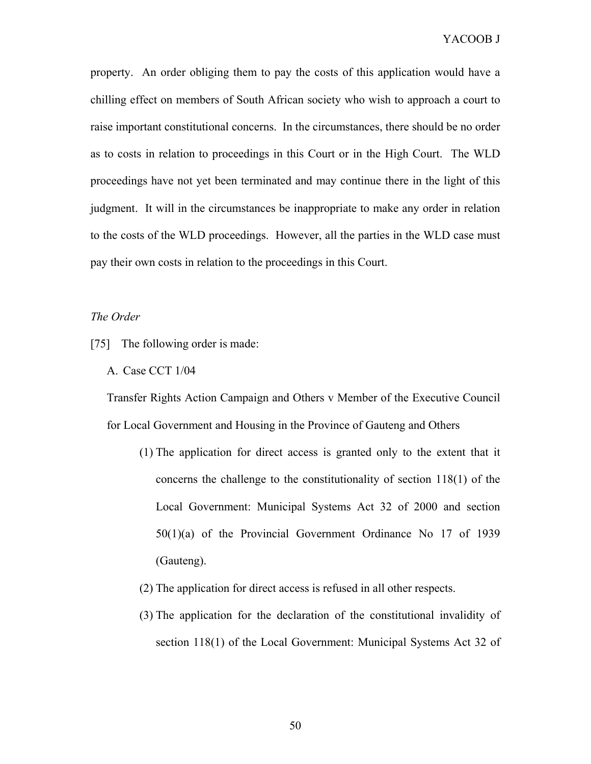property. An order obliging them to pay the costs of this application would have a chilling effect on members of South African society who wish to approach a court to raise important constitutional concerns. In the circumstances, there should be no order as to costs in relation to proceedings in this Court or in the High Court. The WLD proceedings have not yet been terminated and may continue there in the light of this judgment. It will in the circumstances be inappropriate to make any order in relation to the costs of the WLD proceedings. However, all the parties in the WLD case must pay their own costs in relation to the proceedings in this Court.

#### *The Order*

- [75] The following order is made:
	- A. Case CCT 1/04

Transfer Rights Action Campaign and Others v Member of the Executive Council for Local Government and Housing in the Province of Gauteng and Others

- (1) The application for direct access is granted only to the extent that it concerns the challenge to the constitutionality of section 118(1) of the Local Government: Municipal Systems Act 32 of 2000 and section 50(1)(a) of the Provincial Government Ordinance No 17 of 1939 (Gauteng).
- (2) The application for direct access is refused in all other respects.
- (3) The application for the declaration of the constitutional invalidity of section 118(1) of the Local Government: Municipal Systems Act 32 of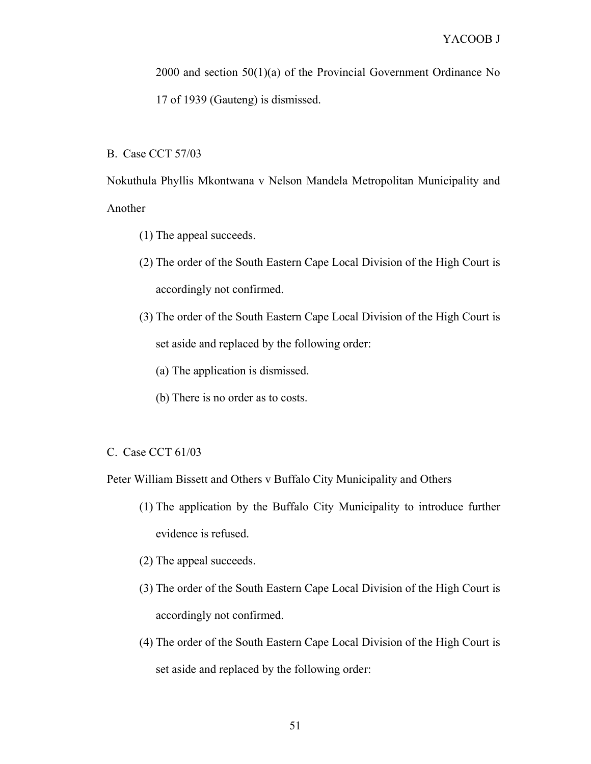2000 and section 50(1)(a) of the Provincial Government Ordinance No 17 of 1939 (Gauteng) is dismissed.

## B. Case CCT 57/03

Nokuthula Phyllis Mkontwana v Nelson Mandela Metropolitan Municipality and Another

- (1) The appeal succeeds.
- (2) The order of the South Eastern Cape Local Division of the High Court is accordingly not confirmed.
- (3) The order of the South Eastern Cape Local Division of the High Court is set aside and replaced by the following order:
	- (a) The application is dismissed.
	- (b) There is no order as to costs.

# C. Case CCT 61/03

Peter William Bissett and Others v Buffalo City Municipality and Others

- (1) The application by the Buffalo City Municipality to introduce further evidence is refused.
- (2) The appeal succeeds.
- (3) The order of the South Eastern Cape Local Division of the High Court is accordingly not confirmed.
- (4) The order of the South Eastern Cape Local Division of the High Court is set aside and replaced by the following order: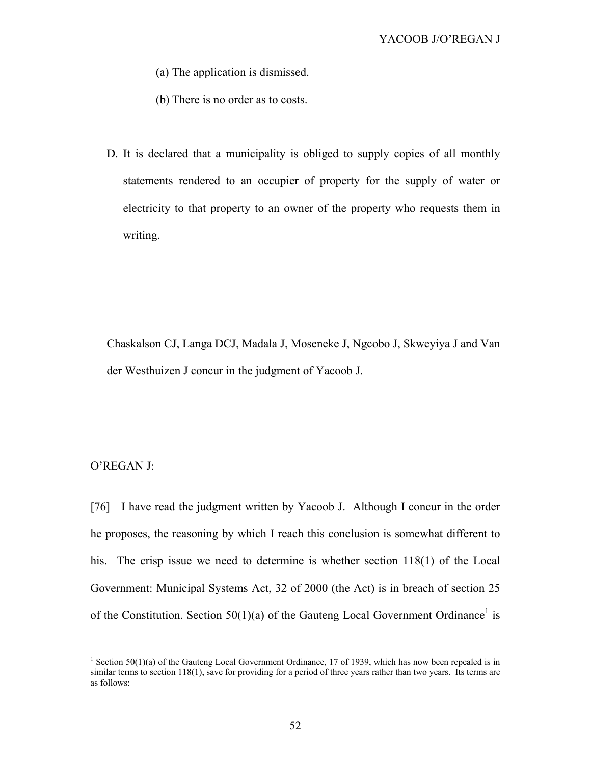(a) The application is dismissed.

(b) There is no order as to costs.

D. It is declared that a municipality is obliged to supply copies of all monthly statements rendered to an occupier of property for the supply of water or electricity to that property to an owner of the property who requests them in writing.

Chaskalson CJ, Langa DCJ, Madala J, Moseneke J, Ngcobo J, Skweyiya J and Van der Westhuizen J concur in the judgment of Yacoob J.

### O'REGAN J:

 $\overline{a}$ 

[76] I have read the judgment written by Yacoob J. Although I concur in the order he proposes, the reasoning by which I reach this conclusion is somewhat different to his. The crisp issue we need to determine is whether section 118(1) of the Local Government: Municipal Systems Act, 32 of 2000 (the Act) is in breach of section 25 of the Constitution. Section  $50(1)(a)$  of the Gauteng Local Government Ordinance<sup>1</sup> is

<sup>&</sup>lt;sup>1</sup> Section 50(1)(a) of the Gauteng Local Government Ordinance, 17 of 1939, which has now been repealed is in similar terms to section 118(1), save for providing for a period of three years rather than two years. Its terms are as follows: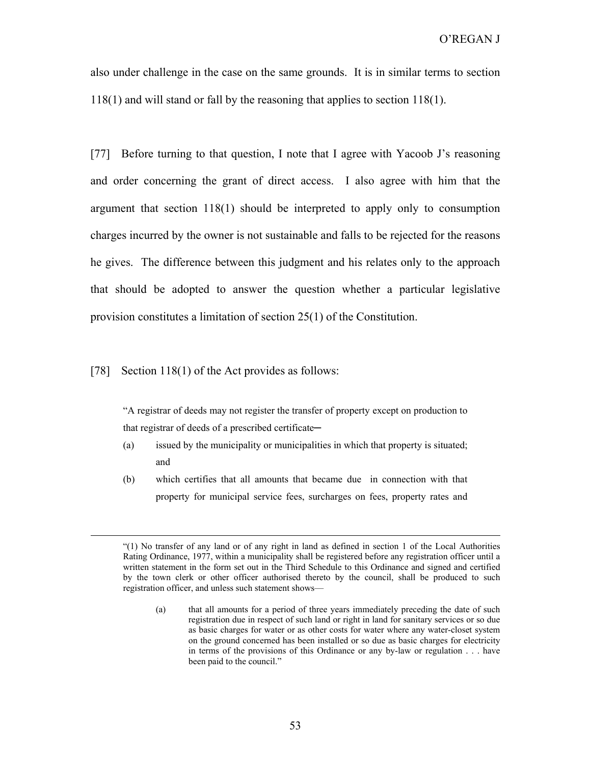also under challenge in the case on the same grounds. It is in similar terms to section 118(1) and will stand or fall by the reasoning that applies to section 118(1).

[77] Before turning to that question, I note that I agree with Yacoob J's reasoning and order concerning the grant of direct access. I also agree with him that the argument that section 118(1) should be interpreted to apply only to consumption charges incurred by the owner is not sustainable and falls to be rejected for the reasons he gives. The difference between this judgment and his relates only to the approach that should be adopted to answer the question whether a particular legislative provision constitutes a limitation of section 25(1) of the Constitution.

#### [78] Section 118(1) of the Act provides as follows:

"A registrar of deeds may not register the transfer of property except on production to that registrar of deeds of a prescribed certificate—

- (a) issued by the municipality or municipalities in which that property is situated; and
- (b) which certifies that all amounts that became due in connection with that property for municipal service fees, surcharges on fees, property rates and

 <sup>&</sup>quot;(1) No transfer of any land or of any right in land as defined in section 1 of the Local Authorities Rating Ordinance, 1977, within a municipality shall be registered before any registration officer until a written statement in the form set out in the Third Schedule to this Ordinance and signed and certified by the town clerk or other officer authorised thereto by the council, shall be produced to such registration officer, and unless such statement shows—

<sup>(</sup>a) that all amounts for a period of three years immediately preceding the date of such registration due in respect of such land or right in land for sanitary services or so due as basic charges for water or as other costs for water where any water-closet system on the ground concerned has been installed or so due as basic charges for electricity in terms of the provisions of this Ordinance or any by-law or regulation . . . have been paid to the council."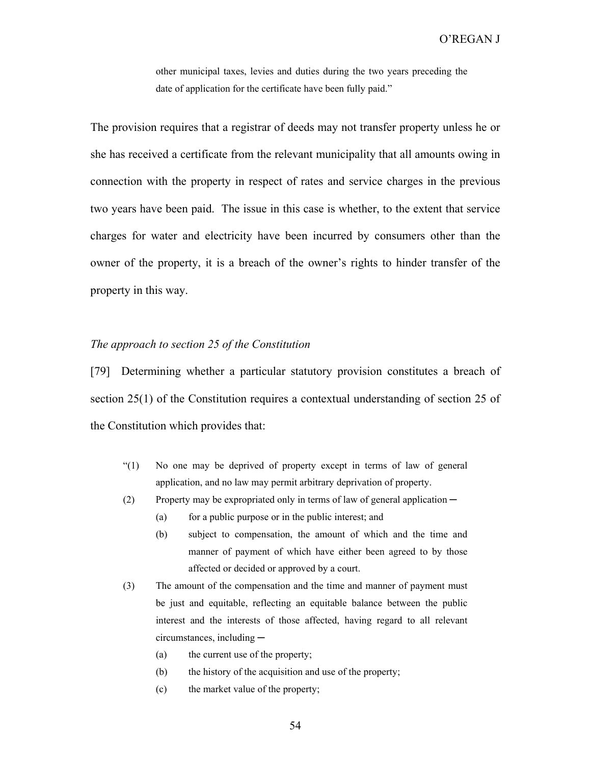other municipal taxes, levies and duties during the two years preceding the date of application for the certificate have been fully paid."

The provision requires that a registrar of deeds may not transfer property unless he or she has received a certificate from the relevant municipality that all amounts owing in connection with the property in respect of rates and service charges in the previous two years have been paid. The issue in this case is whether, to the extent that service charges for water and electricity have been incurred by consumers other than the owner of the property, it is a breach of the owner's rights to hinder transfer of the property in this way.

### *The approach to section 25 of the Constitution*

[79] Determining whether a particular statutory provision constitutes a breach of section 25(1) of the Constitution requires a contextual understanding of section 25 of the Constitution which provides that:

- "(1) No one may be deprived of property except in terms of law of general application, and no law may permit arbitrary deprivation of property.
- (2) Property may be expropriated only in terms of law of general application  $-$ 
	- (a) for a public purpose or in the public interest; and
	- (b) subject to compensation, the amount of which and the time and manner of payment of which have either been agreed to by those affected or decided or approved by a court.
- (3) The amount of the compensation and the time and manner of payment must be just and equitable, reflecting an equitable balance between the public interest and the interests of those affected, having regard to all relevant circumstances, including ─
	- (a) the current use of the property;
	- (b) the history of the acquisition and use of the property;
	- (c) the market value of the property;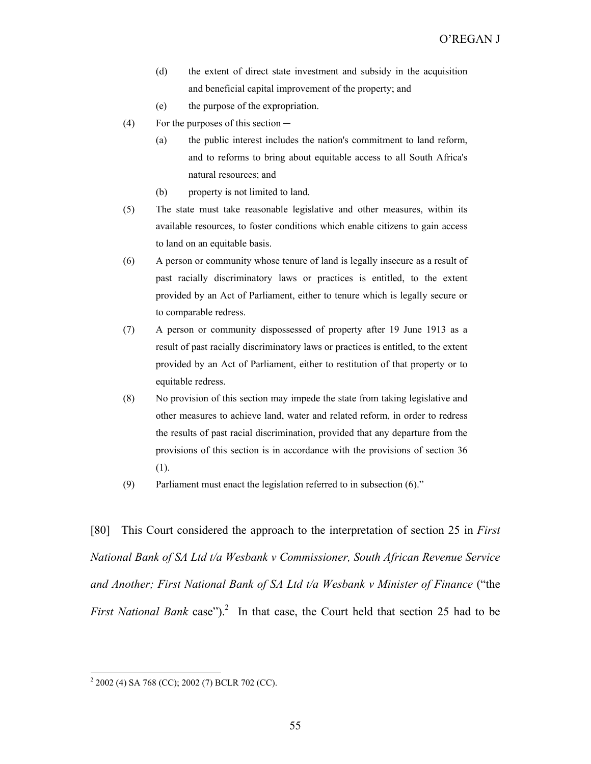- (d) the extent of direct state investment and subsidy in the acquisition and beneficial capital improvement of the property; and
- (e) the purpose of the expropriation.
- (4) For the purposes of this section  $-$ 
	- (a) the public interest includes the nation's commitment to land reform, and to reforms to bring about equitable access to all South Africa's natural resources; and
	- (b) property is not limited to land.
- (5) The state must take reasonable legislative and other measures, within its available resources, to foster conditions which enable citizens to gain access to land on an equitable basis.
- (6) A person or community whose tenure of land is legally insecure as a result of past racially discriminatory laws or practices is entitled, to the extent provided by an Act of Parliament, either to tenure which is legally secure or to comparable redress.
- (7) A person or community dispossessed of property after 19 June 1913 as a result of past racially discriminatory laws or practices is entitled, to the extent provided by an Act of Parliament, either to restitution of that property or to equitable redress.
- (8) No provision of this section may impede the state from taking legislative and other measures to achieve land, water and related reform, in order to redress the results of past racial discrimination, provided that any departure from the provisions of this section is in accordance with the provisions of section 36 (1).
- (9) Parliament must enact the legislation referred to in subsection (6)."

[80] This Court considered the approach to the interpretation of section 25 in *First National Bank of SA Ltd t/a Wesbank v Commissioner, South African Revenue Service and Another; First National Bank of SA Ltd t/a Wesbank v Minister of Finance* ("the *First National Bank* case").<sup>2</sup> In that case, the Court held that section 25 had to be

<sup>2</sup> 2002 (4) SA 768 (CC); 2002 (7) BCLR 702 (CC).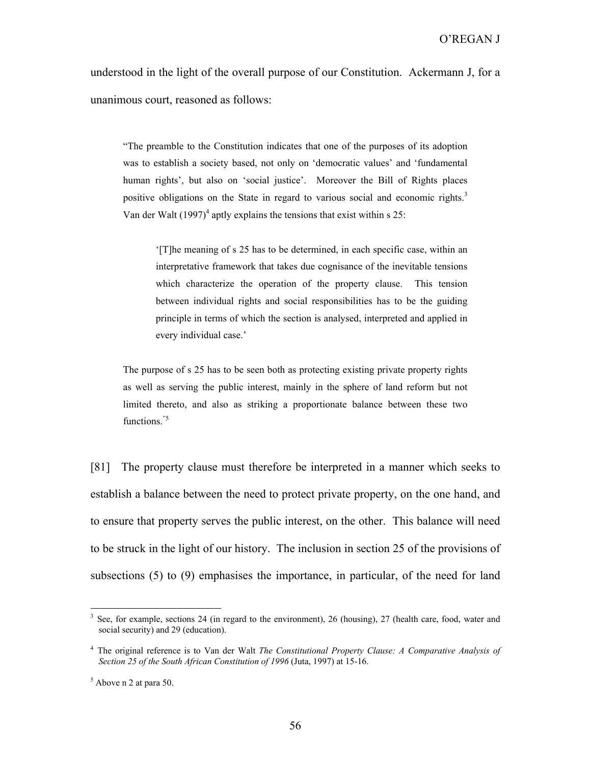understood in the light of the overall purpose of our Constitution. Ackermann J, for a unanimous court, reasoned as follows:

"The preamble to the Constitution indicates that one of the purposes of its adoption was to establish a society based, not only on 'democratic values' and 'fundamental human rights', but also on 'social justice'. Moreover the Bill of Rights places positive obligations on the State in regard to various social and economic rights.<sup>3</sup> Van der Walt  $(1997)^4$  aptly explains the tensions that exist within s 25:

'[T]he meaning of s 25 has to be determined, in each specific case, within an interpretative framework that takes due cognisance of the inevitable tensions which characterize the operation of the property clause. This tension between individual rights and social responsibilities has to be the guiding principle in terms of which the section is analysed, interpreted and applied in every individual case.'

The purpose of s 25 has to be seen both as protecting existing private property rights as well as serving the public interest, mainly in the sphere of land reform but not limited thereto, and also as striking a proportionate balance between these two functions<sup>"5</sup>

[81] The property clause must therefore be interpreted in a manner which seeks to establish a balance between the need to protect private property, on the one hand, and to ensure that property serves the public interest, on the other. This balance will need to be struck in the light of our history. The inclusion in section 25 of the provisions of subsections (5) to (9) emphasises the importance, in particular, of the need for land

 $\overline{a}$ 

See, for example, sections 24 (in regard to the environment), 26 (housing), 27 (health care, food, water and social security) and 29 (education).

<sup>4</sup> The original reference is to Van der Walt *The Constitutional Property Clause: A Comparative Analysis of Section 25 of the South African Constitution of 1996* (Juta, 1997) at 15-16.

 $<sup>5</sup>$  Above n 2 at para 50.</sup>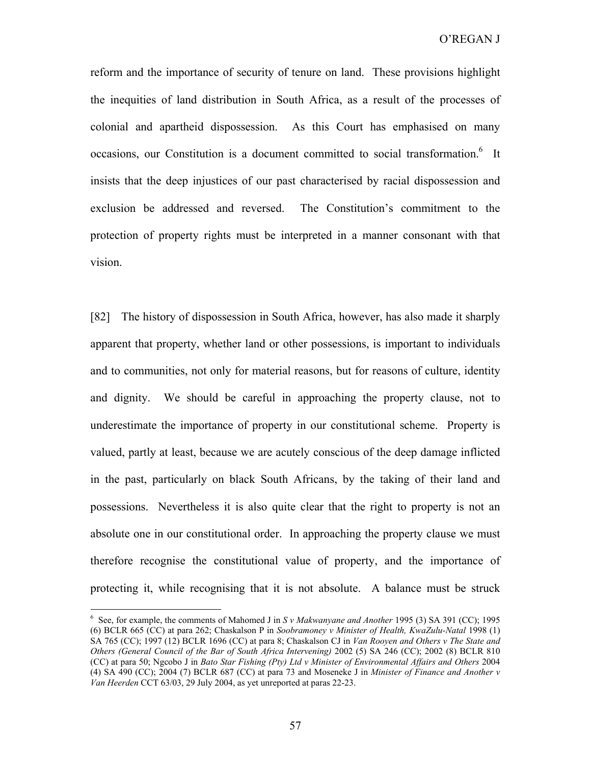reform and the importance of security of tenure on land. These provisions highlight the inequities of land distribution in South Africa, as a result of the processes of colonial and apartheid dispossession. As this Court has emphasised on many occasions, our Constitution is a document committed to social transformation.<sup>6</sup> It insists that the deep injustices of our past characterised by racial dispossession and exclusion be addressed and reversed. The Constitution's commitment to the protection of property rights must be interpreted in a manner consonant with that vision.

[82] The history of dispossession in South Africa, however, has also made it sharply apparent that property, whether land or other possessions, is important to individuals and to communities, not only for material reasons, but for reasons of culture, identity and dignity. We should be careful in approaching the property clause, not to underestimate the importance of property in our constitutional scheme. Property is valued, partly at least, because we are acutely conscious of the deep damage inflicted in the past, particularly on black South Africans, by the taking of their land and possessions. Nevertheless it is also quite clear that the right to property is not an absolute one in our constitutional order. In approaching the property clause we must therefore recognise the constitutional value of property, and the importance of protecting it, while recognising that it is not absolute. A balance must be struck

<sup>6</sup> See, for example, the comments of Mahomed J in *S v Makwanyane and Another* 1995 (3) SA 391 (CC); 1995 (6) BCLR 665 (CC) at para 262; Chaskalson P in *Soobramoney v Minister of Health, KwaZulu-Natal* 1998 (1) SA 765 (CC); 1997 (12) BCLR 1696 (CC) at para 8; Chaskalson CJ in *Van Rooyen and Others v The State and Others (General Council of the Bar of South Africa Intervening)* 2002 (5) SA 246 (CC); 2002 (8) BCLR 810 (CC) at para 50; Ngcobo J in *Bato Star Fishing (Pty) Ltd v Minister of Environmental Affairs and Others* 2004 (4) SA 490 (CC); 2004 (7) BCLR 687 (CC) at para 73 and Moseneke J in *Minister of Finance and Another v Van Heerden* CCT 63/03, 29 July 2004, as yet unreported at paras 22-23.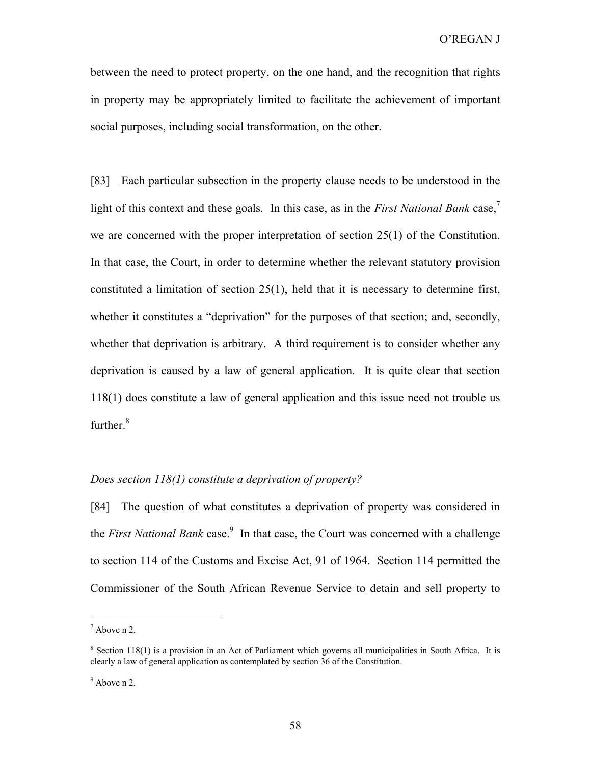between the need to protect property, on the one hand, and the recognition that rights in property may be appropriately limited to facilitate the achievement of important social purposes, including social transformation, on the other.

[83] Each particular subsection in the property clause needs to be understood in the light of this context and these goals. In this case, as in the *First National Bank* case,<sup>7</sup> we are concerned with the proper interpretation of section 25(1) of the Constitution. In that case, the Court, in order to determine whether the relevant statutory provision constituted a limitation of section 25(1), held that it is necessary to determine first, whether it constitutes a "deprivation" for the purposes of that section; and, secondly, whether that deprivation is arbitrary. A third requirement is to consider whether any deprivation is caused by a law of general application. It is quite clear that section 118(1) does constitute a law of general application and this issue need not trouble us further. $8$ 

# *Does section 118(1) constitute a deprivation of property?*

[84] The question of what constitutes a deprivation of property was considered in the *First National Bank* case.<sup>9</sup> In that case, the Court was concerned with a challenge to section 114 of the Customs and Excise Act, 91 of 1964. Section 114 permitted the Commissioner of the South African Revenue Service to detain and sell property to

 $\overline{a}$ 

 $<sup>7</sup>$  Above n 2.</sup>

 $8$  Section 118(1) is a provision in an Act of Parliament which governs all municipalities in South Africa. It is clearly a law of general application as contemplated by section 36 of the Constitution.

 $9$  Above n 2.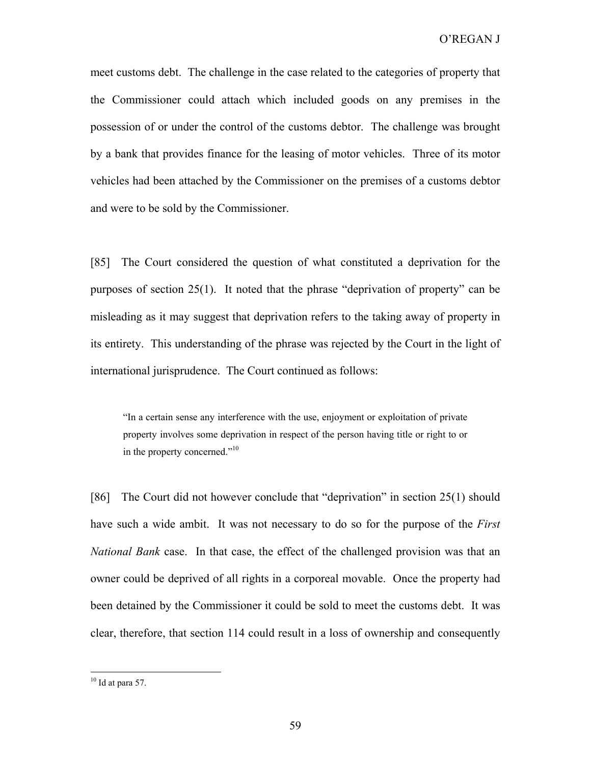meet customs debt. The challenge in the case related to the categories of property that the Commissioner could attach which included goods on any premises in the possession of or under the control of the customs debtor. The challenge was brought by a bank that provides finance for the leasing of motor vehicles. Three of its motor vehicles had been attached by the Commissioner on the premises of a customs debtor and were to be sold by the Commissioner.

[85] The Court considered the question of what constituted a deprivation for the purposes of section 25(1). It noted that the phrase "deprivation of property" can be misleading as it may suggest that deprivation refers to the taking away of property in its entirety. This understanding of the phrase was rejected by the Court in the light of international jurisprudence. The Court continued as follows:

"In a certain sense any interference with the use, enjoyment or exploitation of private property involves some deprivation in respect of the person having title or right to or in the property concerned."<sup>10</sup>

[86] The Court did not however conclude that "deprivation" in section 25(1) should have such a wide ambit. It was not necessary to do so for the purpose of the *First National Bank* case. In that case, the effect of the challenged provision was that an owner could be deprived of all rights in a corporeal movable. Once the property had been detained by the Commissioner it could be sold to meet the customs debt. It was clear, therefore, that section 114 could result in a loss of ownership and consequently

 $10$  Id at para 57.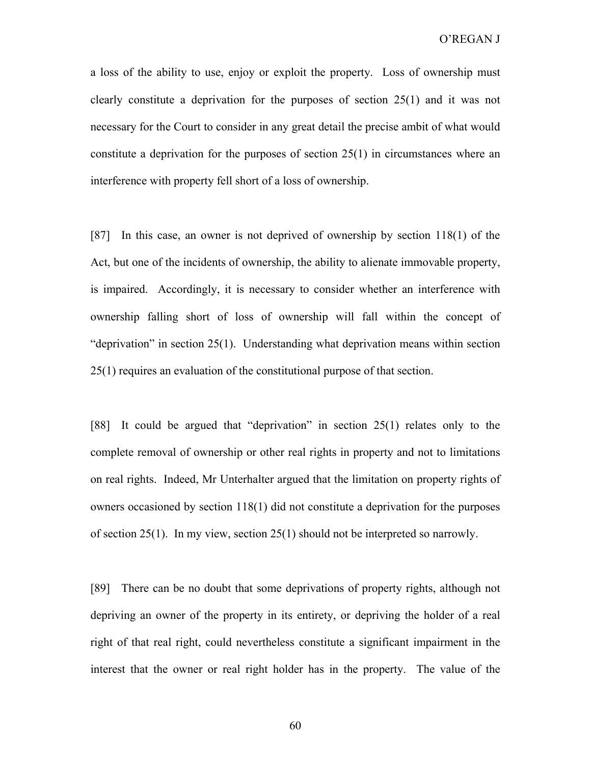a loss of the ability to use, enjoy or exploit the property. Loss of ownership must clearly constitute a deprivation for the purposes of section 25(1) and it was not necessary for the Court to consider in any great detail the precise ambit of what would constitute a deprivation for the purposes of section 25(1) in circumstances where an interference with property fell short of a loss of ownership.

[87] In this case, an owner is not deprived of ownership by section 118(1) of the Act, but one of the incidents of ownership, the ability to alienate immovable property, is impaired. Accordingly, it is necessary to consider whether an interference with ownership falling short of loss of ownership will fall within the concept of "deprivation" in section 25(1). Understanding what deprivation means within section 25(1) requires an evaluation of the constitutional purpose of that section.

[88] It could be argued that "deprivation" in section 25(1) relates only to the complete removal of ownership or other real rights in property and not to limitations on real rights. Indeed, Mr Unterhalter argued that the limitation on property rights of owners occasioned by section 118(1) did not constitute a deprivation for the purposes of section 25(1). In my view, section 25(1) should not be interpreted so narrowly.

[89] There can be no doubt that some deprivations of property rights, although not depriving an owner of the property in its entirety, or depriving the holder of a real right of that real right, could nevertheless constitute a significant impairment in the interest that the owner or real right holder has in the property. The value of the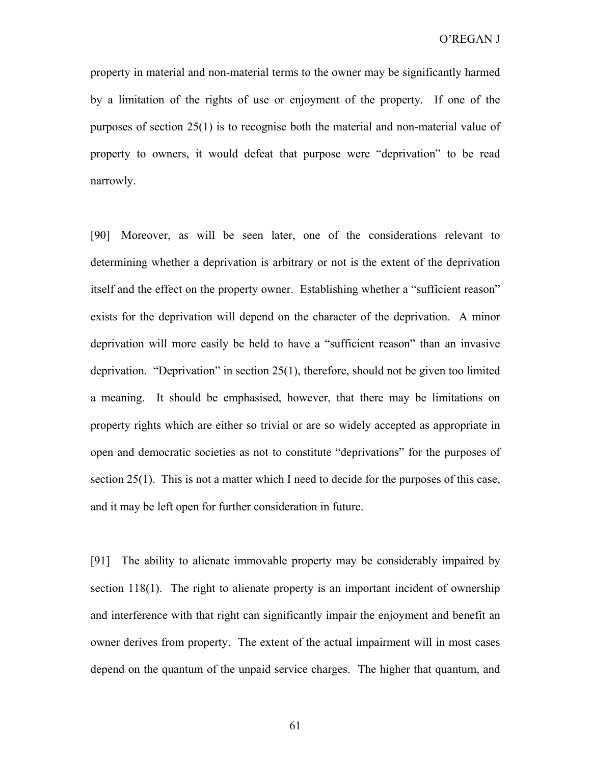property in material and non-material terms to the owner may be significantly harmed by a limitation of the rights of use or enjoyment of the property. If one of the purposes of section 25(1) is to recognise both the material and non-material value of property to owners, it would defeat that purpose were "deprivation" to be read narrowly.

[90] Moreover, as will be seen later, one of the considerations relevant to determining whether a deprivation is arbitrary or not is the extent of the deprivation itself and the effect on the property owner. Establishing whether a "sufficient reason" exists for the deprivation will depend on the character of the deprivation. A minor deprivation will more easily be held to have a "sufficient reason" than an invasive deprivation. "Deprivation" in section 25(1), therefore, should not be given too limited a meaning. It should be emphasised, however, that there may be limitations on property rights which are either so trivial or are so widely accepted as appropriate in open and democratic societies as not to constitute "deprivations" for the purposes of section 25(1). This is not a matter which I need to decide for the purposes of this case, and it may be left open for further consideration in future.

[91] The ability to alienate immovable property may be considerably impaired by section 118(1). The right to alienate property is an important incident of ownership and interference with that right can significantly impair the enjoyment and benefit an owner derives from property. The extent of the actual impairment will in most cases depend on the quantum of the unpaid service charges. The higher that quantum, and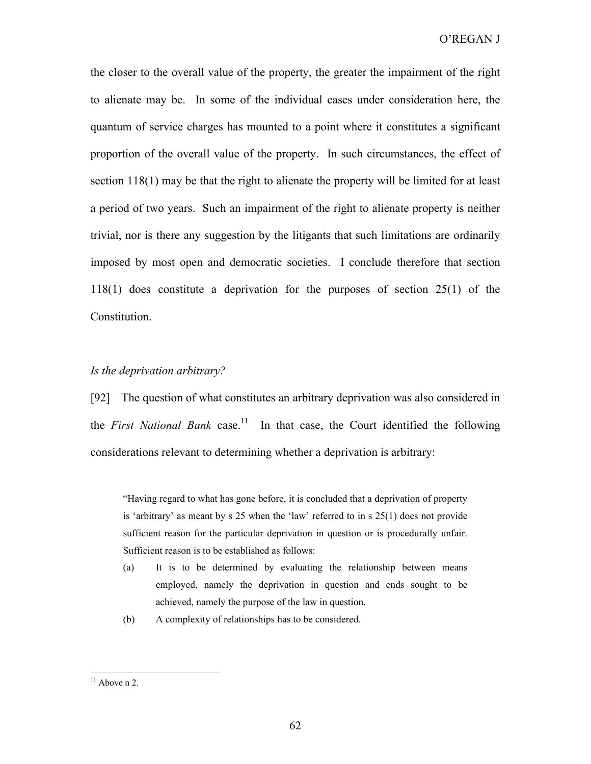the closer to the overall value of the property, the greater the impairment of the right to alienate may be. In some of the individual cases under consideration here, the quantum of service charges has mounted to a point where it constitutes a significant proportion of the overall value of the property. In such circumstances, the effect of section 118(1) may be that the right to alienate the property will be limited for at least a period of two years. Such an impairment of the right to alienate property is neither trivial, nor is there any suggestion by the litigants that such limitations are ordinarily imposed by most open and democratic societies. I conclude therefore that section 118(1) does constitute a deprivation for the purposes of section 25(1) of the Constitution.

## *Is the deprivation arbitrary?*

[92] The question of what constitutes an arbitrary deprivation was also considered in the *First National Bank* case.<sup>11</sup> In that case, the Court identified the following considerations relevant to determining whether a deprivation is arbitrary:

"Having regard to what has gone before, it is concluded that a deprivation of property is 'arbitrary' as meant by  $s$  25 when the 'law' referred to in  $s$  25(1) does not provide sufficient reason for the particular deprivation in question or is procedurally unfair. Sufficient reason is to be established as follows:

- (a) It is to be determined by evaluating the relationship between means employed, namely the deprivation in question and ends sought to be achieved, namely the purpose of the law in question.
- (b) A complexity of relationships has to be considered.

 $11$  Above n 2.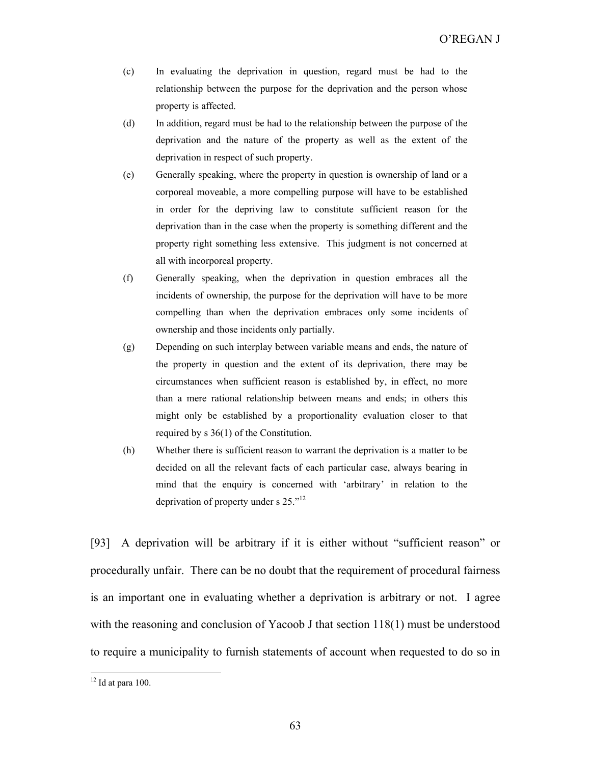O'REGAN J

- (c) In evaluating the deprivation in question, regard must be had to the relationship between the purpose for the deprivation and the person whose property is affected.
- (d) In addition, regard must be had to the relationship between the purpose of the deprivation and the nature of the property as well as the extent of the deprivation in respect of such property.
- (e) Generally speaking, where the property in question is ownership of land or a corporeal moveable, a more compelling purpose will have to be established in order for the depriving law to constitute sufficient reason for the deprivation than in the case when the property is something different and the property right something less extensive. This judgment is not concerned at all with incorporeal property.
- (f) Generally speaking, when the deprivation in question embraces all the incidents of ownership, the purpose for the deprivation will have to be more compelling than when the deprivation embraces only some incidents of ownership and those incidents only partially.
- (g) Depending on such interplay between variable means and ends, the nature of the property in question and the extent of its deprivation, there may be circumstances when sufficient reason is established by, in effect, no more than a mere rational relationship between means and ends; in others this might only be established by a proportionality evaluation closer to that required by s 36(1) of the Constitution.
- (h) Whether there is sufficient reason to warrant the deprivation is a matter to be decided on all the relevant facts of each particular case, always bearing in mind that the enquiry is concerned with 'arbitrary' in relation to the deprivation of property under s 25."<sup>12</sup>

[93] A deprivation will be arbitrary if it is either without "sufficient reason" or procedurally unfair. There can be no doubt that the requirement of procedural fairness is an important one in evaluating whether a deprivation is arbitrary or not. I agree with the reasoning and conclusion of Yacoob J that section 118(1) must be understood to require a municipality to furnish statements of account when requested to do so in

 $12$  Id at para 100.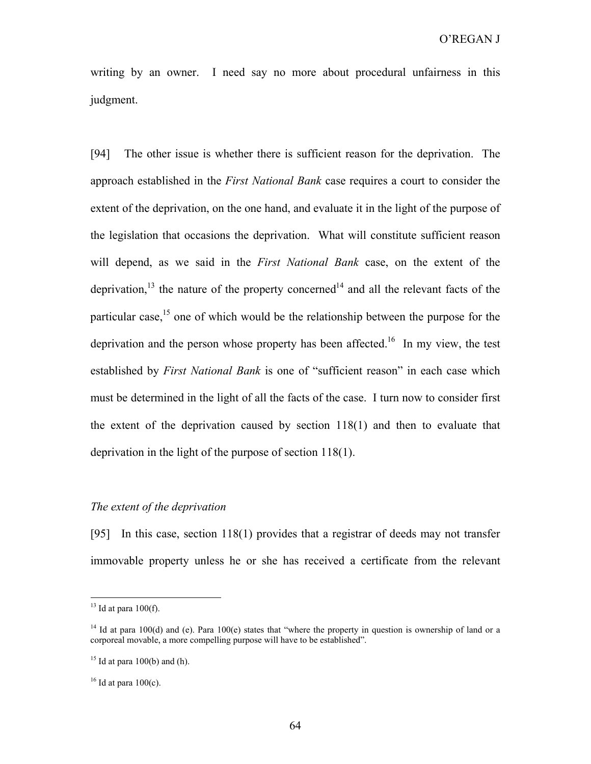writing by an owner. I need say no more about procedural unfairness in this judgment.

[94] The other issue is whether there is sufficient reason for the deprivation. The approach established in the *First National Bank* case requires a court to consider the extent of the deprivation, on the one hand, and evaluate it in the light of the purpose of the legislation that occasions the deprivation. What will constitute sufficient reason will depend, as we said in the *First National Bank* case, on the extent of the deprivation,<sup>13</sup> the nature of the property concerned<sup>14</sup> and all the relevant facts of the particular case,<sup>15</sup> one of which would be the relationship between the purpose for the deprivation and the person whose property has been affected.<sup>16</sup> In my view, the test established by *First National Bank* is one of "sufficient reason" in each case which must be determined in the light of all the facts of the case. I turn now to consider first the extent of the deprivation caused by section 118(1) and then to evaluate that deprivation in the light of the purpose of section 118(1).

### *The extent of the deprivation*

[95] In this case, section 118(1) provides that a registrar of deeds may not transfer immovable property unless he or she has received a certificate from the relevant

 $\overline{a}$ 

 $13$  Id at para 100(f).

<sup>&</sup>lt;sup>14</sup> Id at para 100(d) and (e). Para 100(e) states that "where the property in question is ownership of land or a corporeal movable, a more compelling purpose will have to be established".

 $15$  Id at para 100(b) and (h).

 $16$  Id at para 100(c).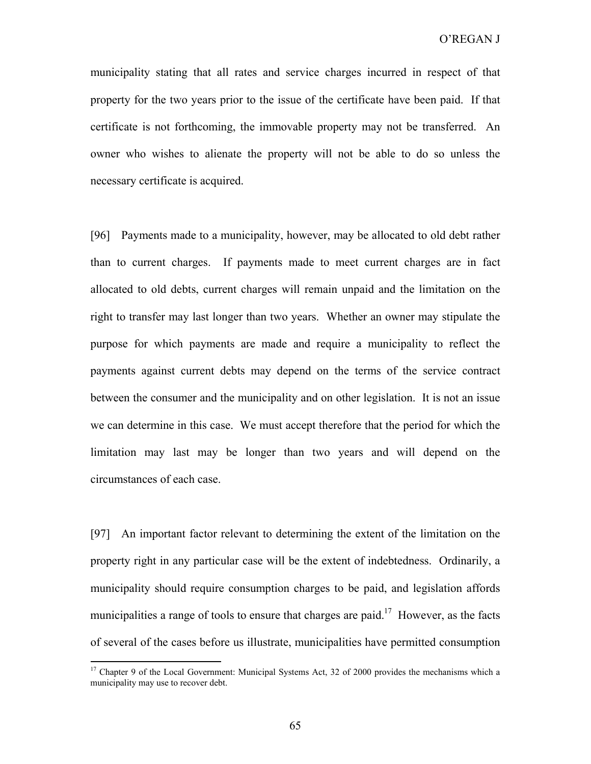municipality stating that all rates and service charges incurred in respect of that property for the two years prior to the issue of the certificate have been paid. If that certificate is not forthcoming, the immovable property may not be transferred. An owner who wishes to alienate the property will not be able to do so unless the necessary certificate is acquired.

[96] Payments made to a municipality, however, may be allocated to old debt rather than to current charges. If payments made to meet current charges are in fact allocated to old debts, current charges will remain unpaid and the limitation on the right to transfer may last longer than two years. Whether an owner may stipulate the purpose for which payments are made and require a municipality to reflect the payments against current debts may depend on the terms of the service contract between the consumer and the municipality and on other legislation. It is not an issue we can determine in this case. We must accept therefore that the period for which the limitation may last may be longer than two years and will depend on the circumstances of each case.

[97] An important factor relevant to determining the extent of the limitation on the property right in any particular case will be the extent of indebtedness. Ordinarily, a municipality should require consumption charges to be paid, and legislation affords municipalities a range of tools to ensure that charges are paid.<sup>17</sup> However, as the facts of several of the cases before us illustrate, municipalities have permitted consumption

 $17$  Chapter 9 of the Local Government: Municipal Systems Act, 32 of 2000 provides the mechanisms which a municipality may use to recover debt.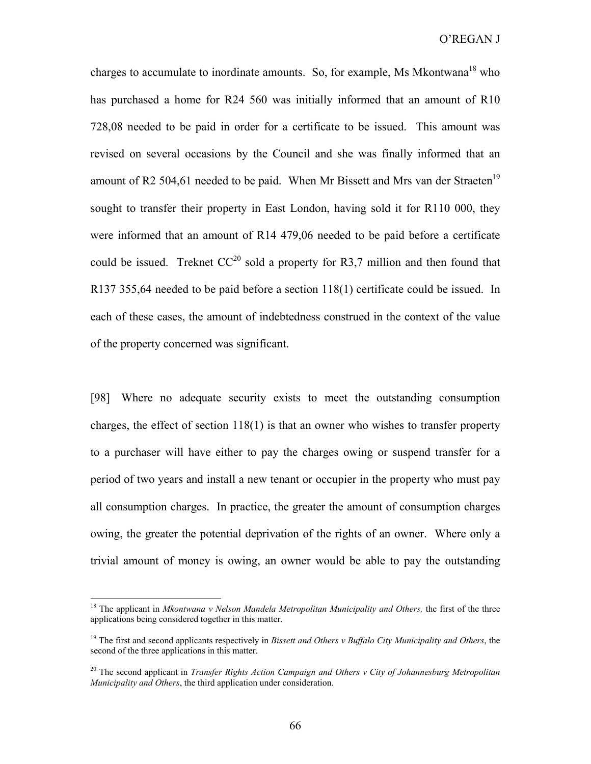charges to accumulate to inordinate amounts. So, for example, Ms Mkontwana<sup>18</sup> who has purchased a home for R24 560 was initially informed that an amount of R10 728,08 needed to be paid in order for a certificate to be issued. This amount was revised on several occasions by the Council and she was finally informed that an amount of R2 504,61 needed to be paid. When Mr Bissett and Mrs van der Straeten<sup>19</sup> sought to transfer their property in East London, having sold it for R110 000, they were informed that an amount of R14 479,06 needed to be paid before a certificate could be issued. Treknet  $CC^{20}$  sold a property for R3.7 million and then found that R137 355,64 needed to be paid before a section 118(1) certificate could be issued. In each of these cases, the amount of indebtedness construed in the context of the value of the property concerned was significant.

[98] Where no adequate security exists to meet the outstanding consumption charges, the effect of section 118(1) is that an owner who wishes to transfer property to a purchaser will have either to pay the charges owing or suspend transfer for a period of two years and install a new tenant or occupier in the property who must pay all consumption charges. In practice, the greater the amount of consumption charges owing, the greater the potential deprivation of the rights of an owner. Where only a trivial amount of money is owing, an owner would be able to pay the outstanding

 $\overline{a}$ 

<sup>&</sup>lt;sup>18</sup> The applicant in *Mkontwana v Nelson Mandela Metropolitan Municipality and Others, the first of the three* applications being considered together in this matter.

<sup>19</sup> The first and second applicants respectively in *Bissett and Others v Buffalo City Municipality and Others*, the second of the three applications in this matter.

<sup>20</sup> The second applicant in *Transfer Rights Action Campaign and Others v City of Johannesburg Metropolitan Municipality and Others*, the third application under consideration.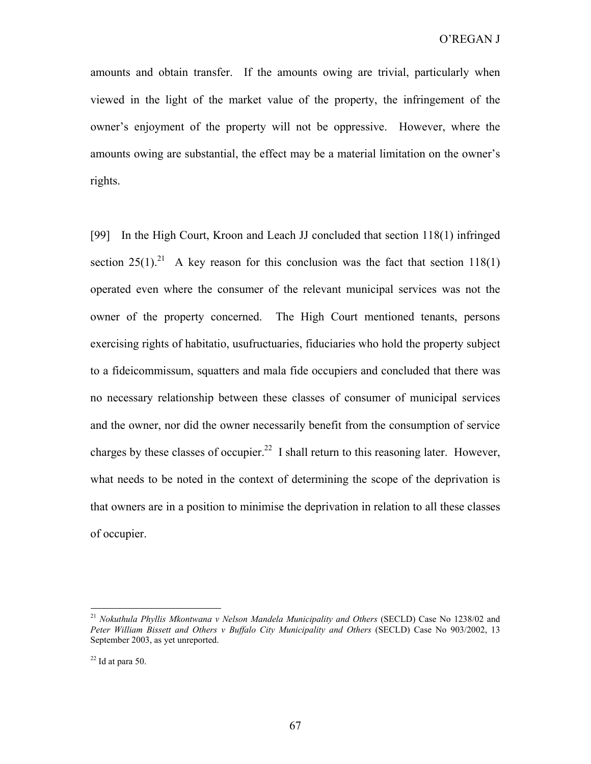amounts and obtain transfer. If the amounts owing are trivial, particularly when viewed in the light of the market value of the property, the infringement of the owner's enjoyment of the property will not be oppressive. However, where the amounts owing are substantial, the effect may be a material limitation on the owner's rights.

[99] In the High Court, Kroon and Leach JJ concluded that section 118(1) infringed section  $25(1)$ .<sup>21</sup> A key reason for this conclusion was the fact that section 118(1) operated even where the consumer of the relevant municipal services was not the owner of the property concerned. The High Court mentioned tenants, persons exercising rights of habitatio, usufructuaries, fiduciaries who hold the property subject to a fideicommissum, squatters and mala fide occupiers and concluded that there was no necessary relationship between these classes of consumer of municipal services and the owner, nor did the owner necessarily benefit from the consumption of service charges by these classes of occupier.<sup>22</sup> I shall return to this reasoning later. However, what needs to be noted in the context of determining the scope of the deprivation is that owners are in a position to minimise the deprivation in relation to all these classes of occupier.

 $\overline{a}$ 

<sup>21</sup> *Nokuthula Phyllis Mkontwana v Nelson Mandela Municipality and Others* (SECLD) Case No 1238/02 and *Peter William Bissett and Others v Buffalo City Municipality and Others* (SECLD) Case No 903/2002, 13 September 2003, as yet unreported.

 $22$  Id at para 50.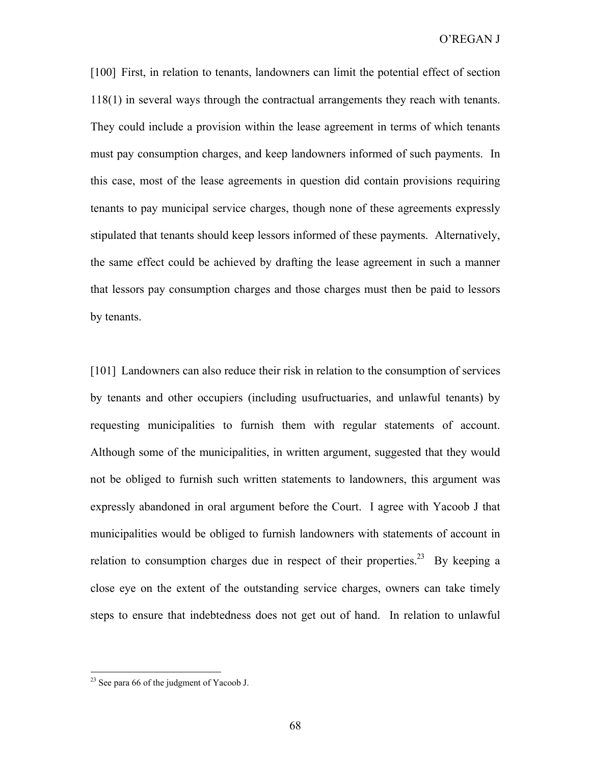[100] First, in relation to tenants, landowners can limit the potential effect of section 118(1) in several ways through the contractual arrangements they reach with tenants. They could include a provision within the lease agreement in terms of which tenants must pay consumption charges, and keep landowners informed of such payments. In this case, most of the lease agreements in question did contain provisions requiring tenants to pay municipal service charges, though none of these agreements expressly stipulated that tenants should keep lessors informed of these payments. Alternatively, the same effect could be achieved by drafting the lease agreement in such a manner that lessors pay consumption charges and those charges must then be paid to lessors by tenants.

[101] Landowners can also reduce their risk in relation to the consumption of services by tenants and other occupiers (including usufructuaries, and unlawful tenants) by requesting municipalities to furnish them with regular statements of account. Although some of the municipalities, in written argument, suggested that they would not be obliged to furnish such written statements to landowners, this argument was expressly abandoned in oral argument before the Court. I agree with Yacoob J that municipalities would be obliged to furnish landowners with statements of account in relation to consumption charges due in respect of their properties.<sup>23</sup> By keeping a close eye on the extent of the outstanding service charges, owners can take timely steps to ensure that indebtedness does not get out of hand. In relation to unlawful

 $^{23}$  See para 66 of the judgment of Yacoob J.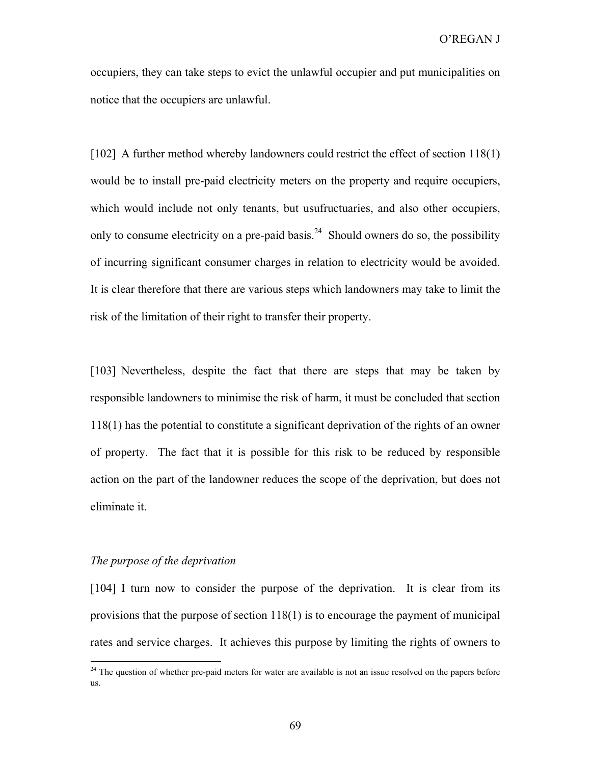occupiers, they can take steps to evict the unlawful occupier and put municipalities on notice that the occupiers are unlawful.

[102] A further method whereby landowners could restrict the effect of section 118(1) would be to install pre-paid electricity meters on the property and require occupiers, which would include not only tenants, but usufructuaries, and also other occupiers, only to consume electricity on a pre-paid basis.<sup>24</sup> Should owners do so, the possibility of incurring significant consumer charges in relation to electricity would be avoided. It is clear therefore that there are various steps which landowners may take to limit the risk of the limitation of their right to transfer their property.

[103] Nevertheless, despite the fact that there are steps that may be taken by responsible landowners to minimise the risk of harm, it must be concluded that section 118(1) has the potential to constitute a significant deprivation of the rights of an owner of property. The fact that it is possible for this risk to be reduced by responsible action on the part of the landowner reduces the scope of the deprivation, but does not eliminate it.

### *The purpose of the deprivation*

1

[104] I turn now to consider the purpose of the deprivation. It is clear from its provisions that the purpose of section 118(1) is to encourage the payment of municipal rates and service charges. It achieves this purpose by limiting the rights of owners to

<sup>&</sup>lt;sup>24</sup> The question of whether pre-paid meters for water are available is not an issue resolved on the papers before us.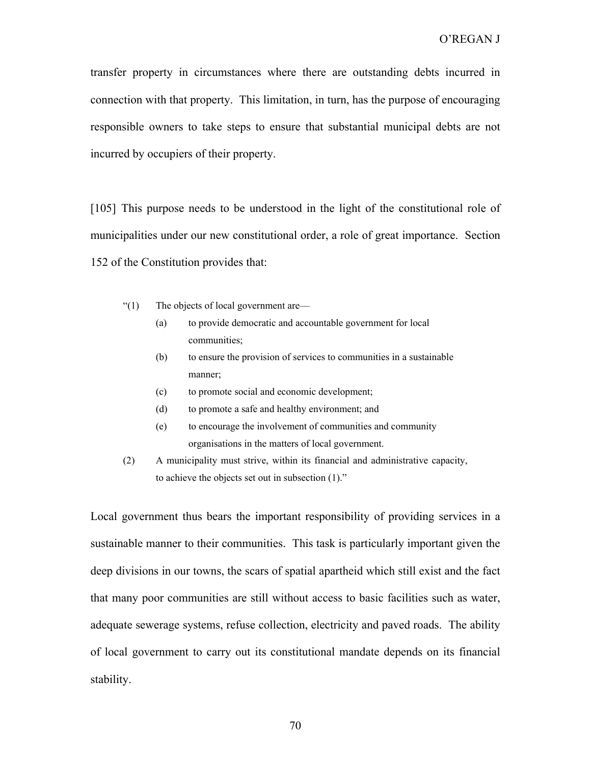transfer property in circumstances where there are outstanding debts incurred in connection with that property. This limitation, in turn, has the purpose of encouraging responsible owners to take steps to ensure that substantial municipal debts are not incurred by occupiers of their property.

[105] This purpose needs to be understood in the light of the constitutional role of municipalities under our new constitutional order, a role of great importance. Section 152 of the Constitution provides that:

- "(1) The objects of local government are—
	- (a) to provide democratic and accountable government for local communities;
	- (b) to ensure the provision of services to communities in a sustainable manner;
	- (c) to promote social and economic development;
	- (d) to promote a safe and healthy environment; and
	- (e) to encourage the involvement of communities and community organisations in the matters of local government.
- (2) A municipality must strive, within its financial and administrative capacity, to achieve the objects set out in subsection (1)."

Local government thus bears the important responsibility of providing services in a sustainable manner to their communities. This task is particularly important given the deep divisions in our towns, the scars of spatial apartheid which still exist and the fact that many poor communities are still without access to basic facilities such as water, adequate sewerage systems, refuse collection, electricity and paved roads. The ability of local government to carry out its constitutional mandate depends on its financial stability.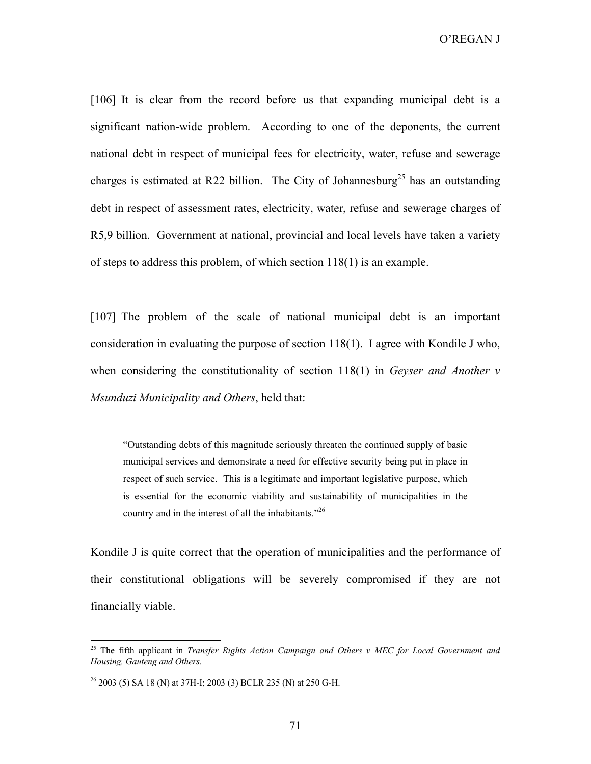O'REGAN J

[106] It is clear from the record before us that expanding municipal debt is a significant nation-wide problem. According to one of the deponents, the current national debt in respect of municipal fees for electricity, water, refuse and sewerage charges is estimated at R22 billion. The City of Johannesburg<sup>25</sup> has an outstanding debt in respect of assessment rates, electricity, water, refuse and sewerage charges of R5,9 billion. Government at national, provincial and local levels have taken a variety of steps to address this problem, of which section 118(1) is an example.

[107] The problem of the scale of national municipal debt is an important consideration in evaluating the purpose of section 118(1). I agree with Kondile J who, when considering the constitutionality of section 118(1) in *Geyser and Another v Msunduzi Municipality and Others*, held that:

"Outstanding debts of this magnitude seriously threaten the continued supply of basic municipal services and demonstrate a need for effective security being put in place in respect of such service. This is a legitimate and important legislative purpose, which is essential for the economic viability and sustainability of municipalities in the country and in the interest of all the inhabitants."<sup>26</sup>

Kondile J is quite correct that the operation of municipalities and the performance of their constitutional obligations will be severely compromised if they are not financially viable.

<sup>25</sup> The fifth applicant in *Transfer Rights Action Campaign and Others v MEC for Local Government and Housing, Gauteng and Others.* 

 $^{26}$  2003 (5) SA 18 (N) at 37H-I; 2003 (3) BCLR 235 (N) at 250 G-H.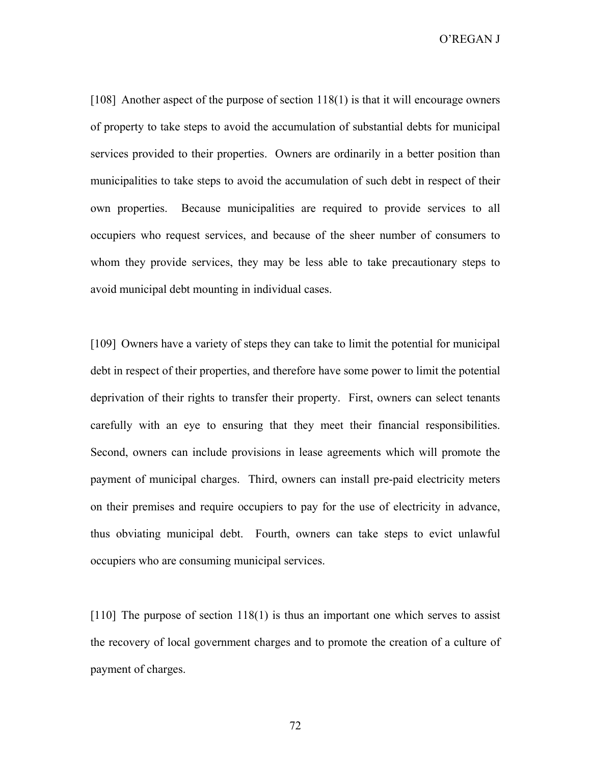O'REGAN J

[108] Another aspect of the purpose of section  $118(1)$  is that it will encourage owners of property to take steps to avoid the accumulation of substantial debts for municipal services provided to their properties. Owners are ordinarily in a better position than municipalities to take steps to avoid the accumulation of such debt in respect of their own properties. Because municipalities are required to provide services to all occupiers who request services, and because of the sheer number of consumers to whom they provide services, they may be less able to take precautionary steps to avoid municipal debt mounting in individual cases.

[109] Owners have a variety of steps they can take to limit the potential for municipal debt in respect of their properties, and therefore have some power to limit the potential deprivation of their rights to transfer their property. First, owners can select tenants carefully with an eye to ensuring that they meet their financial responsibilities. Second, owners can include provisions in lease agreements which will promote the payment of municipal charges. Third, owners can install pre-paid electricity meters on their premises and require occupiers to pay for the use of electricity in advance, thus obviating municipal debt. Fourth, owners can take steps to evict unlawful occupiers who are consuming municipal services.

[110] The purpose of section 118(1) is thus an important one which serves to assist the recovery of local government charges and to promote the creation of a culture of payment of charges.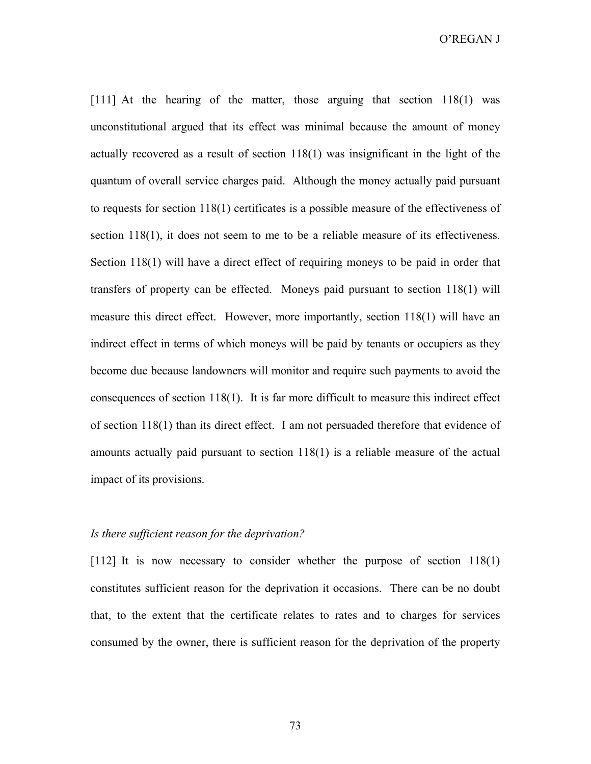[111] At the hearing of the matter, those arguing that section 118(1) was unconstitutional argued that its effect was minimal because the amount of money actually recovered as a result of section 118(1) was insignificant in the light of the quantum of overall service charges paid. Although the money actually paid pursuant to requests for section 118(1) certificates is a possible measure of the effectiveness of section 118(1), it does not seem to me to be a reliable measure of its effectiveness. Section 118(1) will have a direct effect of requiring moneys to be paid in order that transfers of property can be effected. Moneys paid pursuant to section 118(1) will measure this direct effect. However, more importantly, section 118(1) will have an indirect effect in terms of which moneys will be paid by tenants or occupiers as they become due because landowners will monitor and require such payments to avoid the consequences of section 118(1). It is far more difficult to measure this indirect effect of section 118(1) than its direct effect. I am not persuaded therefore that evidence of amounts actually paid pursuant to section 118(1) is a reliable measure of the actual impact of its provisions.

## *Is there sufficient reason for the deprivation?*

[112] It is now necessary to consider whether the purpose of section 118(1) constitutes sufficient reason for the deprivation it occasions. There can be no doubt that, to the extent that the certificate relates to rates and to charges for services consumed by the owner, there is sufficient reason for the deprivation of the property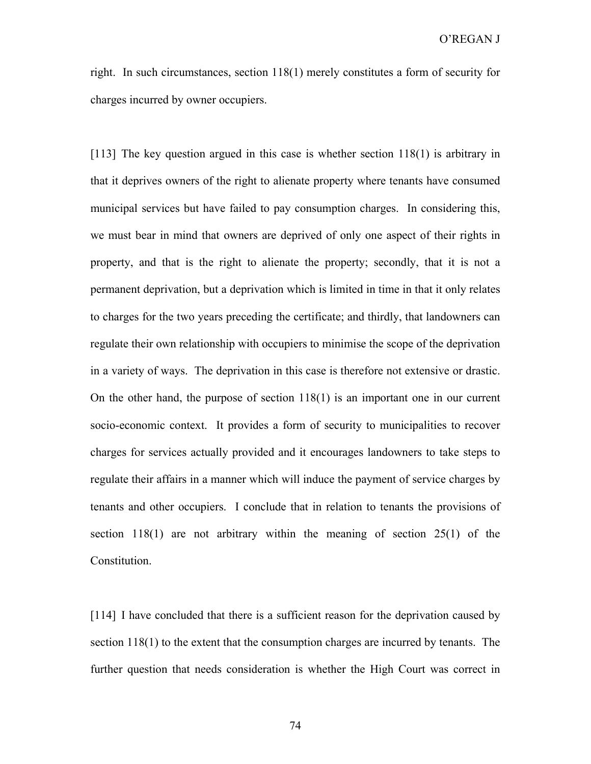right. In such circumstances, section 118(1) merely constitutes a form of security for charges incurred by owner occupiers.

[113] The key question argued in this case is whether section 118(1) is arbitrary in that it deprives owners of the right to alienate property where tenants have consumed municipal services but have failed to pay consumption charges. In considering this, we must bear in mind that owners are deprived of only one aspect of their rights in property, and that is the right to alienate the property; secondly, that it is not a permanent deprivation, but a deprivation which is limited in time in that it only relates to charges for the two years preceding the certificate; and thirdly, that landowners can regulate their own relationship with occupiers to minimise the scope of the deprivation in a variety of ways. The deprivation in this case is therefore not extensive or drastic. On the other hand, the purpose of section 118(1) is an important one in our current socio-economic context. It provides a form of security to municipalities to recover charges for services actually provided and it encourages landowners to take steps to regulate their affairs in a manner which will induce the payment of service charges by tenants and other occupiers. I conclude that in relation to tenants the provisions of section 118(1) are not arbitrary within the meaning of section 25(1) of the Constitution.

[114] I have concluded that there is a sufficient reason for the deprivation caused by section 118(1) to the extent that the consumption charges are incurred by tenants. The further question that needs consideration is whether the High Court was correct in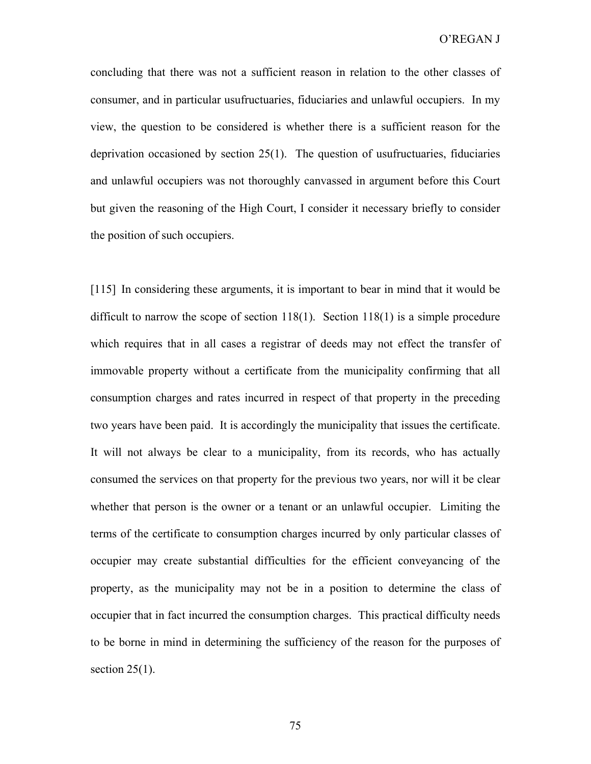concluding that there was not a sufficient reason in relation to the other classes of consumer, and in particular usufructuaries, fiduciaries and unlawful occupiers. In my view, the question to be considered is whether there is a sufficient reason for the deprivation occasioned by section 25(1). The question of usufructuaries, fiduciaries and unlawful occupiers was not thoroughly canvassed in argument before this Court but given the reasoning of the High Court, I consider it necessary briefly to consider the position of such occupiers.

[115] In considering these arguments, it is important to bear in mind that it would be difficult to narrow the scope of section 118(1). Section 118(1) is a simple procedure which requires that in all cases a registrar of deeds may not effect the transfer of immovable property without a certificate from the municipality confirming that all consumption charges and rates incurred in respect of that property in the preceding two years have been paid. It is accordingly the municipality that issues the certificate. It will not always be clear to a municipality, from its records, who has actually consumed the services on that property for the previous two years, nor will it be clear whether that person is the owner or a tenant or an unlawful occupier. Limiting the terms of the certificate to consumption charges incurred by only particular classes of occupier may create substantial difficulties for the efficient conveyancing of the property, as the municipality may not be in a position to determine the class of occupier that in fact incurred the consumption charges. This practical difficulty needs to be borne in mind in determining the sufficiency of the reason for the purposes of section  $25(1)$ .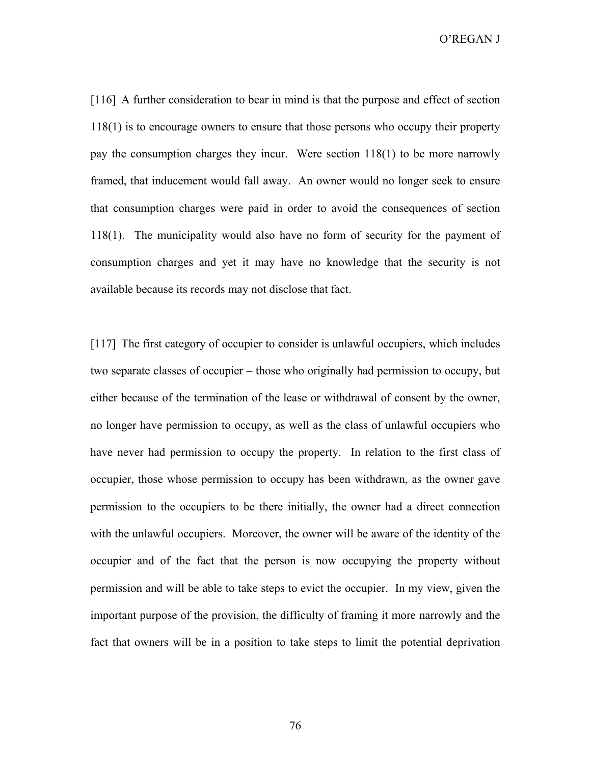[116] A further consideration to bear in mind is that the purpose and effect of section 118(1) is to encourage owners to ensure that those persons who occupy their property pay the consumption charges they incur. Were section 118(1) to be more narrowly framed, that inducement would fall away. An owner would no longer seek to ensure that consumption charges were paid in order to avoid the consequences of section 118(1). The municipality would also have no form of security for the payment of consumption charges and yet it may have no knowledge that the security is not available because its records may not disclose that fact.

[117] The first category of occupier to consider is unlawful occupiers, which includes two separate classes of occupier – those who originally had permission to occupy, but either because of the termination of the lease or withdrawal of consent by the owner, no longer have permission to occupy, as well as the class of unlawful occupiers who have never had permission to occupy the property. In relation to the first class of occupier, those whose permission to occupy has been withdrawn, as the owner gave permission to the occupiers to be there initially, the owner had a direct connection with the unlawful occupiers. Moreover, the owner will be aware of the identity of the occupier and of the fact that the person is now occupying the property without permission and will be able to take steps to evict the occupier. In my view, given the important purpose of the provision, the difficulty of framing it more narrowly and the fact that owners will be in a position to take steps to limit the potential deprivation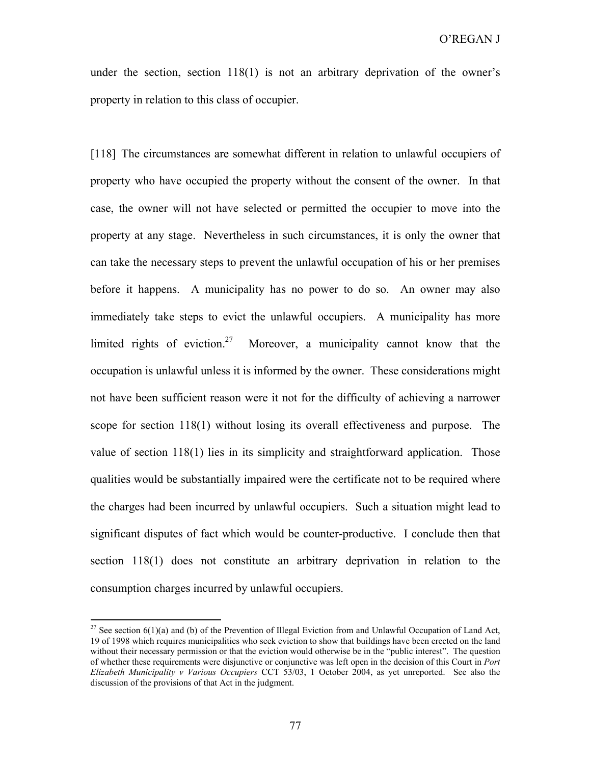under the section, section  $118(1)$  is not an arbitrary deprivation of the owner's property in relation to this class of occupier.

[118] The circumstances are somewhat different in relation to unlawful occupiers of property who have occupied the property without the consent of the owner. In that case, the owner will not have selected or permitted the occupier to move into the property at any stage. Nevertheless in such circumstances, it is only the owner that can take the necessary steps to prevent the unlawful occupation of his or her premises before it happens. A municipality has no power to do so. An owner may also immediately take steps to evict the unlawful occupiers. A municipality has more limited rights of eviction.<sup>27</sup> Moreover, a municipality cannot know that the occupation is unlawful unless it is informed by the owner. These considerations might not have been sufficient reason were it not for the difficulty of achieving a narrower scope for section 118(1) without losing its overall effectiveness and purpose. The value of section 118(1) lies in its simplicity and straightforward application. Those qualities would be substantially impaired were the certificate not to be required where the charges had been incurred by unlawful occupiers. Such a situation might lead to significant disputes of fact which would be counter-productive. I conclude then that section 118(1) does not constitute an arbitrary deprivation in relation to the consumption charges incurred by unlawful occupiers.

 $\overline{a}$ 

<sup>&</sup>lt;sup>27</sup> See section  $6(1)(a)$  and (b) of the Prevention of Illegal Eviction from and Unlawful Occupation of Land Act, 19 of 1998 which requires municipalities who seek eviction to show that buildings have been erected on the land without their necessary permission or that the eviction would otherwise be in the "public interest". The question of whether these requirements were disjunctive or conjunctive was left open in the decision of this Court in *Port Elizabeth Municipality v Various Occupiers* CCT 53/03, 1 October 2004, as yet unreported. See also the discussion of the provisions of that Act in the judgment.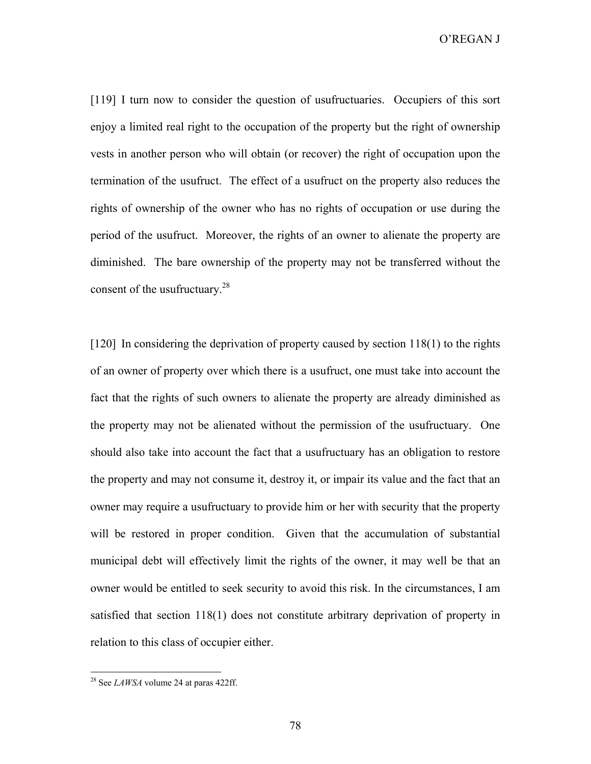[119] I turn now to consider the question of usufructuaries. Occupiers of this sort enjoy a limited real right to the occupation of the property but the right of ownership vests in another person who will obtain (or recover) the right of occupation upon the termination of the usufruct. The effect of a usufruct on the property also reduces the rights of ownership of the owner who has no rights of occupation or use during the period of the usufruct. Moreover, the rights of an owner to alienate the property are diminished. The bare ownership of the property may not be transferred without the consent of the usufructuary.<sup>28</sup>

[120] In considering the deprivation of property caused by section 118(1) to the rights of an owner of property over which there is a usufruct, one must take into account the fact that the rights of such owners to alienate the property are already diminished as the property may not be alienated without the permission of the usufructuary. One should also take into account the fact that a usufructuary has an obligation to restore the property and may not consume it, destroy it, or impair its value and the fact that an owner may require a usufructuary to provide him or her with security that the property will be restored in proper condition. Given that the accumulation of substantial municipal debt will effectively limit the rights of the owner, it may well be that an owner would be entitled to seek security to avoid this risk. In the circumstances, I am satisfied that section 118(1) does not constitute arbitrary deprivation of property in relation to this class of occupier either.

<sup>28</sup> See *LAWSA* volume 24 at paras 422ff.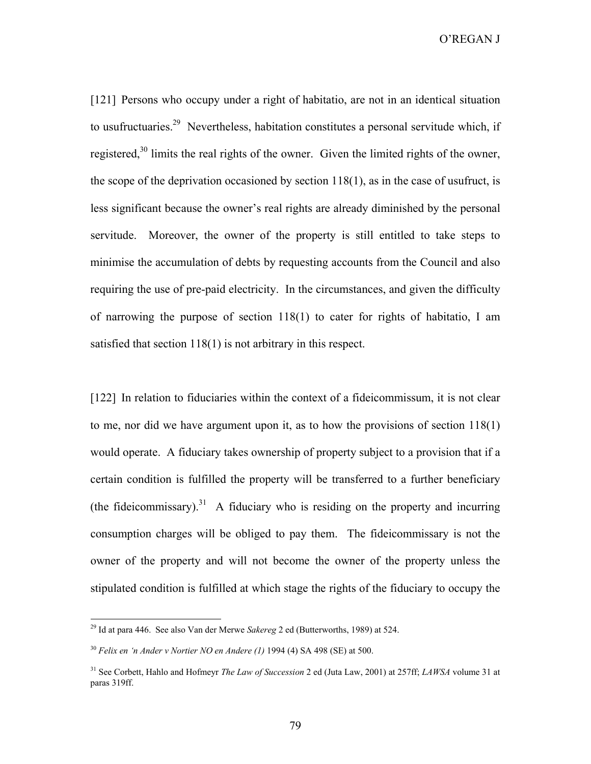[121] Persons who occupy under a right of habitatio, are not in an identical situation to usufructuaries.<sup>29</sup> Nevertheless, habitation constitutes a personal servitude which, if registered, $30$  limits the real rights of the owner. Given the limited rights of the owner, the scope of the deprivation occasioned by section 118(1), as in the case of usufruct, is less significant because the owner's real rights are already diminished by the personal servitude. Moreover, the owner of the property is still entitled to take steps to minimise the accumulation of debts by requesting accounts from the Council and also requiring the use of pre-paid electricity. In the circumstances, and given the difficulty of narrowing the purpose of section 118(1) to cater for rights of habitatio, I am satisfied that section 118(1) is not arbitrary in this respect.

[122] In relation to fiduciaries within the context of a fideicommissum, it is not clear to me, nor did we have argument upon it, as to how the provisions of section 118(1) would operate. A fiduciary takes ownership of property subject to a provision that if a certain condition is fulfilled the property will be transferred to a further beneficiary (the fideicommissary).<sup>31</sup> A fiduciary who is residing on the property and incurring consumption charges will be obliged to pay them. The fideicommissary is not the owner of the property and will not become the owner of the property unless the stipulated condition is fulfilled at which stage the rights of the fiduciary to occupy the

 $\overline{a}$ 

<sup>29</sup> Id at para 446. See also Van der Merwe *Sakereg* 2 ed (Butterworths, 1989) at 524.

<sup>30</sup> *Felix en 'n Ander v Nortier NO en Andere (1)* 1994 (4) SA 498 (SE) at 500.

<sup>31</sup> See Corbett, Hahlo and Hofmeyr *The Law of Succession* 2 ed (Juta Law, 2001) at 257ff; *LAWSA* volume 31 at paras 319ff.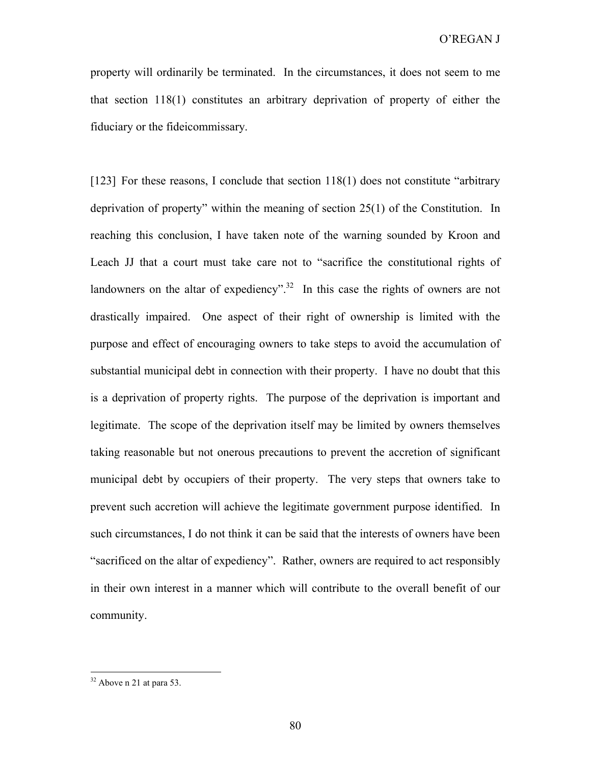property will ordinarily be terminated. In the circumstances, it does not seem to me that section 118(1) constitutes an arbitrary deprivation of property of either the fiduciary or the fideicommissary.

[123] For these reasons, I conclude that section  $118(1)$  does not constitute "arbitrary" deprivation of property" within the meaning of section 25(1) of the Constitution. In reaching this conclusion, I have taken note of the warning sounded by Kroon and Leach JJ that a court must take care not to "sacrifice the constitutional rights of landowners on the altar of expediency".<sup>32</sup> In this case the rights of owners are not drastically impaired. One aspect of their right of ownership is limited with the purpose and effect of encouraging owners to take steps to avoid the accumulation of substantial municipal debt in connection with their property. I have no doubt that this is a deprivation of property rights. The purpose of the deprivation is important and legitimate. The scope of the deprivation itself may be limited by owners themselves taking reasonable but not onerous precautions to prevent the accretion of significant municipal debt by occupiers of their property. The very steps that owners take to prevent such accretion will achieve the legitimate government purpose identified. In such circumstances, I do not think it can be said that the interests of owners have been "sacrificed on the altar of expediency". Rather, owners are required to act responsibly in their own interest in a manner which will contribute to the overall benefit of our community.

 $32$  Above n 21 at para 53.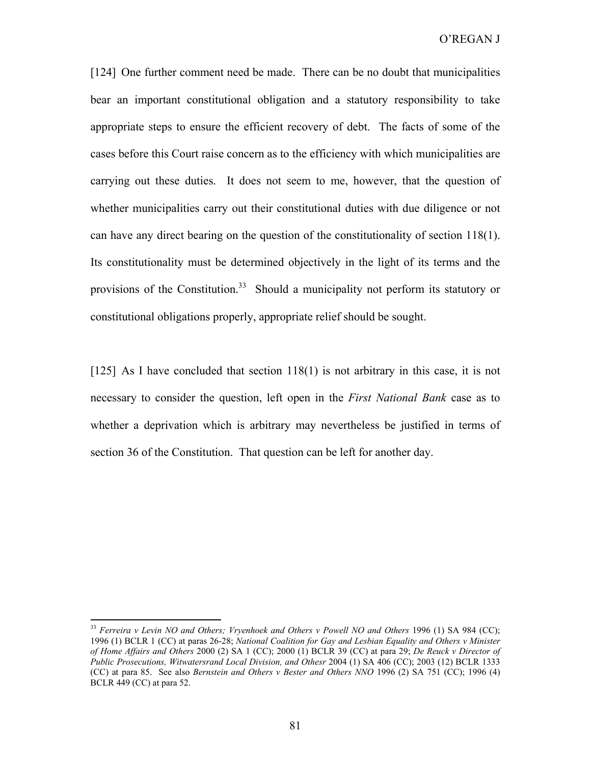[124] One further comment need be made. There can be no doubt that municipalities bear an important constitutional obligation and a statutory responsibility to take appropriate steps to ensure the efficient recovery of debt. The facts of some of the cases before this Court raise concern as to the efficiency with which municipalities are carrying out these duties. It does not seem to me, however, that the question of whether municipalities carry out their constitutional duties with due diligence or not can have any direct bearing on the question of the constitutionality of section 118(1). Its constitutionality must be determined objectively in the light of its terms and the provisions of the Constitution.<sup>33</sup> Should a municipality not perform its statutory or constitutional obligations properly, appropriate relief should be sought.

[125] As I have concluded that section 118(1) is not arbitrary in this case, it is not necessary to consider the question, left open in the *First National Bank* case as to whether a deprivation which is arbitrary may nevertheless be justified in terms of section 36 of the Constitution. That question can be left for another day.

 $\overline{a}$ 

<sup>&</sup>lt;sup>33</sup> Ferreira v Levin NO and Others; Vryenhoek and Others v Powell NO and Others 1996 (1) SA 984 (CC); 1996 (1) BCLR 1 (CC) at paras 26-28; *National Coalition for Gay and Lesbian Equality and Others v Minister of Home Affairs and Others* 2000 (2) SA 1 (CC); 2000 (1) BCLR 39 (CC) at para 29; *De Reuck v Director of Public Prosecutions, Witwatersrand Local Division, and Othesr* 2004 (1) SA 406 (CC); 2003 (12) BCLR 1333 (CC) at para 85. See also *Bernstein and Others v Bester and Others NNO* 1996 (2) SA 751 (CC); 1996 (4) BCLR 449 (CC) at para 52.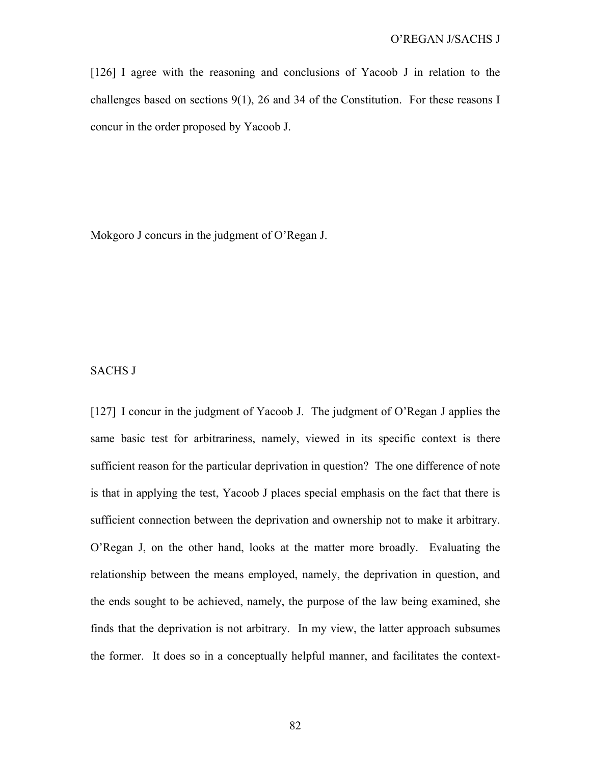[126] I agree with the reasoning and conclusions of Yacoob J in relation to the challenges based on sections 9(1), 26 and 34 of the Constitution. For these reasons I concur in the order proposed by Yacoob J.

Mokgoro J concurs in the judgment of O'Regan J.

## SACHS J

[127] I concur in the judgment of Yacoob J. The judgment of O'Regan J applies the same basic test for arbitrariness, namely, viewed in its specific context is there sufficient reason for the particular deprivation in question? The one difference of note is that in applying the test, Yacoob J places special emphasis on the fact that there is sufficient connection between the deprivation and ownership not to make it arbitrary. O'Regan J, on the other hand, looks at the matter more broadly. Evaluating the relationship between the means employed, namely, the deprivation in question, and the ends sought to be achieved, namely, the purpose of the law being examined, she finds that the deprivation is not arbitrary. In my view, the latter approach subsumes the former. It does so in a conceptually helpful manner, and facilitates the context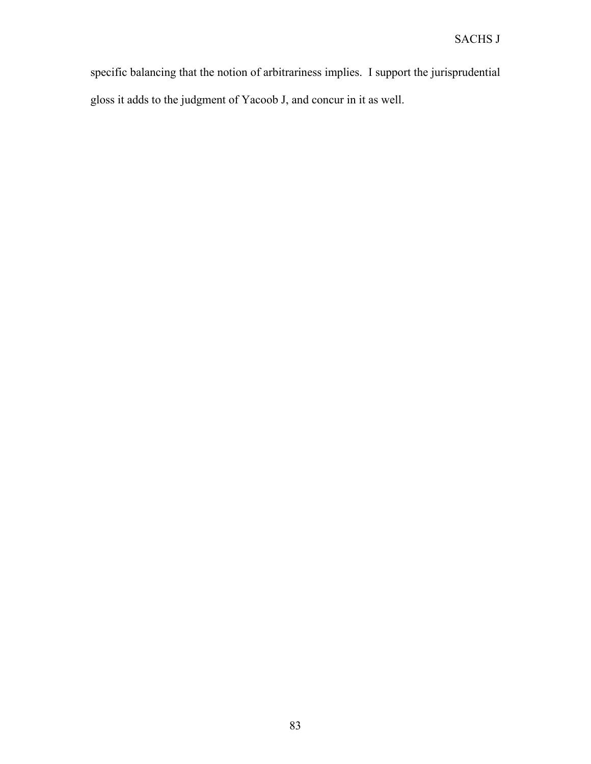specific balancing that the notion of arbitrariness implies. I support the jurisprudential gloss it adds to the judgment of Yacoob J, and concur in it as well.